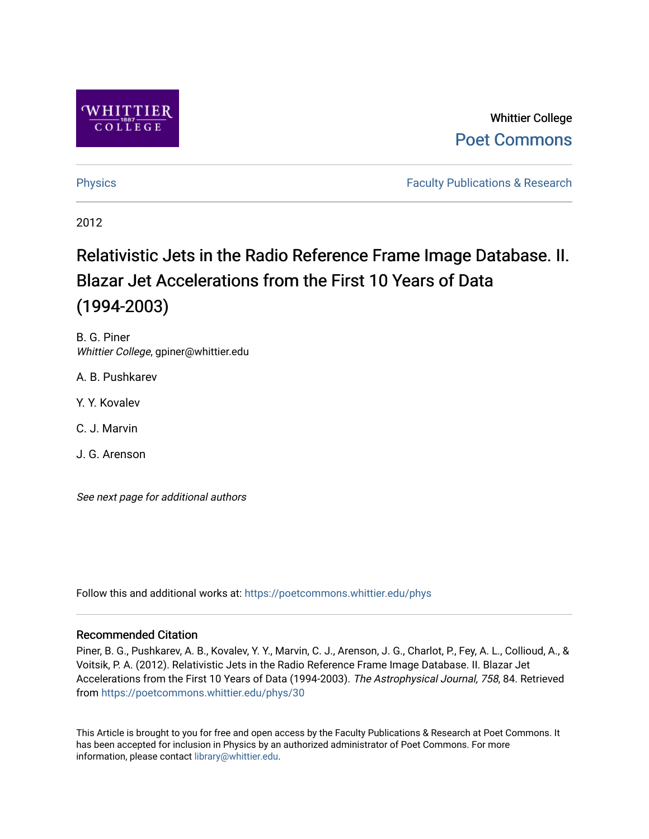

# Whittier College [Poet Commons](https://poetcommons.whittier.edu/)

[Physics](https://poetcommons.whittier.edu/phys) **Faculty Publications & Research Physics Faculty Publications & Research** 

2012

# Relativistic Jets in the Radio Reference Frame Image Database. II. Blazar Jet Accelerations from the First 10 Years of Data (1994-2003)

B. G. Piner Whittier College, gpiner@whittier.edu

A. B. Pushkarev

- Y. Y. Kovalev
- C. J. Marvin
- J. G. Arenson

See next page for additional authors

Follow this and additional works at: [https://poetcommons.whittier.edu/phys](https://poetcommons.whittier.edu/phys?utm_source=poetcommons.whittier.edu%2Fphys%2F30&utm_medium=PDF&utm_campaign=PDFCoverPages)

## Recommended Citation

Piner, B. G., Pushkarev, A. B., Kovalev, Y. Y., Marvin, C. J., Arenson, J. G., Charlot, P., Fey, A. L., Collioud, A., & Voitsik, P. A. (2012). Relativistic Jets in the Radio Reference Frame Image Database. II. Blazar Jet Accelerations from the First 10 Years of Data (1994-2003). The Astrophysical Journal, 758, 84. Retrieved from [https://poetcommons.whittier.edu/phys/30](https://poetcommons.whittier.edu/phys/30?utm_source=poetcommons.whittier.edu%2Fphys%2F30&utm_medium=PDF&utm_campaign=PDFCoverPages)

This Article is brought to you for free and open access by the Faculty Publications & Research at Poet Commons. It has been accepted for inclusion in Physics by an authorized administrator of Poet Commons. For more information, please contact [library@whittier.edu.](mailto:library@whittier.edu)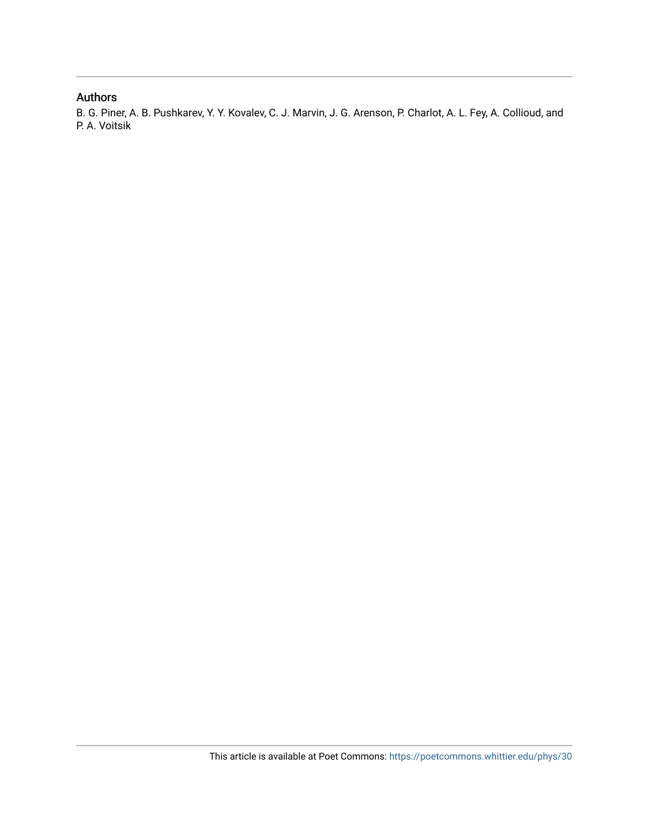### Authors

B. G. Piner, A. B. Pushkarev, Y. Y. Kovalev, C. J. Marvin, J. G. Arenson, P. Charlot, A. L. Fey, A. Collioud, and P. A. Voitsik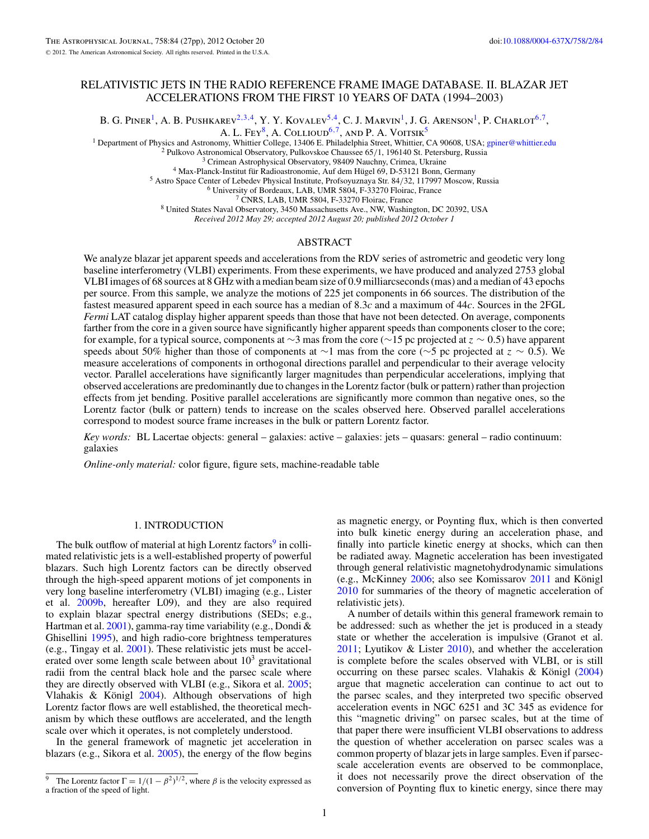#### RELATIVISTIC JETS IN THE RADIO REFERENCE FRAME IMAGE DATABASE. II. BLAZAR JET ACCELERATIONS FROM THE FIRST 10 YEARS OF DATA (1994–2003)

B. G. Piner<sup>1</sup>, A. B. Pushkarev<sup>2,3,4</sup>, Y. Y. Kovalev<sup>5,4</sup>, C. J. Marvin<sup>1</sup>, J. G. Arenson<sup>1</sup>, P. Charlot<sup>6,7</sup>,

A. L. Fey<sup>8</sup>, A. Collioud<sup>6,7</sup>, and P. A. Voitsik<sup>5</sup>

<sup>1</sup> Department of Physics and Astronomy, Whittier College, 13406 E. Philadelphia Street, Whittier, CA 90608, USA; [gpiner@whittier.edu](mailto:gpiner@whittier.edu) <sup>2</sup> Pulkovo Astronomical Observatory, Pulkovskoe Chaussee 65/1, 196140 St. Petersburg,

*Received 2012 May 29; accepted 2012 August 20; published 2012 October 1*

#### ABSTRACT

We analyze blazar jet apparent speeds and accelerations from the RDV series of astrometric and geodetic very long baseline interferometry (VLBI) experiments. From these experiments, we have produced and analyzed 2753 global VLBI images of 68 sources at 8 GHz with a median beam size of 0.9 milliarcseconds (mas) and a median of 43 epochs per source. From this sample, we analyze the motions of 225 jet components in 66 sources. The distribution of the fastest measured apparent speed in each source has a median of 8.3*c* and a maximum of 44*c*. Sources in the 2FGL *Fermi* LAT catalog display higher apparent speeds than those that have not been detected. On average, components farther from the core in a given source have significantly higher apparent speeds than components closer to the core; for example, for a typical source, components at ∼3 mas from the core (∼15 pc projected at *z* ∼ 0*.*5) have apparent speeds about 50% higher than those of components at ∼1 mas from the core (∼5 pc projected at *z* ∼ 0*.*5). We measure accelerations of components in orthogonal directions parallel and perpendicular to their average velocity vector. Parallel accelerations have significantly larger magnitudes than perpendicular accelerations, implying that observed accelerations are predominantly due to changes in the Lorentz factor (bulk or pattern) rather than projection effects from jet bending. Positive parallel accelerations are significantly more common than negative ones, so the Lorentz factor (bulk or pattern) tends to increase on the scales observed here. Observed parallel accelerations correspond to modest source frame increases in the bulk or pattern Lorentz factor.

*Key words:* BL Lacertae objects: general – galaxies: active – galaxies: jets – quasars: general – radio continuum: galaxies

*Online-only material:* color figure, figure sets, machine-readable table

#### 1. INTRODUCTION

The bulk outflow of material at high Lorentz factors<sup>9</sup> in collimated relativistic jets is a well-established property of powerful blazars. Such high Lorentz factors can be directly observed through the high-speed apparent motions of jet components in very long baseline interferometry (VLBI) imaging (e.g., Lister et al. [2009b,](#page-28-0) hereafter L09), and they are also required to explain blazar spectral energy distributions (SEDs; e.g., Hartman et al.  $2001$ ), gamma-ray time variability (e.g., Dondi  $&$ Ghisellini [1995\)](#page-28-0), and high radio-core brightness temperatures (e.g., Tingay et al. [2001\)](#page-28-0). These relativistic jets must be accelerated over some length scale between about  $10<sup>3</sup>$  gravitational radii from the central black hole and the parsec scale where they are directly observed with VLBI (e.g., Sikora et al. [2005;](#page-28-0) Vlahakis  $\&$  Königl [2004\)](#page-28-0). Although observations of high Lorentz factor flows are well established, the theoretical mechanism by which these outflows are accelerated, and the length scale over which it operates, is not completely understood.

In the general framework of magnetic jet acceleration in blazars (e.g., Sikora et al. [2005\)](#page-28-0), the energy of the flow begins

as magnetic energy, or Poynting flux, which is then converted into bulk kinetic energy during an acceleration phase, and finally into particle kinetic energy at shocks, which can then be radiated away. Magnetic acceleration has been investigated through general relativistic magnetohydrodynamic simulations (e.g., McKinney  $2006$ ; also see Komissarov  $2011$  and Königl [2010](#page-28-0) for summaries of the theory of magnetic acceleration of relativistic jets).

A number of details within this general framework remain to be addressed: such as whether the jet is produced in a steady state or whether the acceleration is impulsive (Granot et al. [2011;](#page-28-0) Lyutikov & Lister [2010\)](#page-28-0), and whether the acceleration is complete before the scales observed with VLBI, or is still occurring on these parsec scales. Vlahakis  $& K\ddot{\text{o}}$  ([2004\)](#page-28-0) argue that magnetic acceleration can continue to act out to the parsec scales, and they interpreted two specific observed acceleration events in NGC 6251 and 3C 345 as evidence for this "magnetic driving" on parsec scales, but at the time of that paper there were insufficient VLBI observations to address the question of whether acceleration on parsec scales was a common property of blazar jets in large samples. Even if parsecscale acceleration events are observed to be commonplace, it does not necessarily prove the direct observation of the conversion of Poynting flux to kinetic energy, since there may

<sup>&</sup>lt;sup>9</sup> The Lorentz factor  $\Gamma = 1/(1 - \beta^2)^{1/2}$ , where  $\beta$  is the velocity expressed as a fraction of the speed of light.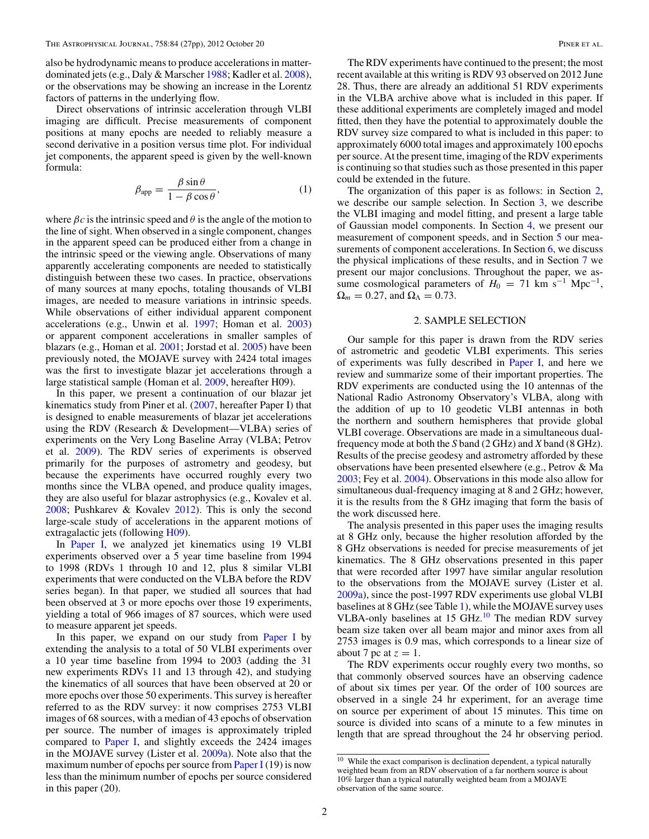<span id="page-3-0"></span>also be hydrodynamic means to produce accelerations in matterdominated jets (e.g., Daly & Marscher [1988;](#page-28-0) Kadler et al. [2008\)](#page-28-0), or the observations may be showing an increase in the Lorentz factors of patterns in the underlying flow.

Direct observations of intrinsic acceleration through VLBI imaging are difficult. Precise measurements of component positions at many epochs are needed to reliably measure a second derivative in a position versus time plot. For individual jet components, the apparent speed is given by the well-known formula:

$$
\beta_{\rm app} = \frac{\beta \sin \theta}{1 - \beta \cos \theta},\tag{1}
$$

where  $\beta c$  is the intrinsic speed and  $\theta$  is the angle of the motion to the line of sight. When observed in a single component, changes in the apparent speed can be produced either from a change in the intrinsic speed or the viewing angle. Observations of many apparently accelerating components are needed to statistically distinguish between these two cases. In practice, observations of many sources at many epochs, totaling thousands of VLBI images, are needed to measure variations in intrinsic speeds. While observations of either individual apparent component accelerations (e.g., Unwin et al. [1997;](#page-28-0) Homan et al. [2003\)](#page-28-0) or apparent component accelerations in smaller samples of blazars (e.g., Homan et al. [2001;](#page-28-0) Jorstad et al. [2005\)](#page-28-0) have been previously noted, the MOJAVE survey with 2424 total images was the first to investigate blazar jet accelerations through a large statistical sample (Homan et al. [2009,](#page-28-0) hereafter H09).

In this paper, we present a continuation of our blazar jet kinematics study from Piner et al. [\(2007,](#page-28-0) hereafter Paper I) that is designed to enable measurements of blazar jet accelerations using the RDV (Research & Development—VLBA) series of experiments on the Very Long Baseline Array (VLBA; Petrov et al. [2009\)](#page-28-0). The RDV series of experiments is observed primarily for the purposes of astrometry and geodesy, but because the experiments have occurred roughly every two months since the VLBA opened, and produce quality images, they are also useful for blazar astrophysics (e.g., Kovalev et al. [2008;](#page-28-0) Pushkarev & Kovalev [2012\)](#page-28-0). This is only the second large-scale study of accelerations in the apparent motions of extragalactic jets (following [H09\)](#page-28-0).

In [Paper I,](#page-28-0) we analyzed jet kinematics using 19 VLBI experiments observed over a 5 year time baseline from 1994 to 1998 (RDVs 1 through 10 and 12, plus 8 similar VLBI experiments that were conducted on the VLBA before the RDV series began). In that paper, we studied all sources that had been observed at 3 or more epochs over those 19 experiments, yielding a total of 966 images of 87 sources, which were used to measure apparent jet speeds.

In this paper, we expand on our study from [Paper I](#page-28-0) by extending the analysis to a total of 50 VLBI experiments over a 10 year time baseline from 1994 to 2003 (adding the 31 new experiments RDVs 11 and 13 through 42), and studying the kinematics of all sources that have been observed at 20 or more epochs over those 50 experiments. This survey is hereafter referred to as the RDV survey: it now comprises 2753 VLBI images of 68 sources, with a median of 43 epochs of observation per source. The number of images is approximately tripled compared to [Paper I,](#page-28-0) and slightly exceeds the 2424 images in the MOJAVE survey (Lister et al. [2009a\)](#page-28-0). Note also that the maximum number of epochs per source from [Paper I](#page-28-0) (19) is now less than the minimum number of epochs per source considered in this paper (20).

The RDV experiments have continued to the present; the most recent available at this writing is RDV 93 observed on 2012 June 28. Thus, there are already an additional 51 RDV experiments in the VLBA archive above what is included in this paper. If these additional experiments are completely imaged and model fitted, then they have the potential to approximately double the RDV survey size compared to what is included in this paper: to approximately 6000 total images and approximately 100 epochs per source. At the present time, imaging of the RDV experiments is continuing so that studies such as those presented in this paper could be extended in the future.

The organization of this paper is as follows: in Section 2, we describe our sample selection. In Section [3,](#page-6-0) we describe the VLBI imaging and model fitting, and present a large table of Gaussian model components. In Section [4,](#page-8-0) we present our measurement of component speeds, and in Section [5](#page-22-0) our mea-surements of component accelerations. In Section [6,](#page-26-0) we discuss the physical implications of these results, and in Section [7](#page-27-0) we present our major conclusions. Throughout the paper, we assume cosmological parameters of  $H_0 = 71$  km s<sup>-1</sup> Mpc<sup>-1</sup>,  $\Omega_m = 0.27$ , and  $\Omega_\Lambda = 0.73$ .

#### 2. SAMPLE SELECTION

Our sample for this paper is drawn from the RDV series of astrometric and geodetic VLBI experiments. This series of experiments was fully described in [Paper I,](#page-28-0) and here we review and summarize some of their important properties. The RDV experiments are conducted using the 10 antennas of the National Radio Astronomy Observatory's VLBA, along with the addition of up to 10 geodetic VLBI antennas in both the northern and southern hemispheres that provide global VLBI coverage. Observations are made in a simultaneous dualfrequency mode at both the *S* band (2 GHz) and *X* band (8 GHz). Results of the precise geodesy and astrometry afforded by these observations have been presented elsewhere (e.g., Petrov & Ma [2003;](#page-28-0) Fey et al. [2004\)](#page-28-0). Observations in this mode also allow for simultaneous dual-frequency imaging at 8 and 2 GHz; however, it is the results from the 8 GHz imaging that form the basis of the work discussed here.

The analysis presented in this paper uses the imaging results at 8 GHz only, because the higher resolution afforded by the 8 GHz observations is needed for precise measurements of jet kinematics. The 8 GHz observations presented in this paper that were recorded after 1997 have similar angular resolution to the observations from the MOJAVE survey (Lister et al. [2009a\)](#page-28-0), since the post-1997 RDV experiments use global VLBI baselines at 8 GHz (see Table [1\)](#page-4-0), while the MOJAVE survey uses VLBA-only baselines at 15 GHz. $^{10}$  The median RDV survey beam size taken over all beam major and minor axes from all 2753 images is 0.9 mas, which corresponds to a linear size of about 7 pc at  $z = 1$ .

The RDV experiments occur roughly every two months, so that commonly observed sources have an observing cadence of about six times per year. Of the order of 100 sources are observed in a single 24 hr experiment, for an average time on source per experiment of about 15 minutes. This time on source is divided into scans of a minute to a few minutes in length that are spread throughout the 24 hr observing period.

 $10$  While the exact comparison is declination dependent, a typical naturally weighted beam from an RDV observation of a far northern source is about 10% larger than a typical naturally weighted beam from a MOJAVE observation of the same source.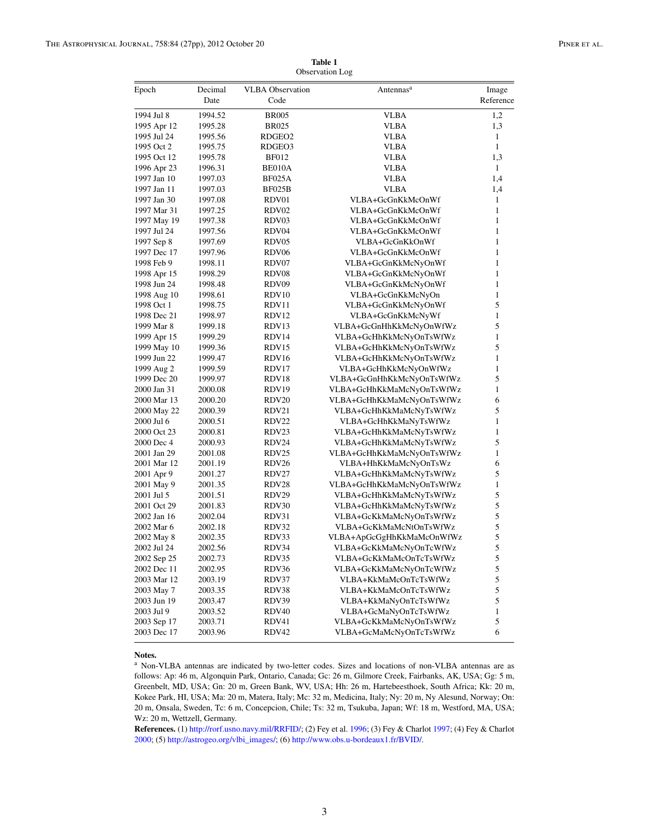<span id="page-4-0"></span>

| Epoch       | Decimal<br>Date | <b>VLBA Observation</b><br>Code | Antennas <sup>a</sup>     | Image<br>Reference |
|-------------|-----------------|---------------------------------|---------------------------|--------------------|
| 1994 Jul 8  | 1994.52         | <b>BR005</b>                    | <b>VLBA</b>               | 1,2                |
| 1995 Apr 12 | 1995.28         | <b>BR025</b>                    | VLBA                      | 1,3                |
| 1995 Jul 24 | 1995.56         | RDGEO <sub>2</sub>              | VLBA                      | $\mathbf{1}$       |
| 1995 Oct 2  | 1995.75         | RDGEO3                          | VLBA                      | $\mathbf{1}$       |
| 1995 Oct 12 | 1995.78         | <b>BF012</b>                    | VLBA                      | 1,3                |
| 1996 Apr 23 | 1996.31         | BE010A                          | VLBA                      | $\mathbf{1}$       |
| 1997 Jan 10 | 1997.03         | <b>BF025A</b>                   | VLBA                      | 1,4                |
| 1997 Jan 11 | 1997.03         | BF025B                          | <b>VLBA</b>               | 1,4                |
| 1997 Jan 30 | 1997.08         | RDV01                           | VLBA+GcGnKkMcOnWf         | 1                  |
| 1997 Mar 31 | 1997.25         | RDV <sub>02</sub>               | VLBA+GcGnKkMcOnWf         | 1                  |
| 1997 May 19 | 1997.38         | RDV03                           | VLBA+GcGnKkMcOnWf         | 1                  |
| 1997 Jul 24 | 1997.56         | RDV04                           | VLBA+GcGnKkMcOnWf         | 1                  |
| 1997 Sep 8  | 1997.69         | RDV <sub>05</sub>               | VLBA+GcGnKkOnWf           | 1                  |
| 1997 Dec 17 | 1997.96         | RDV <sub>06</sub>               | VLBA+GcGnKkMcOnWf         | 1                  |
| 1998 Feb 9  | 1998.11         | RDV07                           | VLBA+GcGnKkMcNyOnWf       | 1                  |
| 1998 Apr 15 | 1998.29         | RDV08                           | VLBA+GcGnKkMcNyOnWf       | 1                  |
| 1998 Jun 24 | 1998.48         | RDV09                           | VLBA+GcGnKkMcNyOnWf       | 1                  |
| 1998 Aug 10 | 1998.61         | RDV <sub>10</sub>               | VLBA+GcGnKkMcNyOn         | 1                  |
| 1998 Oct 1  | 1998.75         | RDV11                           | VLBA+GcGnKkMcNyOnWf       | 5                  |
| 1998 Dec 21 | 1998.97         | RDV <sub>12</sub>               | VLBA+GcGnKkMcNyWf         | 1                  |
| 1999 Mar 8  | 1999.18         | RDV <sub>13</sub>               | VLBA+GcGnHhKkMcNyOnWfWz   | 5                  |
| 1999 Apr 15 | 1999.29         | RDV <sub>14</sub>               | VLBA+GcHhKkMcNyOnTsWfWz   | 1                  |
| 1999 May 10 | 1999.36         | RDV <sub>15</sub>               | VLBA+GcHhKkMcNyOnTsWfWz   | 5                  |
| 1999 Jun 22 | 1999.47         | RDV <sub>16</sub>               | VLBA+GcHhKkMcNyOnTsWfWz   | 1                  |
| 1999 Aug 2  | 1999.59         | RDV17                           | VLBA+GcHhKkMcNyOnWfWz     | 1                  |
| 1999 Dec 20 | 1999.97         | RDV <sub>18</sub>               | VLBA+GcGnHhKkMcNyOnTsWfWz | 5                  |
| 2000 Jan 31 | 2000.08         | RDV <sub>19</sub>               | VLBA+GcHhKkMaMcNyOnTsWfWz | 1                  |
| 2000 Mar 13 | 2000.20         | RDV <sub>20</sub>               | VLBA+GcHhKkMaMcNyOnTsWfWz | 6                  |
| 2000 May 22 | 2000.39         | RDV21                           | VLBA+GcHhKkMaMcNyTsWfWz   | 5                  |
| 2000 Jul 6  | 2000.51         | RDV22                           | VLBA+GcHhKkMaNyTsWfWz     | 1                  |
| 2000 Oct 23 | 2000.81         | RDV <sub>23</sub>               | VLBA+GcHhKkMaMcNyTsWfWz   | 1                  |
| 2000 Dec 4  | 2000.93         | RDV24                           | VLBA+GcHhKkMaMcNyTsWfWz   | 5                  |
| 2001 Jan 29 | 2001.08         | RDV <sub>25</sub>               | VLBA+GcHhKkMaMcNyOnTsWfWz | 1                  |
| 2001 Mar 12 | 2001.19         | RDV <sub>26</sub>               | VLBA+HhKkMaMcNyOnTsWz     | 6                  |
| 2001 Apr 9  | 2001.27         | RDV27                           | VLBA+GcHhKkMaMcNyTsWfWz   | 5                  |
| 2001 May 9  | 2001.35         | RDV28                           | VLBA+GcHhKkMaMcNyOnTsWfWz | 1                  |
| 2001 Jul 5  | 2001.51         | RDV29                           | VLBA+GcHhKkMaMcNyTsWfWz   | 5                  |
| 2001 Oct 29 | 2001.83         | RDV30                           | VLBA+GcHhKkMaMcNyTsWfWz   | 5                  |
| 2002 Jan 16 | 2002.04         | RDV31                           | VLBA+GcKkMaMcNyOnTsWfWz   | 5                  |
| 2002 Mar 6  | 2002.18         | RDV32                           | VLBA+GcKkMaMcNtOnTsWfWz   | 5                  |
| 2002 May 8  | 2002.35         | RDV33                           | VLBA+ApGcGgHhKkMaMcOnWfWz | 5                  |
| 2002 Jul 24 | 2002.56         | RDV34                           | VLBA+GcKkMaMcNyOnTcWfWz   | 5                  |
| 2002 Sep 25 | 2002.73         | RDV35                           | VLBA+GcKkMaMcOnTcTsWfWz   | 5                  |
| 2002 Dec 11 | 2002.95         | RDV36                           | VLBA+GcKkMaMcNyOnTcWfWz   | 5                  |
| 2003 Mar 12 | 2003.19         | RDV37                           | VLBA+KkMaMcOnTcTsWfWz     | 5                  |
| 2003 May 7  | 2003.35         | RDV38                           | VLBA+KkMaMcOnTcTsWfWz     | 5                  |
| 2003 Jun 19 | 2003.47         | RDV39                           | VLBA+KkMaNyOnTcTsWfWz     | 5                  |
| 2003 Jul 9  | 2003.52         | RDV <sub>40</sub>               | VLBA+GcMaNyOnTcTsWfWz     | 1                  |
| 2003 Sep 17 | 2003.71         | RDV41                           | VLBA+GcKkMaMcNyOnTsWfWz   | 5                  |
| 2003 Dec 17 | 2003.96         | RDV42                           | VLBA+GcMaMcNyOnTcTsWfWz   | 6                  |

**Table 1** Observation Log

#### **Notes.**

<sup>a</sup> Non-VLBA antennas are indicated by two-letter codes. Sizes and locations of non-VLBA antennas are as follows: Ap: 46 m, Algonquin Park, Ontario, Canada; Gc: 26 m, Gilmore Creek, Fairbanks, AK, USA; Gg: 5 m, Greenbelt, MD, USA; Gn: 20 m, Green Bank, WV, USA; Hh: 26 m, Hartebeesthoek, South Africa; Kk: 20 m, Kokee Park, HI, USA; Ma: 20 m, Matera, Italy; Mc: 32 m, Medicina, Italy; Ny: 20 m, Ny Alesund, Norway; On: 20 m, Onsala, Sweden, Tc: 6 m, Concepcion, Chile; Ts: 32 m, Tsukuba, Japan; Wf: 18 m, Westford, MA, USA; Wz: 20 m, Wettzell, Germany.

**References.** (1) [http://rorf.usno.navy.mil/RRFID/;](http://rorf.usno.navy.mil/RRFID/) (2) Fey et al. [1996;](#page-28-0) (3) Fey & Charlot [1997;](#page-28-0) (4) Fey & Charlot [2000;](#page-28-0) (5) [http://astrogeo.org/vlbi\\_images/;](http://astrogeo.org/vlbi_images/) (6) [http://www.obs.u-bordeaux1.fr/BVID/.](http://www.obs.u-bordeaux1.fr/BVID/)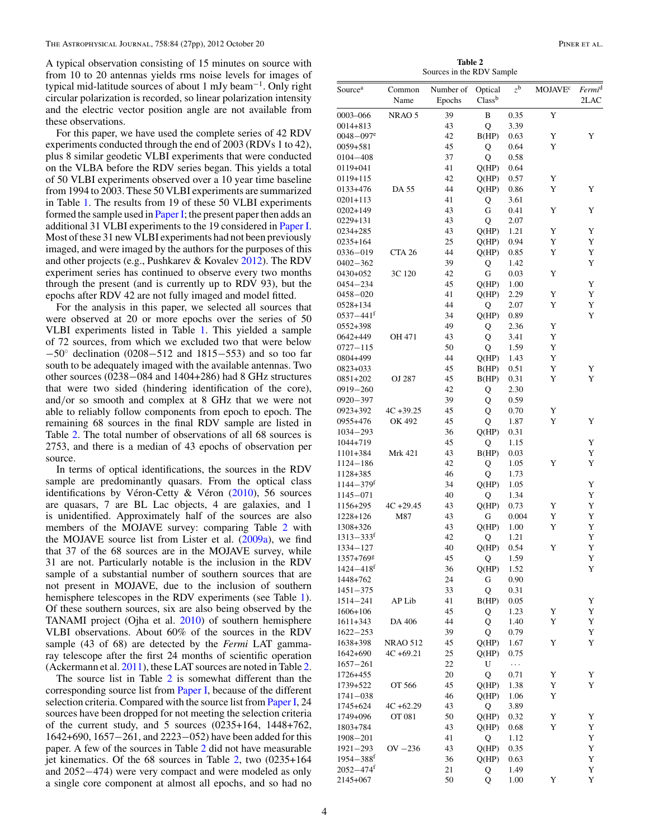<span id="page-5-0"></span>A typical observation consisting of 15 minutes on source with from 10 to 20 antennas yields rms noise levels for images of typical mid-latitude sources of about 1 mJy beam<sup>-1</sup>. Only right circular polarization is recorded, so linear polarization intensity and the electric vector position angle are not available from these observations.

For this paper, we have used the complete series of 42 RDV experiments conducted through the end of 2003 (RDVs 1 to 42), plus 8 similar geodetic VLBI experiments that were conducted on the VLBA before the RDV series began. This yields a total of 50 VLBI experiments observed over a 10 year time baseline from 1994 to 2003. These 50 VLBI experiments are summarized in Table [1.](#page-4-0) The results from 19 of these 50 VLBI experiments formed the sample used in [Paper I;](#page-28-0) the present paper then adds an additional 31 VLBI experiments to the 19 considered in [Paper I.](#page-28-0) Most of these 31 new VLBI experiments had not been previously imaged, and were imaged by the authors for the purposes of this and other projects (e.g., Pushkarev & Kovalev [2012\)](#page-28-0). The RDV experiment series has continued to observe every two months through the present (and is currently up to RDV 93), but the epochs after RDV 42 are not fully imaged and model fitted.

For the analysis in this paper, we selected all sources that were observed at 20 or more epochs over the series of 50 VLBI experiments listed in Table [1.](#page-4-0) This yielded a sample of 72 sources, from which we excluded two that were below −50◦ declination (0208−512 and 1815−553) and so too far south to be adequately imaged with the available antennas. Two other sources (0238−084 and 1404+286) had 8 GHz structures that were two sided (hindering identification of the core), and*/*or so smooth and complex at 8 GHz that we were not able to reliably follow components from epoch to epoch. The remaining 68 sources in the final RDV sample are listed in Table 2. The total number of observations of all 68 sources is 2753, and there is a median of 43 epochs of observation per source.

In terms of optical identifications, the sources in the RDV sample are predominantly quasars. From the optical class identifications by Véron-Cetty & Véron  $(2010)$  $(2010)$ , 56 sources are quasars, 7 are BL Lac objects, 4 are galaxies, and 1 is unidentified. Approximately half of the sources are also members of the MOJAVE survey: comparing Table 2 with the MOJAVE source list from Lister et al. [\(2009a\)](#page-28-0), we find that 37 of the 68 sources are in the MOJAVE survey, while 31 are not. Particularly notable is the inclusion in the RDV sample of a substantial number of southern sources that are not present in MOJAVE, due to the inclusion of southern hemisphere telescopes in the RDV experiments (see Table [1\)](#page-4-0). Of these southern sources, six are also being observed by the TANAMI project (Ojha et al. [2010\)](#page-28-0) of southern hemisphere VLBI observations. About 60% of the sources in the RDV sample (43 of 68) are detected by the *Fermi* LAT gammaray telescope after the first 24 months of scientific operation (Ackermann et al. [2011\)](#page-28-0), these LAT sources are noted in Table 2.

The source list in Table 2 is somewhat different than the corresponding source list from [Paper I,](#page-28-0) because of the different selection criteria. Compared with the source list from [Paper I,](#page-28-0) 24 sources have been dropped for not meeting the selection criteria of the current study, and 5 sources (0235+164, 1448+762, 1642+690, 1657−261, and 2223−052) have been added for this paper. A few of the sources in Table 2 did not have measurable jet kinematics. Of the 68 sources in Table 2, two (0235+164 and 2052−474) were very compact and were modeled as only a single core component at almost all epochs, and so had no

**Table 2** Sources in the RDV Sample

| Source <sup>a</sup>       | Common<br>Name                  | Number of<br>Epochs | Optical<br>Class <sup>b</sup> | $z^{\rm b}$  | <b>MOJAVE<sup>c</sup></b> | Fermi <sup>d</sup><br>2LAC |
|---------------------------|---------------------------------|---------------------|-------------------------------|--------------|---------------------------|----------------------------|
| 0003-066                  | NRAO 5                          | 39                  | B                             | 0.35         | Y                         |                            |
| $0014 + 813$              |                                 | 43                  | Q                             | 3.39         |                           |                            |
| $0048 - 097$ <sup>e</sup> |                                 | 42                  | B(HP)                         | 0.63         | Y                         | Y                          |
| $0059 + 581$              |                                 | 45                  | Q                             | 0.64         | Y                         |                            |
| $0104 - 408$              |                                 | 37                  | Q                             | 0.58         |                           |                            |
| 0119+041                  |                                 | 41                  | Q(HP)                         | 0.64         |                           |                            |
| $0119 + 115$              |                                 | 42                  | Q(HP)                         | 0.57         | Y                         |                            |
| 0133+476                  | DA 55                           | 44                  | Q(HP)                         | 0.86         | Y                         | Y                          |
| $0201 + 113$              |                                 | 41                  | Q                             | 3.61         |                           |                            |
| $0202 + 149$              |                                 | 43                  | G                             | 0.41         | Y                         | Y                          |
| $0229 + 131$              |                                 | 43                  | Q                             | 2.07         |                           |                            |
| 0234+285                  |                                 | 43                  | Q(HP)                         | 1.21         | Y                         | Y                          |
| $0235 + 164$<br>0336-019  |                                 | 25<br>44            | Q(HP)<br>Q(HP)                | 0.94<br>0.85 | Y<br>Y                    | Y<br>Y                     |
| $0402 - 362$              | CTA 26                          | 39                  | Q                             | 1.42         |                           | Y                          |
| 0430+052                  | 3C 120                          | 42                  | $\mathbf G$                   | 0.03         | Y                         |                            |
| $0454 - 234$              |                                 | 45                  | Q(HP)                         | 1.00         |                           | Y                          |
| $0458 - 020$              |                                 | 41                  | Q(HP)                         | 2.29         | Y                         | Y                          |
| $0528 + 134$              |                                 | 44                  | Q                             | 2.07         | Y                         | Y                          |
| $0537 - 441$ <sup>f</sup> |                                 | 34                  | Q(HP)                         | 0.89         |                           | Y                          |
| 0552+398                  |                                 | 49                  | Q                             | 2.36         | Y                         |                            |
| 0642+449                  | OH 471                          | 43                  | Q                             | 3.41         | Y                         |                            |
| $0727 - 115$              |                                 | 50                  | Q                             | 1.59         | Y                         |                            |
| 0804+499                  |                                 | 44                  | Q(HP)                         | 1.43         | Y                         |                            |
| 0823+033                  |                                 | 45                  | B(HP)                         | 0.51         | Y                         | Y                          |
| $0851 + 202$              | OJ 287                          | 45                  | B(HP)                         | 0.31         | Y                         | Y                          |
| $0919 - 260$              |                                 | 42                  | Q                             | 2.30         |                           |                            |
| $0920 - 397$              |                                 | 39                  | Q                             | 0.59         |                           |                            |
| 0923+392                  | $4C + 39.25$                    | 45                  | Q                             | 0.70         | Y                         |                            |
| 0955+476                  | OK 492                          | 45                  | Q                             | 1.87         | Y                         | Y                          |
| $1034 - 293$              |                                 | 36                  | Q(HP)                         | 0.31         |                           |                            |
| $1044 + 719$              |                                 | 45                  | Q                             | 1.15         |                           | Y                          |
| 1101+384<br>$1124 - 186$  | <b>Mrk 421</b>                  | 43<br>42            | B(HP)                         | 0.03         | Y                         | Y<br>Y                     |
| 1128+385                  |                                 | 46                  | Q<br>Q                        | 1.05<br>1.73 |                           |                            |
| $1144 - 379$ <sup>f</sup> |                                 | 34                  | Q(HP)                         | 1.05         |                           | Y                          |
| 1145-071                  |                                 | 40                  | Q                             | 1.34         |                           | Y                          |
| 1156+295                  | $4C + 29.45$                    | 43                  | Q(HP)                         | 0.73         | Y                         | Y                          |
| 1228+126                  | M87                             | 43                  | G                             | 0.004        | Y                         | Y                          |
| 1308+326                  |                                 | 43                  | Q(HP)                         | 1.00         | Y                         | Y                          |
| $1313 - 333$ <sup>f</sup> |                                 | 42                  | Q                             | 1.21         |                           | Y                          |
| 1334-127                  |                                 | 40                  | Q(HP)                         | 0.54         | Y                         | Y                          |
| 1357+769g                 |                                 | 45                  | Q                             | 1.59         |                           | Y                          |
| $1424 - 418$ <sup>t</sup> |                                 | 36                  | Q(HP)                         | 1.52         |                           | Y                          |
| 1448+762                  |                                 | 24                  | G                             | 0.90         |                           |                            |
| $1451 - 375$              |                                 | 33                  | Q                             | 0.31         |                           |                            |
| 1514-241                  | AP Lib                          | 41                  | B(HP)                         | 0.05         |                           | Y                          |
| 1606+106                  |                                 | 45                  | Q                             | 1.23         | Y                         | Y                          |
| $1611 + 343$              | DA 406                          | 44                  | Q                             | 1.40         | Y                         | Y                          |
| $1622 - 253$              |                                 | 39                  | Q                             | 0.79         |                           | Y                          |
| 1638+398<br>1642+690      | <b>NRAO 512</b><br>$4C + 69.21$ | 45<br>25            | Q(HP)<br>Q(HP)                | 1.67<br>0.75 | Y                         | Y                          |
| $1657 - 261$              |                                 | 22                  | U                             | $\ldots$     |                           |                            |
| 1726+455                  |                                 | 20                  | Q                             | 0.71         | Y                         | Y                          |
| 1739+522                  | OT 566                          | 45                  | Q(HP)                         | 1.38         | Y                         | Y                          |
| $1741 - 038$              |                                 | 46                  | Q(HP)                         | 1.06         | Y                         |                            |
| 1745+624                  | $4C + 62.29$                    | 43                  | Q                             | 3.89         |                           |                            |
| 1749+096                  | OT 081                          | 50                  | Q(HP)                         | 0.32         | Y                         | Y                          |
| 1803+784                  |                                 | 43                  | Q(HP)                         | 0.68         | Y                         | Y                          |
| $1908 - 201$              |                                 | 41                  | Q                             | 1.12         |                           | Y                          |
| $1921 - 293$              | $OV -236$                       | 43                  | Q(HP)                         | 0.35         |                           | Y                          |
| $1954 - 388$ <sup>f</sup> |                                 | 36                  | Q(HP)                         | 0.63         |                           | Y                          |
| $2052 - 474$ <sup>f</sup> |                                 | 21                  | Q                             | 1.49         |                           | Y                          |
| 2145+067                  |                                 | 50                  | Q                             | 1.00         | Y                         | Y                          |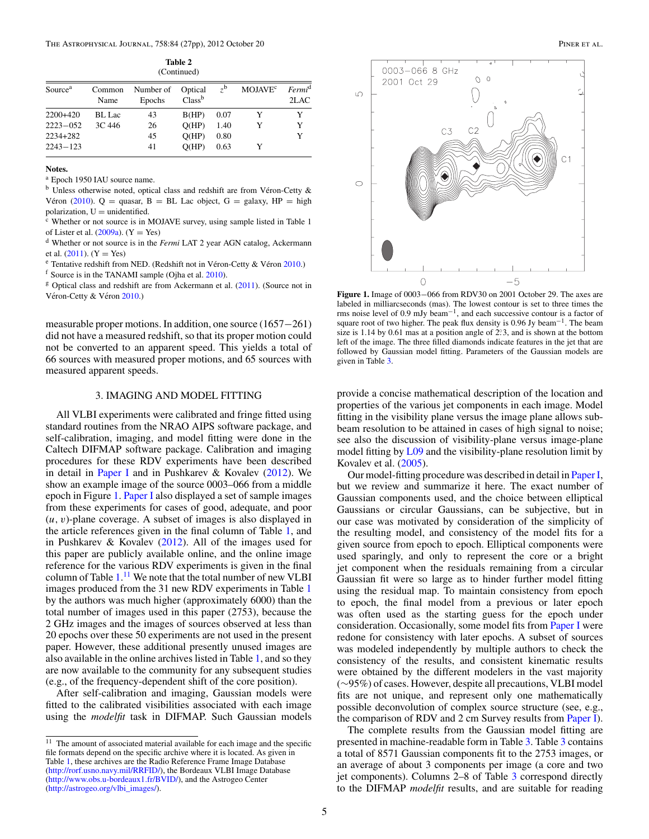**Table 2** (Continued)

<span id="page-6-0"></span>

| Source <sup>a</sup> | Common<br>Name | Number of<br>Epochs | Optical<br>Class <sup>b</sup> | $7^{\rm b}$ | <b>MOJAVE<sup>c</sup></b> | Fermi <sup>d</sup><br>2LAC |
|---------------------|----------------|---------------------|-------------------------------|-------------|---------------------------|----------------------------|
| $2200+420$          | BL Lac         | 43                  | B(HP)                         | 0.07        |                           | Y                          |
| $2223 - 052$        | 3C 446         | 26                  | O(HP)                         | 1.40        |                           | Y                          |
| 2234+282            |                | 45                  | O(HP)                         | 0.80        |                           | Y                          |
| $2243 - 123$        |                | 41                  | O(HP)                         | 0.63        |                           |                            |

#### **Notes.**

<sup>a</sup> Epoch 1950 IAU source name.

 $<sup>b</sup>$  Unless otherwise noted, optical class and redshift are from Véron-Cetty  $\&$ </sup> Véron ([2010\)](#page-28-0). Q = quasar, B = BL Lac object, G = galaxy, HP = high polarization, U = unidentified.

 $\epsilon$  Whether or not source is in MOJAVE survey, using sample listed in Table 1 of Lister et al. [\(2009a\)](#page-28-0). (Y = Yes)<br><sup>d</sup> Whether or not source is in the *Fermi* LAT 2 year AGN catalog, Ackermann

et al. [\(2011\)](#page-28-0). (Y = Yes)<br><sup>e</sup> Tentative redshift from NED. (Redshift not in Véron-Cetty & Véron [2010.](#page-28-0))

 $f$  Source is in the TANAMI sample (Ojha et al. [2010\)](#page-28-0).

<sup>g</sup> Optical class and redshift are from Ackermann et al. [\(2011\)](#page-28-0). (Source not in Véron-Cetty & Véron [2010.](#page-28-0))

measurable proper motions. In addition, one source (1657−261) did not have a measured redshift, so that its proper motion could not be converted to an apparent speed. This yields a total of 66 sources with measured proper motions, and 65 sources with measured apparent speeds.

#### 3. IMAGING AND MODEL FITTING

All VLBI experiments were calibrated and fringe fitted using standard routines from the NRAO AIPS software package, and self-calibration, imaging, and model fitting were done in the Caltech DIFMAP software package. Calibration and imaging procedures for these RDV experiments have been described in detail in [Paper I](#page-28-0) and in Pushkarev & Kovalev [\(2012\)](#page-28-0). We show an example image of the source 0003–066 from a middle epoch in Figure 1. [Paper I](#page-28-0) also displayed a set of sample images from these experiments for cases of good, adequate, and poor (*u,v*)-plane coverage. A subset of images is also displayed in the article references given in the final column of Table [1,](#page-4-0) and in Pushkarev & Kovalev [\(2012\)](#page-28-0). All of the images used for this paper are publicly available online, and the online image reference for the various RDV experiments is given in the final column of Table [1.](#page-4-0)<sup>11</sup> We note that the total number of new VLBI images produced from the 31 new RDV experiments in Table [1](#page-4-0) by the authors was much higher (approximately 6000) than the total number of images used in this paper (2753), because the 2 GHz images and the images of sources observed at less than 20 epochs over these 50 experiments are not used in the present paper. However, these additional presently unused images are also available in the online archives listed in Table [1,](#page-4-0) and so they are now available to the community for any subsequent studies (e.g., of the frequency-dependent shift of the core position).

After self-calibration and imaging, Gaussian models were fitted to the calibrated visibilities associated with each image using the *modelfit* task in DIFMAP. Such Gaussian models





**Figure 1.** Image of 0003−066 from RDV30 on 2001 October 29. The axes are labeled in milliarcseconds (mas). The lowest contour is set to three times the rms noise level of 0.9 mJy beam−1, and each successive contour is a factor of square root of two higher. The peak flux density is 0.96 Jy beam−1. The beam size is 1.14 by 0.61 mas at a position angle of 2. 3, and is shown at the bottom left of the image. The three filled diamonds indicate features in the jet that are followed by Gaussian model fitting. Parameters of the Gaussian models are given in Table [3.](#page-7-0)

provide a concise mathematical description of the location and properties of the various jet components in each image. Model fitting in the visibility plane versus the image plane allows subbeam resolution to be attained in cases of high signal to noise; see also the discussion of visibility-plane versus image-plane model fitting by [L09](#page-28-0) and the visibility-plane resolution limit by Kovalev et al. [\(2005\)](#page-28-0).

Our model-fitting procedure was described in detail in [Paper I,](#page-28-0) but we review and summarize it here. The exact number of Gaussian components used, and the choice between elliptical Gaussians or circular Gaussians, can be subjective, but in our case was motivated by consideration of the simplicity of the resulting model, and consistency of the model fits for a given source from epoch to epoch. Elliptical components were used sparingly, and only to represent the core or a bright jet component when the residuals remaining from a circular Gaussian fit were so large as to hinder further model fitting using the residual map. To maintain consistency from epoch to epoch, the final model from a previous or later epoch was often used as the starting guess for the epoch under consideration. Occasionally, some model fits from [Paper I](#page-28-0) were redone for consistency with later epochs. A subset of sources was modeled independently by multiple authors to check the consistency of the results, and consistent kinematic results were obtained by the different modelers in the vast majority (∼95%) of cases. However, despite all precautions, VLBI model fits are not unique, and represent only one mathematically possible deconvolution of complex source structure (see, e.g., the comparison of RDV and 2 cm Survey results from [Paper I\)](#page-28-0).

The complete results from the Gaussian model fitting are presented in machine-readable form in Table [3.](#page-7-0) Table [3](#page-7-0) contains a total of 8571 Gaussian components fit to the 2753 images, or an average of about 3 components per image (a core and two jet components). Columns 2–8 of Table [3](#page-7-0) correspond directly to the DIFMAP *modelfit* results, and are suitable for reading

 $^{11}\,$  The amount of associated material available for each image and the specific file formats depend on the specific archive where it is located. As given in Table [1,](#page-4-0) these archives are the Radio Reference Frame Image Database [\(http://rorf.usno.navy.mil/RRFID/\)](http://rorf.usno.navy.mil/RRFID/), the Bordeaux VLBI Image Database [\(http://www.obs.u-bordeaux1.fr/BVID/\)](http://www.obs.u-bordeaux1.fr/BVID/), and the Astrogeo Center [\(http://astrogeo.org/vlbi\\_images/\)](http://astrogeo.org/vlbi_images/).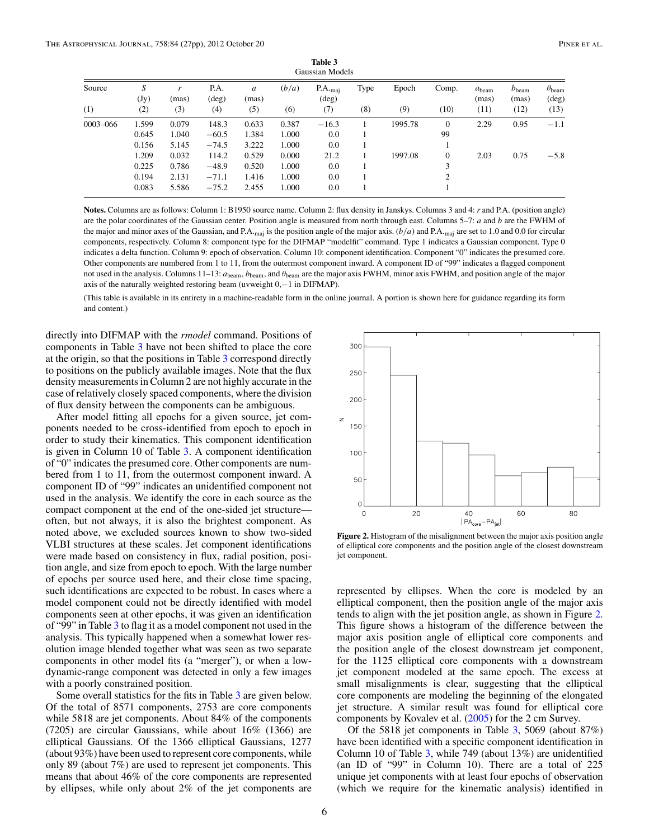<span id="page-7-0"></span>

|          |           |            |                        |                           |       | Gaussian Models                |      |         |                |                            |                            |                                          |
|----------|-----------|------------|------------------------|---------------------------|-------|--------------------------------|------|---------|----------------|----------------------------|----------------------------|------------------------------------------|
| Source   | S<br>(Jy) | r<br>(mas) | P.A.<br>$(\text{deg})$ | $\boldsymbol{a}$<br>(mas) | (b/a) | $P.A._{maj}$<br>$(\text{deg})$ | Type | Epoch   | Comp.          | $a_{\text{beam}}$<br>(mas) | $b_{\text{beam}}$<br>(mas) | $\theta_{\text{beam}}$<br>$(\text{deg})$ |
| (1)      | (2)       | (3)        | (4)                    | (5)                       | (6)   | (7)                            | (8)  | (9)     | (10)           | (11)                       | (12)                       | (13)                                     |
| 0003–066 | 1.599     | 0.079      | 148.3                  | 0.633                     | 0.387 | $-16.3$                        |      | 1995.78 | $\overline{0}$ | 2.29                       | 0.95                       | $-1.1$                                   |
|          | 0.645     | 1.040      | $-60.5$                | 1.384                     | 1.000 | 0.0                            |      |         | 99             |                            |                            |                                          |
|          | 0.156     | 5.145      | $-74.5$                | 3.222                     | 1.000 | 0.0                            |      |         |                |                            |                            |                                          |
|          | 1.209     | 0.032      | 114.2                  | 0.529                     | 0.000 | 21.2                           |      | 1997.08 | $\overline{0}$ | 2.03                       | 0.75                       | $-5.8$                                   |
|          | 0.225     | 0.786      | $-48.9$                | 0.520                     | 1.000 | 0.0                            |      |         | 3              |                            |                            |                                          |
|          | 0.194     | 2.131      | $-71.1$                | 1.416                     | 1.000 | 0.0                            |      |         | $\overline{c}$ |                            |                            |                                          |
|          | 0.083     | 5.586      | $-75.2$                | 2.455                     | 1.000 | 0.0                            |      |         |                |                            |                            |                                          |

**Table 3**

**Notes.** Columns are as follows: Column 1: B1950 source name. Column 2: flux density in Janskys. Columns 3 and 4: *r* and P.A. (position angle) are the polar coordinates of the Gaussian center. Position angle is measured from north through east. Columns 5–7: *a* and *b* are the FWHM of the major and minor axes of the Gaussian, and P.A.<sub>maj</sub> is the position angle of the major axis.  $(b/a)$  and P.A.<sub>maj</sub> are set to 1.0 and 0.0 for circular components, respectively. Column 8: component type for the DIFMAP "modelfit" command. Type 1 indicates a Gaussian component. Type 0 indicates a delta function. Column 9: epoch of observation. Column 10: component identification. Component "0" indicates the presumed core. Other components are numbered from 1 to 11, from the outermost component inward. A component ID of "99" indicates a flagged component not used in the analysis. Columns 11–13: *a*beam, *b*beam, and *θ*beam are the major axis FWHM, minor axis FWHM, and position angle of the major axis of the naturally weighted restoring beam (uvweight 0,−1 in DIFMAP).

(This table is available in its entirety in a machine-readable form in the online journal. A portion is shown here for guidance regarding its form and content.)

directly into DIFMAP with the *rmodel* command. Positions of components in Table 3 have not been shifted to place the core at the origin, so that the positions in Table 3 correspond directly to positions on the publicly available images. Note that the flux density measurements in Column 2 are not highly accurate in the case of relatively closely spaced components, where the division of flux density between the components can be ambiguous.

After model fitting all epochs for a given source, jet components needed to be cross-identified from epoch to epoch in order to study their kinematics. This component identification is given in Column 10 of Table 3. A component identification of "0" indicates the presumed core. Other components are numbered from 1 to 11, from the outermost component inward. A component ID of "99" indicates an unidentified component not used in the analysis. We identify the core in each source as the compact component at the end of the one-sided jet structure often, but not always, it is also the brightest component. As noted above, we excluded sources known to show two-sided VLBI structures at these scales. Jet component identifications were made based on consistency in flux, radial position, position angle, and size from epoch to epoch. With the large number of epochs per source used here, and their close time spacing, such identifications are expected to be robust. In cases where a model component could not be directly identified with model components seen at other epochs, it was given an identification of "99" in Table 3 to flag it as a model component not used in the analysis. This typically happened when a somewhat lower resolution image blended together what was seen as two separate components in other model fits (a "merger"), or when a lowdynamic-range component was detected in only a few images with a poorly constrained position.

Some overall statistics for the fits in Table 3 are given below. Of the total of 8571 components, 2753 are core components while 5818 are jet components. About 84% of the components (7205) are circular Gaussians, while about 16% (1366) are elliptical Gaussians. Of the 1366 elliptical Gaussians, 1277 (about 93%) have been used to represent core components, while only 89 (about 7%) are used to represent jet components. This means that about 46% of the core components are represented by ellipses, while only about 2% of the jet components are



**Figure 2.** Histogram of the misalignment between the major axis position angle of elliptical core components and the position angle of the closest downstream jet component.

represented by ellipses. When the core is modeled by an elliptical component, then the position angle of the major axis tends to align with the jet position angle, as shown in Figure 2. This figure shows a histogram of the difference between the major axis position angle of elliptical core components and the position angle of the closest downstream jet component, for the 1125 elliptical core components with a downstream jet component modeled at the same epoch. The excess at small misalignments is clear, suggesting that the elliptical core components are modeling the beginning of the elongated jet structure. A similar result was found for elliptical core components by Kovalev et al. [\(2005\)](#page-28-0) for the 2 cm Survey.

Of the 5818 jet components in Table 3, 5069 (about 87%) have been identified with a specific component identification in Column 10 of Table 3, while 749 (about 13%) are unidentified (an ID of "99" in Column 10). There are a total of 225 unique jet components with at least four epochs of observation (which we require for the kinematic analysis) identified in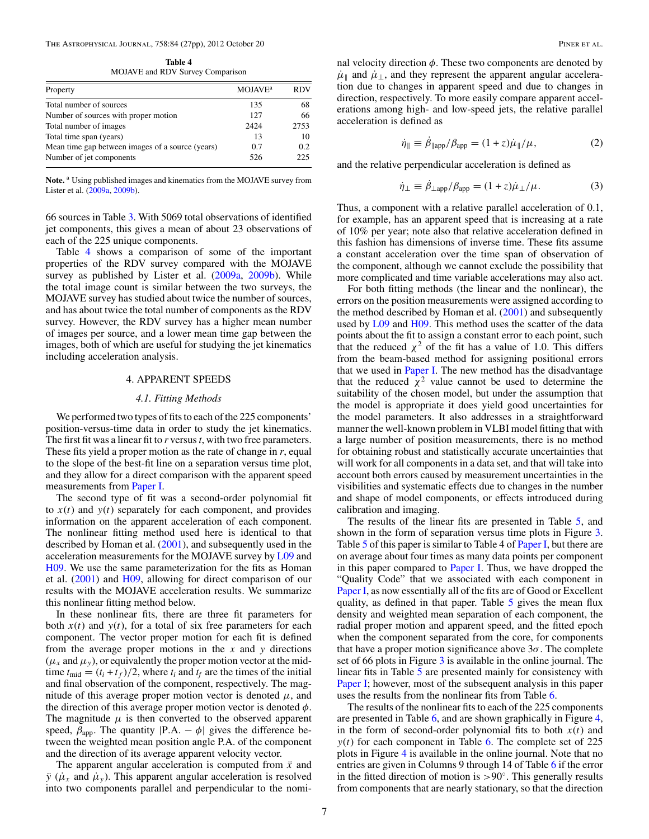**Table 4** MOJAVE and RDV Survey Comparison

<span id="page-8-0"></span>

| Property                                         | MOJAVE <sup>a</sup> | RDV  |
|--------------------------------------------------|---------------------|------|
| Total number of sources                          | 135                 | 68   |
| Number of sources with proper motion             | 127                 | 66   |
| Total number of images                           | 2424                | 2753 |
| Total time span (years)                          | 13                  | 10   |
| Mean time gap between images of a source (years) | 0.7                 | 0.2  |
| Number of jet components                         | 526                 | 225  |

Note.<sup>a</sup> Using published images and kinematics from the MOJAVE survey from Lister et al. [\(2009a,](#page-28-0) [2009b\)](#page-28-0).

66 sources in Table [3.](#page-7-0) With 5069 total observations of identified jet components, this gives a mean of about 23 observations of each of the 225 unique components.

Table 4 shows a comparison of some of the important properties of the RDV survey compared with the MOJAVE survey as published by Lister et al. [\(2009a,](#page-28-0) [2009b\)](#page-28-0). While the total image count is similar between the two surveys, the MOJAVE survey has studied about twice the number of sources, and has about twice the total number of components as the RDV survey. However, the RDV survey has a higher mean number of images per source, and a lower mean time gap between the images, both of which are useful for studying the jet kinematics including acceleration analysis.

#### 4. APPARENT SPEEDS

#### *4.1. Fitting Methods*

We performed two types of fits to each of the 225 components' position-versus-time data in order to study the jet kinematics. The first fit was a linear fit to *r* versus*t*, with two free parameters. These fits yield a proper motion as the rate of change in *r*, equal to the slope of the best-fit line on a separation versus time plot, and they allow for a direct comparison with the apparent speed measurements from [Paper I.](#page-28-0)

The second type of fit was a second-order polynomial fit to  $x(t)$  and  $y(t)$  separately for each component, and provides information on the apparent acceleration of each component. The nonlinear fitting method used here is identical to that described by Homan et al.  $(2001)$ , and subsequently used in the acceleration measurements for the MOJAVE survey by [L09](#page-28-0) and [H09.](#page-28-0) We use the same parameterization for the fits as Homan et al. [\(2001\)](#page-28-0) and [H09,](#page-28-0) allowing for direct comparison of our results with the MOJAVE acceleration results. We summarize this nonlinear fitting method below.

In these nonlinear fits, there are three fit parameters for both  $x(t)$  and  $y(t)$ , for a total of six free parameters for each component. The vector proper motion for each fit is defined from the average proper motions in the *x* and *y* directions  $(\mu_x \text{ and } \mu_y)$ , or equivalently the proper motion vector at the midtime  $t_{\text{mid}} = (t_i + t_f)/2$ , where  $t_i$  and  $t_f$  are the times of the initial and final observation of the component, respectively. The magnitude of this average proper motion vector is denoted  $\mu$ , and the direction of this average proper motion vector is denoted *φ*. The magnitude  $\mu$  is then converted to the observed apparent speed,  $\beta_{\text{app}}$ . The quantity  $|P.A. - \phi|$  gives the difference between the weighted mean position angle P.A. of the component and the direction of its average apparent velocity vector.

The apparent angular acceleration is computed from *x*¨ and *y* ( $\mu_r$  and  $\mu_v$ ). This apparent angular acceleration is resolved into two components parallel and perpendicular to the nominal velocity direction  $\phi$ . These two components are denoted by  $\mu_{\parallel}$  and  $\mu_{\perp}$ , and they represent the apparent angular acceleration due to changes in apparent speed and due to changes in direction, respectively. To more easily compare apparent accelerations among high- and low-speed jets, the relative parallel acceleration is defined as

$$
\dot{\eta}_{\parallel} \equiv \dot{\beta}_{\parallel \text{app}} / \beta_{\text{app}} = (1 + z)\dot{\mu}_{\parallel} / \mu, \tag{2}
$$

and the relative perpendicular acceleration is defined as

$$
\dot{\eta}_{\perp} \equiv \beta_{\perp app} / \beta_{app} = (1+z)\dot{\mu}_{\perp} / \mu. \tag{3}
$$

Thus, a component with a relative parallel acceleration of 0.1, for example, has an apparent speed that is increasing at a rate of 10% per year; note also that relative acceleration defined in this fashion has dimensions of inverse time. These fits assume a constant acceleration over the time span of observation of the component, although we cannot exclude the possibility that more complicated and time variable accelerations may also act.

For both fitting methods (the linear and the nonlinear), the errors on the position measurements were assigned according to the method described by Homan et al. [\(2001\)](#page-28-0) and subsequently used by [L09](#page-28-0) and [H09.](#page-28-0) This method uses the scatter of the data points about the fit to assign a constant error to each point, such that the reduced  $\chi^2$  of the fit has a value of 1.0. This differs from the beam-based method for assigning positional errors that we used in [Paper I.](#page-28-0) The new method has the disadvantage that the reduced  $\chi^2$  value cannot be used to determine the suitability of the chosen model, but under the assumption that the model is appropriate it does yield good uncertainties for the model parameters. It also addresses in a straightforward manner the well-known problem in VLBI model fitting that with a large number of position measurements, there is no method for obtaining robust and statistically accurate uncertainties that will work for all components in a data set, and that will take into account both errors caused by measurement uncertainties in the visibilities and systematic effects due to changes in the number and shape of model components, or effects introduced during calibration and imaging.

The results of the linear fits are presented in Table [5,](#page-9-0) and shown in the form of separation versus time plots in Figure [3.](#page-19-0) Table [5](#page-9-0) of this paper is similar to Table 4 of [Paper I,](#page-28-0) but there are on average about four times as many data points per component in this paper compared to [Paper I.](#page-28-0) Thus, we have dropped the "Quality Code" that we associated with each component in [Paper I,](#page-28-0) as now essentially all of the fits are of Good or Excellent quality, as defined in that paper. Table [5](#page-9-0) gives the mean flux density and weighted mean separation of each component, the radial proper motion and apparent speed, and the fitted epoch when the component separated from the core, for components that have a proper motion significance above 3*σ*. The complete set of 66 plots in Figure  $3$  is available in the online journal. The linear fits in Table [5](#page-9-0) are presented mainly for consistency with [Paper I;](#page-28-0) however, most of the subsequent analysis in this paper uses the results from the nonlinear fits from Table [6.](#page-13-0)

The results of the nonlinear fits to each of the 225 components are presented in Table [6,](#page-13-0) and are shown graphically in Figure [4,](#page-19-0) in the form of second-order polynomial fits to both  $x(t)$  and  $y(t)$  for each component in Table [6.](#page-13-0) The complete set of 225 plots in Figure [4](#page-19-0) is available in the online journal. Note that no entries are given in Columns 9 through 14 of Table [6](#page-13-0) if the error in the fitted direction of motion is *>*90◦. This generally results from components that are nearly stationary, so that the direction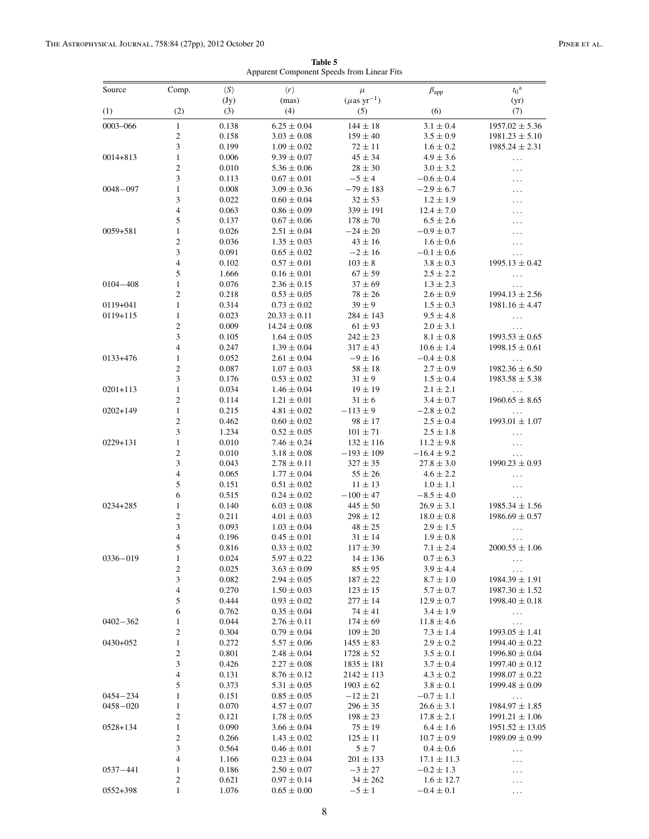**Table 5** Apparent Component Speeds from Linear Fits

<span id="page-9-0"></span>

| Source       | Comp.                          | $\langle S \rangle$ | $\langle r \rangle$<br>(mas)       | $\mu$<br>$(\mu$ as yr <sup>-1</sup> ) | $\beta_{app}$                     | $t_0^{\text{a}}$                         |
|--------------|--------------------------------|---------------------|------------------------------------|---------------------------------------|-----------------------------------|------------------------------------------|
| (1)          | (2)                            | (Jy)<br>(3)         | (4)                                | (5)                                   | (6)                               | (yr)<br>(7)                              |
| 0003-066     | $\mathbf{1}$                   |                     |                                    |                                       |                                   |                                          |
|              | $\mathfrak{2}$                 | 0.138<br>0.158      | $6.25 \pm 0.04$<br>$3.03 \pm 0.08$ | $144 \pm 18$<br>$159 \pm 40$          | $3.1 \pm 0.4$<br>$3.5 \pm 0.9$    | $1957.02 \pm 5.36$<br>$1981.23 \pm 5.10$ |
|              | 3                              | 0.199               | $1.09 \pm 0.02$                    | $72 \pm 11$                           | $1.6 \pm 0.2$                     | $1985.24 \pm 2.31$                       |
| $0014 + 813$ | $\mathbf{1}$                   | 0.006               | $9.39 \pm 0.07$                    | $45 \pm 34$                           | $4.9 \pm 3.6$                     | $\ldots$                                 |
|              | $\overline{c}$                 | 0.010               | $5.36 \pm 0.06$                    | $28 \pm 30$                           | $3.0 \pm 3.2$                     | .                                        |
|              | 3                              | 0.113               | $0.67 \pm 0.01$                    | $-5 \pm 4$                            | $-0.6 \pm 0.4$                    | .                                        |
| $0048 - 097$ | $\mathbf{1}$                   | 0.008               | $3.09 \pm 0.36$                    | $-79 \pm 183$                         | $-2.9 \pm 6.7$                    | .                                        |
|              | 3                              | 0.022               | $0.60 \pm 0.04$                    | $32 \pm 53$                           | $1.2 \pm 1.9$                     | .                                        |
|              | $\overline{4}$<br>5            | 0.063<br>0.137      | $0.86\pm0.09$                      | $339 \pm 191$                         | $12.4 \pm 7.0$<br>$6.5 \pm 2.6$   | .                                        |
| $0059 + 581$ | $\mathbf{1}$                   | 0.026               | $0.67 \pm 0.06$<br>$2.51 \pm 0.04$ | $178 \pm 70$<br>$-24\pm20$            | $-0.9 \pm 0.7$                    | .                                        |
|              | $\mathfrak{2}$                 | 0.036               | $1.35 \pm 0.03$                    | $43 \pm 16$                           | $1.6 \pm 0.6$                     | .<br>.                                   |
|              | 3                              | 0.091               | $0.65 \pm 0.02$                    | $-2 \pm 16$                           | $-0.1 \pm 0.6$                    | $\ddotsc$                                |
|              | $\overline{4}$                 | 0.102               | $0.57 \pm 0.01$                    | $103\pm8$                             | $3.8 \pm 0.3$                     | $1995.13 \pm 0.42$                       |
|              | 5                              | 1.666               | $0.16 \pm 0.01$                    | $67 \pm 59$                           | $2.5 \pm 2.2$                     | $\ldots$                                 |
| $0104 - 408$ | $\mathbf{1}$                   | 0.076               | $2.36 \pm 0.15$                    | $37 \pm 69$                           | $1.3 \pm 2.3$                     | .                                        |
|              | $\overline{c}$                 | 0.218               | $0.53 \pm 0.05$                    | $78 \pm 26$                           | $2.6 \pm 0.9$                     | $1994.13 \pm 2.56$                       |
| 0119+041     | $\mathbf{1}$                   | 0.314               | $0.73 \pm 0.02$                    | $39 \pm 9$                            | $1.5 \pm 0.3$                     | $1981.16 \pm 4.47$                       |
| $0119 + 115$ | $\mathbf{1}$                   | 0.023               | $20.33 \pm 0.11$                   | $284 \pm 143$                         | $9.5 \pm 4.8$                     | $\ldots$                                 |
|              | $\sqrt{2}$<br>3                | 0.009               | $14.24 \pm 0.08$                   | $61 \pm 93$                           | $2.0 \pm 3.1$                     | $\cdots$                                 |
|              | $\overline{\mathbf{4}}$        | 0.105<br>0.247      | $1.64 \pm 0.05$<br>$1.39 \pm 0.04$ | $242 \pm 23$<br>$317 \pm 43$          | $8.1 \pm 0.8$<br>$10.6 \pm 1.4$   | $1993.53 \pm 0.65$<br>$1998.15 \pm 0.61$ |
| 0133+476     | 1                              | 0.052               | $2.61 \pm 0.04$                    | $-9 \pm 16$                           | $-0.4\pm0.8$                      | $\cdots$                                 |
|              | $\overline{c}$                 | 0.087               | $1.07 \pm 0.03$                    | $58 \pm 18$                           | $2.7 \pm 0.9$                     | $1982.36 \pm 6.50$                       |
|              | 3                              | 0.176               | $0.53 \pm 0.02$                    | $31 \pm 9$                            | $1.5 \pm 0.4$                     | $1983.58 \pm 5.38$                       |
| $0201 + 113$ | $\mathbf{1}$                   | 0.034               | $1.46 \pm 0.04$                    | $19 \pm 19$                           | $2.1 \pm 2.1$                     | $\cdots$                                 |
|              | $\overline{c}$                 | 0.114               | $1.21 \pm 0.01$                    | $31 \pm 6$                            | $3.4 \pm 0.7$                     | $1960.65 \pm 8.65$                       |
| $0202 + 149$ | $\mathbf{1}$                   | 0.215               | $4.81 \pm 0.02$                    | $-113 \pm 9$                          | $-2.8 \pm 0.2$                    | $\ddotsc$                                |
|              | $\overline{c}$                 | 0.462               | $0.60 \pm 0.02$                    | $98 \pm 17$                           | $2.5 \pm 0.4$                     | $1993.01 \pm 1.07$                       |
|              | 3                              | 1.234               | $0.52 \pm 0.05$                    | $101\pm71$                            | $2.5 \pm 1.8$                     | .                                        |
| 0229+131     | $\mathbf{1}$<br>$\overline{c}$ | 0.010               | $7.46 \pm 0.24$                    | $132 \pm 116$                         | $11.2 \pm 9.8$                    | $\ddotsc$                                |
|              | 3                              | 0.010<br>0.043      | $3.18 \pm 0.08$<br>$2.78 \pm 0.11$ | $-193 \pm 109$<br>$327 \pm 35$        | $-16.4 \pm 9.2$<br>$27.8 \pm 3.0$ | $\ldots$<br>$1990.23 \pm 0.93$           |
|              | $\overline{4}$                 | 0.065               | $1.77 \pm 0.04$                    | $55 \pm 26$                           | $4.6 \pm 2.2$                     | $\ldots$                                 |
|              | 5                              | 0.151               | $0.51 \pm 0.02$                    | $11 \pm 13$                           | $1.0 \pm 1.1$                     | $\ddotsc$                                |
|              | 6                              | 0.515               | $0.24 \pm 0.02$                    | $-100 \pm 47$                         | $-8.5 \pm 4.0$                    | $\cdots$                                 |
| 0234+285     | 1                              | 0.140               | $6.03 \pm 0.08$                    | $445 \pm 50$                          | $26.9 \pm 3.1$                    | $1985.34 \pm 1.56$                       |
|              | $\mathfrak{2}$                 | 0.211               | $4.01 \pm 0.03$                    | $298 \pm 12$                          | $18.0 \pm 0.8$                    | $1986.69 \pm 0.57$                       |
|              | $\mathfrak{Z}$                 | 0.093               | $1.03 \pm 0.04$                    | $48 \pm 25$                           | $2.9 \pm 1.5$                     | $\ddotsc$                                |
|              | $\overline{4}$                 | 0.196               | $0.45 \pm 0.01$                    | $31 \pm 14$                           | $1.9 \pm 0.8$                     | $\ldots$                                 |
|              | 5                              | 0.816               | $0.33 \pm 0.02$                    | $117 \pm 39$                          | $7.1 \pm 2.4$                     | $2000.55 \pm 1.06$                       |
| $0336 - 019$ | $\mathbf{1}$<br>2              | 0.024<br>0.025      | $5.97 \pm 0.22$<br>$3.63 \pm 0.09$ | $14 \pm 136$<br>$85 \pm 95$           | $0.7 \pm 6.3$<br>$3.9 \pm 4.4$    | $\cdots$                                 |
|              | 3                              | 0.082               | $2.94 \pm 0.05$                    | $187 \pm 22$                          | $8.7 \pm 1.0$                     | $\ldots$<br>$1984.39 \pm 1.91$           |
|              | $\overline{\mathcal{A}}$       | 0.270               | $1.50 \pm 0.03$                    | $123 \pm 15$                          | $5.7 \pm 0.7$                     | $1987.30 \pm 1.52$                       |
|              | 5                              | 0.444               | $0.93 \pm 0.02$                    | $277 \pm 14$                          | $12.9 \pm 0.7$                    | $1998.40 \pm 0.18$                       |
|              | 6                              | 0.762               | $0.35 \pm 0.04$                    | $74 \pm 41$                           | $3.4 \pm 1.9$                     | $\ldots$                                 |
| $0402 - 362$ | $\mathbf{1}$                   | 0.044               | $2.76 \pm 0.11$                    | $174 \pm 69$                          | $11.8 \pm 4.6$                    | $\ldots$                                 |
|              | $\mathfrak{2}$                 | 0.304               | $0.79 \pm 0.04$                    | $109 \pm 20$                          | $7.3 \pm 1.4$                     | $1993.05 \pm 1.41$                       |
| 0430+052     | $\mathbf{1}$                   | 0.272               | $5.57 \pm 0.06$                    | $1455 \pm 83$                         | $2.9 \pm 0.2$                     | $1994.40 \pm 0.22$                       |
|              | $\mathfrak{2}$                 | 0.801               | $2.48 \pm 0.04$                    | $1728 \pm 52$                         | $3.5 \pm 0.1$                     | $1996.80 \pm 0.04$                       |
|              | 3<br>4                         | 0.426               | $2.27 \pm 0.08$                    | $1835 \pm 181$                        | $3.7 \pm 0.4$<br>$4.3 \pm 0.2$    | $1997.40 \pm 0.12$<br>$1998.07 \pm 0.22$ |
|              | 5                              | 0.131<br>0.373      | $8.76 \pm 0.12$<br>$5.31 \pm 0.05$ | $2142 \pm 113$<br>$1903 \pm 62$       | $3.8 \pm 0.1$                     | $1999.48 \pm 0.09$                       |
| 0454-234     | 1                              | 0.151               | $0.85 \pm 0.05$                    | $-12 \pm 21$                          | $-0.7 \pm 1.1$                    | $\ldots$                                 |
| 0458-020     | 1                              | 0.070               | $4.57 \pm 0.07$                    | $296 \pm 35$                          | $26.6 \pm 3.1$                    | $1984.97 \pm 1.85$                       |
|              | $\mathfrak{2}$                 | 0.121               | $1.78 \pm 0.05$                    | $198 \pm 23$                          | $17.8 \pm 2.1$                    | $1991.21 \pm 1.06$                       |
| 0528+134     | $\mathbf{1}$                   | 0.090               | $3.66 \pm 0.04$                    | $75 \pm 19$                           | $6.4 \pm 1.6$                     | $1951.52 \pm 13.05$                      |
|              | 2                              | 0.266               | $1.43 \pm 0.02$                    | $125\pm11$                            | $10.7 \pm 0.9$                    | $1989.09 \pm 0.99$                       |
|              | 3                              | 0.564               | $0.46 \pm 0.01$                    | $5 \pm 7$                             | $0.4 \pm 0.6$                     | $\ldots$                                 |
|              | $\overline{\mathcal{A}}$       | 1.166               | $0.23 \pm 0.04$                    | $201 \pm 133$                         | $17.1 \pm 11.3$                   | .                                        |
| 0537-441     | $\mathbf{1}$                   | 0.186               | $2.50 \pm 0.07$                    | $-3 \pm 27$                           | $-0.2 \pm 1.3$                    | .                                        |
| $0552 + 398$ | $\overline{c}$<br>$\mathbf{1}$ | 0.621<br>1.076      | $0.97 \pm 0.14$<br>$0.65 \pm 0.00$ | $34 \pm 262$<br>$-5 \pm 1$            | $1.6 \pm 12.7$<br>$-0.4 \pm 0.1$  | $\ldots$                                 |
|              |                                |                     |                                    |                                       |                                   | $\ldots$                                 |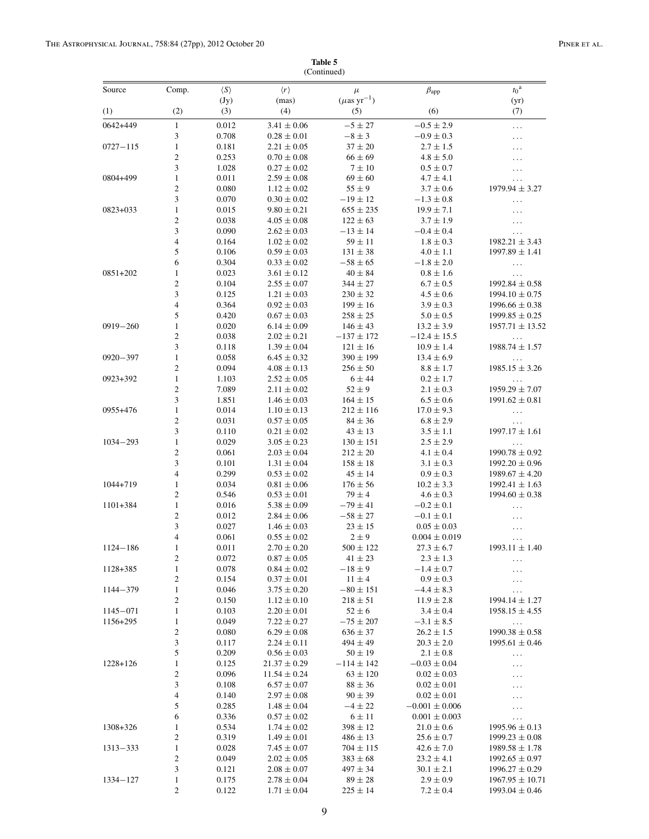|                          |                                |                     |                                    | (Continued)                           |                                  |                                          |
|--------------------------|--------------------------------|---------------------|------------------------------------|---------------------------------------|----------------------------------|------------------------------------------|
| Source                   | Comp.                          | $\langle S \rangle$ | $\langle r \rangle$<br>(mas)       | $\mu$<br>$(\mu$ as yr <sup>-1</sup> ) | $\beta_{\rm app}$                | $t_0^{\rm a}$                            |
| (1)                      | (2)                            | (Jy)<br>(3)         | (4)                                | (5)                                   | (6)                              | (yr)<br>(7)                              |
| $0642 + 449$             | $\mathbf{1}$                   | 0.012               | $3.41 \pm 0.06$                    | $-5 \pm 27$                           | $-0.5 \pm 2.9$                   | $\ldots$                                 |
|                          | 3                              | 0.708               | $0.28 \pm 0.01$                    | $-8 \pm 3$                            | $-0.9 \pm 0.3$                   | $\cdots$                                 |
| $0727 - 115$             | $\mathbf{1}$                   | 0.181               | $2.21 \pm 0.05$                    | $37 \pm 20$                           | $2.7 \pm 1.5$                    | .                                        |
|                          | $\overline{c}$                 | 0.253               | $0.70 \pm 0.08$                    | $66 \pm 69$                           | $4.8 \pm 5.0$                    | .                                        |
|                          | 3                              | 1.028               | $0.27 \pm 0.02$                    | $7 \pm 10$                            | $0.5 \pm 0.7$                    | $\ldots$                                 |
| 0804+499                 | $\mathbf{1}$                   | 0.011               | $2.59\pm0.08$                      | $69 \pm 60$                           | $4.7 \pm 4.1$                    | $\ldots$                                 |
|                          | $\sqrt{2}$                     | 0.080               | $1.12 \pm 0.02$                    | $55 \pm 9$                            | $3.7 \pm 0.6$                    | $1979.94 \pm 3.27$                       |
|                          | $\ensuremath{\mathfrak{Z}}$    | 0.070               | $0.30 \pm 0.02$                    | $-19 \pm 12$                          | $-1.3 \pm 0.8$                   | $\ldots$                                 |
| $0823 + 033$             | $\mathbf{1}$<br>$\sqrt{2}$     | 0.015               | $9.80 \pm 0.21$                    | $655 \pm 235$                         | $19.9 \pm 7.1$<br>$3.7 \pm 1.9$  | $\ldots$                                 |
|                          | $\mathfrak{Z}$                 | 0.038<br>0.090      | $4.05 \pm 0.08$<br>$2.62 \pm 0.03$ | $122 \pm 63$<br>$-13 \pm 14$          | $-0.4 \pm 0.4$                   | $\ddotsc$                                |
|                          | $\overline{4}$                 | 0.164               | $1.02 \pm 0.02$                    | $59 \pm 11$                           | $1.8 \pm 0.3$                    | $1982.21 \pm 3.43$                       |
|                          | 5                              | 0.106               | $0.59 \pm 0.03$                    | $131 \pm 38$                          | $4.0 \pm 1.1$                    | $1997.89 \pm 1.41$                       |
|                          | 6                              | 0.304               | $0.33 \pm 0.02$                    | $-58 \pm 65$                          | $-1.8 \pm 2.0$                   | $\ldots$                                 |
| 0851+202                 | $\mathbf{1}$                   | 0.023               | $3.61 \pm 0.12$                    | $40 \pm 84$                           | $0.8 \pm 1.6$                    | .                                        |
|                          | $\mathbf{2}$                   | 0.104               | $2.55 \pm 0.07$                    | $344 \pm 27$                          | $6.7 \pm 0.5$                    | $1992.84 \pm 0.58$                       |
|                          | $\mathfrak{Z}$                 | 0.125               | $1.21 \pm 0.03$                    | $230 \pm 32$                          | $4.5 \pm 0.6$                    | $1994.10 \pm 0.75$                       |
|                          | $\overline{4}$                 | 0.364               | $0.92 \pm 0.03$                    | $199 \pm 16$                          | $3.9 \pm 0.3$                    | $1996.66 \pm 0.38$                       |
|                          | 5                              | 0.420               | $0.67 \pm 0.03$                    | $258 \pm 25$                          | $5.0 \pm 0.5$                    | $1999.85 \pm 0.25$                       |
| $0919 - 260$             | $\mathbf{1}$                   | 0.020               | $6.14 \pm 0.09$                    | $146 \pm 43$                          | $13.2 \pm 3.9$                   | $1957.71 \pm 13.52$                      |
|                          | $\overline{c}$                 | 0.038               | $2.02 \pm 0.21$                    | $-137 \pm 172$                        | $-12.4 \pm 15.5$                 | $\ldots$                                 |
|                          | $\mathfrak{Z}$                 | 0.118               | $1.39 \pm 0.04$                    | $121 \pm 16$                          | $10.9 \pm 1.4$                   | $1988.74 \pm 1.57$                       |
| $0920 - 397$             | $\mathbf{1}$<br>$\mathbf{2}$   | 0.058<br>0.094      | $6.45 \pm 0.32$<br>$4.08 \pm 0.13$ | $390 \pm 199$<br>$256 \pm 50$         | $13.4 \pm 6.9$<br>$8.8 \pm 1.7$  | $\ldots$<br>$1985.15 \pm 3.26$           |
| $0923 + 392$             | $\mathbf{1}$                   | 1.103               | $2.52\pm0.05$                      | 6 ± 44                                | $0.2 \pm 1.7$                    | $\ddotsc$                                |
|                          | $\sqrt{2}$                     | 7.089               | $2.11 \pm 0.02$                    | $52 \pm 9$                            | $2.1 \pm 0.3$                    | $1959.29 \pm 7.07$                       |
|                          | 3                              | 1.851               | $1.46 \pm 0.03$                    | $164 \pm 15$                          | $6.5 \pm 0.6$                    | $1991.62 \pm 0.81$                       |
| 0955+476                 | $\mathbf{1}$                   | 0.014               | $1.10 \pm 0.13$                    | $212 \pm 116$                         | $17.0 \pm 9.3$                   | $\ddotsc$                                |
|                          | $\sqrt{2}$                     | 0.031               | $0.57 \pm 0.05$                    | $84 \pm 36$                           | $6.8 \pm 2.9$                    | $\ldots$                                 |
|                          | 3                              | 0.110               | $0.21 \pm 0.02$                    | $43 \pm 13$                           | $3.5 \pm 1.1$                    | $1997.17 \pm 1.61$                       |
| $1034 - 293$             | $\mathbf{1}$                   | 0.029               | $3.05 \pm 0.23$                    | $130 \pm 151$                         | $2.5 \pm 2.9$                    | $\ldots$                                 |
|                          | $\sqrt{2}$                     | 0.061               | $2.03 \pm 0.04$                    | $212 \pm 20$                          | $4.1 \pm 0.4$                    | $1990.78 \pm 0.92$                       |
|                          | 3                              | 0.101               | $1.31 \pm 0.04$                    | $158 \pm 18$                          | $3.1 \pm 0.3$                    | $1992.20 \pm 0.96$                       |
| $1044 + 719$             | $\overline{4}$<br>$\mathbf{1}$ | 0.299<br>0.034      | $0.53 \pm 0.02$<br>$0.81 \pm 0.06$ | $45 \pm 14$<br>$176 \pm 56$           | $0.9 \pm 0.3$<br>$10.2 \pm 3.3$  | $1989.67 \pm 4.20$<br>$1992.41 \pm 1.63$ |
|                          | $\mathbf{2}$                   | 0.546               | $0.53 \pm 0.01$                    | $79 \pm 4$                            | $4.6 \pm 0.3$                    | $1994.60 \pm 0.38$                       |
| $1101 + 384$             | $\mathbf{1}$                   | 0.016               | $5.38 \pm 0.09$                    | $-79 \pm 41$                          | $-0.2 \pm 0.1$                   | $\ldots$                                 |
|                          | $\sqrt{2}$                     | 0.012               | $2.84 \pm 0.06$                    | $-58 \pm 27$                          | $-0.1\pm0.1$                     |                                          |
|                          | 3                              | 0.027               | $1.46 \pm 0.03$                    | $23 \pm 15$                           | $0.05 \pm 0.03$                  | $\cdots$                                 |
|                          | $\overline{4}$                 | 0.061               | $0.55 \pm 0.02$                    | $2 \pm 9$                             | $0.004 \pm 0.019$                | $\cdots$                                 |
| $1124 - 186$             | $\mathbf{1}$                   | $0.011\,$           | $2.70\pm0.20$                      | $500\pm122$                           | $27.3 \pm 6.7$                   | $1993.11 \pm 1.40$                       |
|                          | $\overline{\mathbf{c}}$        | 0.072               | $0.87 \pm 0.05$                    | $41 \pm 23$                           | $2.3 \pm 1.3$                    | $\cdots$                                 |
| 1128+385                 | $\mathbf{1}$                   | 0.078               | $0.84 \pm 0.02$                    | $-18 \pm 9$                           | $-1.4 \pm 0.7$                   | .                                        |
|                          | $\boldsymbol{2}$               | 0.154               | $0.37 \pm 0.01$                    | $11 \pm 4$                            | $0.9 \pm 0.3$                    |                                          |
| $1144 - 379$             | $\mathbf{1}$                   | 0.046               | $3.75 \pm 0.20$                    | $-80 \pm 151$                         | $-4.4 \pm 8.3$                   | $\ldots$                                 |
|                          | $\boldsymbol{2}$               | 0.150               | $1.12 \pm 0.10$                    | $218 \pm 51$                          | $11.9 \pm 2.8$                   | $1994.14 \pm 1.27$                       |
| $1145 - 071$<br>1156+295 | $\mathbf{1}$<br>$\mathbf{1}$   | 0.103<br>0.049      | $2.20\pm0.01$<br>$7.22 \pm 0.27$   | $52 \pm 6$<br>$-75 \pm 207$           | $3.4 \pm 0.4$<br>$-3.1 \pm 8.5$  | $1958.15 \pm 4.55$                       |
|                          | $\overline{c}$                 | 0.080               | $6.29 \pm 0.08$                    | $636 \pm 37$                          | $26.2 \pm 1.5$                   | $\ddotsc$<br>$1990.38 \pm 0.58$          |
|                          | 3                              | 0.117               | $2.24 \pm 0.11$                    | $494 \pm 49$                          | $20.3 \pm 2.0$                   | $1995.61 \pm 0.46$                       |
|                          | 5                              | 0.209               | $0.56 \pm 0.03$                    | $50 \pm 19$                           | $2.1 \pm 0.8$                    | $\cdots$                                 |
| $1228 + 126$             | $\mathbf{1}$                   | 0.125               | $21.37 \pm 0.29$                   | $-114 \pm 142$                        | $-0.03 \pm 0.04$                 | $\ddots$                                 |
|                          | $\overline{c}$                 | 0.096               | $11.54 \pm 0.24$                   | $63 \pm 120$                          | $0.02 \pm 0.03$                  | .                                        |
|                          | 3                              | 0.108               | $6.57 \pm 0.07$                    | $88 \pm 36$                           | $0.02 \pm 0.01$                  | .                                        |
|                          | $\overline{4}$                 | 0.140               | $2.97 \pm 0.08$                    | $90 \pm 39$                           | $0.02 \pm 0.01$                  | .                                        |
|                          | 5                              | 0.285               | $1.48\pm0.04$                      | $-4 \pm 22$                           | $-0.001 \pm 0.006$               | $\ddotsc$                                |
|                          | 6                              | 0.336               | $0.57 \pm 0.02$                    | $6 \pm 11$                            | $0.001 \pm 0.003$                | $\ldots$                                 |
| 1308+326                 | $\mathbf{1}$                   | 0.534               | $1.74 \pm 0.02$                    | $398 \pm 12$                          | $21.0 \pm 0.6$                   | $1995.96 \pm 0.13$                       |
|                          | $\overline{c}$                 | 0.319               | $1.49 \pm 0.01$                    | $486 \pm 13$                          | $25.6 \pm 0.7$                   | $1999.23 \pm 0.08$                       |
| $1313 - 333$             | $\mathbf{1}$                   | 0.028               | $7.45 \pm 0.07$                    | $704 \pm 115$                         | $42.6 \pm 7.0$                   | $1989.58 \pm 1.78$                       |
|                          | $\overline{c}$<br>3            | 0.049<br>0.121      | $2.02 \pm 0.05$<br>$2.08\pm0.07$   | $383 \pm 68$<br>$497 \pm 34$          | $23.2 \pm 4.1$<br>$30.1 \pm 2.1$ | $1992.65 \pm 0.97$<br>$1996.27 \pm 0.29$ |
| $1334 - 127$             | $\mathbf{1}$                   | 0.175               | $2.78 \pm 0.04$                    | $89 \pm 28$                           | $2.9 \pm 0.9$                    | $1967.95 \pm 10.71$                      |
|                          | $\sqrt{2}$                     | 0.122               | $1.71 \pm 0.04$                    | $225\pm14$                            | $7.2 \pm 0.4$                    | $1993.04 \pm 0.46$                       |
|                          |                                |                     |                                    |                                       |                                  |                                          |

**Table 5** (Continued)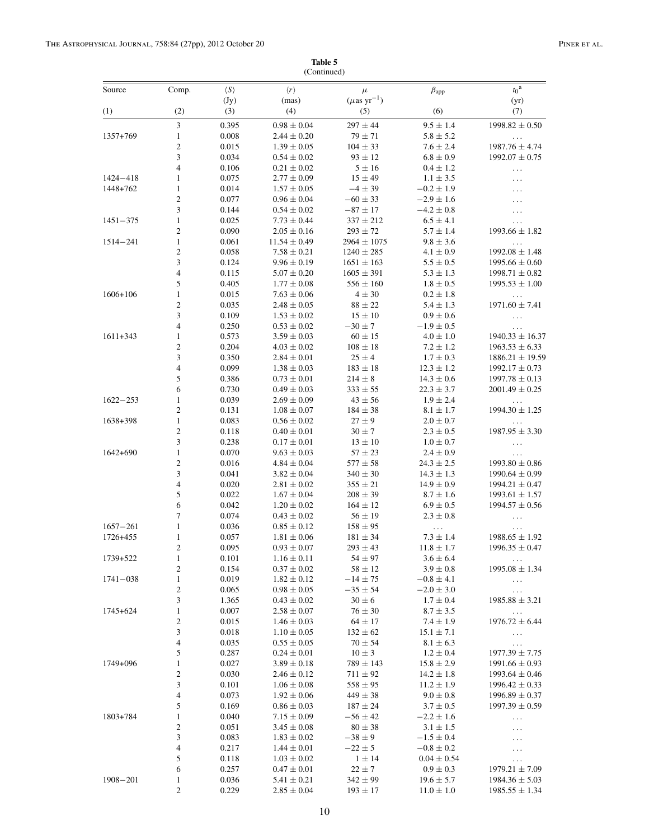|              | Comp.                            |                             |                                    |                                   |                                  | $t_0^{\text{a}}$                          |
|--------------|----------------------------------|-----------------------------|------------------------------------|-----------------------------------|----------------------------------|-------------------------------------------|
| Source       |                                  | $\langle S \rangle$<br>(Jy) | $\langle r \rangle$<br>(mas)       | $\mu$<br>$(\mu\text{as yr}^{-1})$ | $\beta_{app}$                    | (yr)                                      |
| (1)          | (2)                              | (3)                         | (4)                                | (5)                               | (6)                              | (7)                                       |
|              | 3                                | 0.395                       | $0.98\pm0.04$                      | $297\pm44$                        | $9.5 \pm 1.4$                    | $1998.82 \pm 0.50$                        |
| 1357+769     | $\mathbf{1}$                     | 0.008                       | $2.44 \pm 0.20$                    | $79 \pm 71$                       | $5.8 \pm 5.2$                    | $\ldots$                                  |
|              | $\overline{c}$                   | 0.015                       | $1.39 \pm 0.05$                    | $104 \pm 33$                      | $7.6 \pm 2.4$                    | $1987.76 \pm 4.74$                        |
|              | 3                                | 0.034                       | $0.54 \pm 0.02$                    | $93 \pm 12$                       | $6.8 \pm 0.9$                    | $1992.07 \pm 0.75$                        |
|              | $\overline{4}$                   | 0.106                       | $0.21 \pm 0.02$                    | $5 \pm 16$                        | $0.4 \pm 1.2$                    | $\ldots$                                  |
| $1424 - 418$ | $\mathbf{1}$                     | 0.075                       | $2.77 \pm 0.09$                    | $15 \pm 49$                       | $1.1 \pm 3.5$                    | $\ddotsc$                                 |
| 1448+762     | $\mathbf{1}$                     | 0.014                       | $1.57 \pm 0.05$                    | $-4 \pm 39$                       | $-0.2 \pm 1.9$                   | .                                         |
|              | $\overline{c}$<br>3              | 0.077<br>0.144              | $0.96 \pm 0.04$                    | $-60 \pm 33$<br>$-87 \pm 17$      | $-2.9 \pm 1.6$<br>$-4.2 \pm 0.8$ | .                                         |
| $1451 - 375$ | $\mathbf{1}$                     | 0.025                       | $0.54 \pm 0.02$<br>$7.73 \pm 0.44$ | $337 \pm 212$                     | $6.5 \pm 4.1$                    | $\ldots$<br>.                             |
|              | $\overline{c}$                   | 0.090                       | $2.05 \pm 0.16$                    | $293 \pm 72$                      | $5.7 \pm 1.4$                    | $1993.66 \pm 1.82$                        |
| $1514 - 241$ | $\mathbf{1}$                     | 0.061                       | $11.54 \pm 0.49$                   | $2964 \pm 1075$                   | $9.8 \pm 3.6$                    | $\ldots$                                  |
|              | $\overline{c}$                   | 0.058                       | $7.58 \pm 0.21$                    | $1240 \pm 285$                    | $4.1 \pm 0.9$                    | $1992.08 \pm 1.48$                        |
|              | 3                                | 0.124                       | $9.96 \pm 0.19$                    | $1651 \pm 163$                    | $5.5 \pm 0.5$                    | $1995.66 \pm 0.60$                        |
|              | $\overline{\mathcal{L}}$         | 0.115                       | $5.07 \pm 0.20$                    | $1605 \pm 391$                    | $5.3 \pm 1.3$                    | $1998.71 \pm 0.82$                        |
|              | 5                                | 0.405                       | $1.77 \pm 0.08$                    | $556 \pm 160$                     | $1.8 \pm 0.5$                    | $1995.53 \pm 1.00$                        |
| $1606 + 106$ | $\mathbf{1}$                     | 0.015                       | $7.63 \pm 0.06$                    | $4 \pm 30$                        | $0.2 \pm 1.8$                    | $\ddotsc$                                 |
|              | $\overline{c}$                   | 0.035                       | $2.48 \pm 0.05$                    | $88 \pm 22$                       | $5.4 \pm 1.3$                    | $1971.60 \pm 7.41$                        |
|              | 3                                | 0.109                       | $1.53 \pm 0.02$                    | $15 \pm 10$                       | $0.9 \pm 0.6$                    | $\ldots$                                  |
|              | $\overline{4}$                   | 0.250                       | $0.53 \pm 0.02$                    | $-30 \pm 7$                       | $-1.9 \pm 0.5$                   | $\ddotsc$                                 |
| $1611 + 343$ | $\mathbf{1}$<br>$\overline{c}$   | 0.573<br>0.204              | $3.59\pm0.03$<br>$4.03 \pm 0.02$   | $60 \pm 15$<br>$108 \pm 18$       | $4.0 \pm 1.0$<br>$7.2 \pm 1.2$   | $1940.33 \pm 16.37$<br>$1963.53 \pm 6.33$ |
|              | 3                                | 0.350                       | $2.84 \pm 0.01$                    | $25 \pm 4$                        | $1.7 \pm 0.3$                    | $1886.21 \pm 19.59$                       |
|              | $\overline{4}$                   | 0.099                       | $1.38 \pm 0.03$                    | $183 \pm 18$                      | $12.3 \pm 1.2$                   | $1992.17 \pm 0.73$                        |
|              | 5                                | 0.386                       | $0.73 \pm 0.01$                    | $214 \pm 8$                       | $14.3 \pm 0.6$                   | $1997.78 \pm 0.13$                        |
|              | 6                                | 0.730                       | $0.49 \pm 0.03$                    | $333 \pm 55$                      | $22.3 \pm 3.7$                   | $2001.49 \pm 0.25$                        |
| $1622 - 253$ | $\mathbf{1}$                     | 0.039                       | $2.69 \pm 0.09$                    | $43 \pm 56$                       | $1.9 \pm 2.4$                    | $\ddotsc$                                 |
|              | $\overline{c}$                   | 0.131                       | $1.08 \pm 0.07$                    | $184 \pm 38$                      | $8.1 \pm 1.7$                    | $1994.30 \pm 1.25$                        |
| 1638+398     | $\mathbf{1}$                     | 0.083                       | $0.56 \pm 0.02$                    | $27 \pm 9$                        | $2.0 \pm 0.7$                    |                                           |
|              | $\overline{c}$                   | 0.118                       | $0.40 \pm 0.01$                    | $30 \pm 7$                        | $2.3 \pm 0.5$                    | $1987.95 \pm 3.30$                        |
|              | 3                                | 0.238                       | $0.17 \pm 0.01$                    | $13 \pm 10$                       | $1.0 \pm 0.7$                    | $\ldots$                                  |
| $1642+690$   | $\mathbf{1}$<br>$\overline{c}$   | 0.070<br>0.016              | $9.63 \pm 0.03$<br>$4.84 \pm 0.04$ | $57 \pm 23$<br>$577 \pm 58$       | $2.4 \pm 0.9$<br>$24.3 \pm 2.5$  | $\ddots$<br>$1993.80 \pm 0.86$            |
|              | 3                                | 0.041                       | $3.82 \pm 0.04$                    | $340 \pm 30$                      | $14.3 \pm 1.3$                   | $1990.64 \pm 0.99$                        |
|              | $\overline{\mathcal{L}}$         | 0.020                       | $2.81 \pm 0.02$                    | $355 \pm 21$                      | $14.9 \pm 0.9$                   | $1994.21 \pm 0.47$                        |
|              | 5                                | 0.022                       | $1.67 \pm 0.04$                    | $208 \pm 39$                      | $8.7 \pm 1.6$                    | $1993.61 \pm 1.57$                        |
|              | 6                                | 0.042                       | $1.20 \pm 0.02$                    | $164 \pm 12$                      | $6.9 \pm 0.5$                    | $1994.57 \pm 0.56$                        |
|              | 7                                | 0.074                       | $0.43\pm0.02$                      | $56 \pm 19$                       | $2.3 \pm 0.8$                    | $\ddotsc$                                 |
| $1657 - 261$ | $\mathbf{1}$                     | 0.036                       | $0.85 \pm 0.12$                    | $158 \pm 95$                      | $\ddotsc$                        | .                                         |
| 1726+455     | $\mathbf{1}$                     | 0.057                       | $1.81 \pm 0.06$                    | $181 \pm 34$                      | $7.3 \pm 1.4$                    | $1988.65 \pm 1.92$                        |
|              | 2                                | 0.095                       | $0.93 \pm 0.07$                    | $293\pm43$                        | $11.8 \pm 1.7$                   | $1996.35 \pm 0.47$                        |
| 1739+522     | $\mathbf{1}$                     | 0.101                       | $1.16 \pm 0.11$                    | $54 \pm 97$                       | $3.6 \pm 6.4$                    | $\ldots$ .                                |
|              | $\boldsymbol{2}$                 | 0.154                       | $0.37 \pm 0.02$                    | $58 \pm 12$                       | $3.9 \pm 0.8$                    | $1995.08 \pm 1.34$                        |
| $1741 - 038$ | $\mathbf{1}$<br>$\mathbf{2}$     | 0.019<br>0.065              | $1.82 \pm 0.12$<br>$0.98 \pm 0.05$ | $-14 \pm 75$<br>$-35 \pm 54$      | $-0.8 \pm 4.1$<br>$-2.0 \pm 3.0$ | $\ldots$                                  |
|              | 3                                | 1.365                       | $0.43 \pm 0.02$                    | $30 \pm 6$                        | $1.7 \pm 0.4$                    | $\cdots$<br>$1985.88 \pm 3.21$            |
| 1745+624     | $\mathbf{1}$                     | 0.007                       | $2.58 \pm 0.07$                    | $76 \pm 30$                       | $8.7 \pm 3.5$                    | $\ldots$                                  |
|              | $\mathbf{2}$                     | 0.015                       | $1.46 \pm 0.03$                    | $64 \pm 17$                       | $7.4 \pm 1.9$                    | $1976.72 \pm 6.44$                        |
|              | 3                                | 0.018                       | $1.10 \pm 0.05$                    | $132 \pm 62$                      | $15.1 \pm 7.1$                   | $\ldots$                                  |
|              | 4                                | 0.035                       | $0.55 \pm 0.05$                    | $70 \pm 54$                       | $8.1 \pm 6.3$                    | $\cdots$                                  |
|              | 5                                | 0.287                       | $0.24 \pm 0.01$                    | $10 \pm 3$                        | $1.2 \pm 0.4$                    | $1977.39 \pm 7.75$                        |
| 1749+096     | $\mathbf{1}$                     | 0.027                       | $3.89 \pm 0.18$                    | $789 \pm 143$                     | $15.8 \pm 2.9$                   | $1991.66 \pm 0.93$                        |
|              | $\boldsymbol{2}$                 | 0.030                       | $2.46 \pm 0.12$                    | $711 \pm 92$                      | $14.2 \pm 1.8$                   | $1993.64 \pm 0.46$                        |
|              | 3                                | 0.101                       | $1.06 \pm 0.08$                    | $558 \pm 95$                      | $11.2 \pm 1.9$                   | $1996.42 \pm 0.33$                        |
|              | $\overline{4}$                   | 0.073                       | $1.92 \pm 0.06$                    | $449 \pm 38$                      | $9.0 \pm 0.8$                    | $1996.89 \pm 0.37$                        |
|              | 5                                | 0.169                       | $0.86 \pm 0.03$                    | $187 \pm 24$                      | $3.7 \pm 0.5$                    | $1997.39 \pm 0.59$                        |
| 1803+784     | $\mathbf{1}$<br>$\boldsymbol{2}$ | 0.040<br>0.051              | $7.15 \pm 0.09$<br>$3.45 \pm 0.08$ | $-56 \pm 42$<br>$80 \pm 38$       | $-2.2 \pm 1.6$                   | $\ldots$                                  |
|              | 3                                | 0.083                       | $1.83 \pm 0.02$                    | $-38\pm9$                         | $3.1 \pm 1.5$<br>$-1.5\pm0.4$    |                                           |
|              | 4                                | 0.217                       | $1.44 \pm 0.01$                    | $-22 \pm 5$                       | $-0.8 \pm 0.2$                   | $\ldots$                                  |
|              | 5                                | 0.118                       | $1.03 \pm 0.02$                    | $1 \pm 14$                        | $0.04 \pm 0.54$                  | $\ldots$                                  |
|              | 6                                | 0.257                       | $0.47 \pm 0.01$                    | $22 \pm 7$                        | $0.9 \pm 0.3$                    | $1979.21 \pm 7.09$                        |
| $1908 - 201$ | $\mathbf{1}$                     | 0.036                       | $5.41 \pm 0.21$                    | $342 \pm 99$                      | $19.6 \pm 5.7$                   | $1984.36 \pm 5.03$                        |
|              | $\sqrt{2}$                       | 0.229                       | $2.85 \pm 0.04$                    | $193 \pm 17$                      | $11.0 \pm 1.0$                   | $1985.55 \pm 1.34$                        |

**Table 5** (Continued)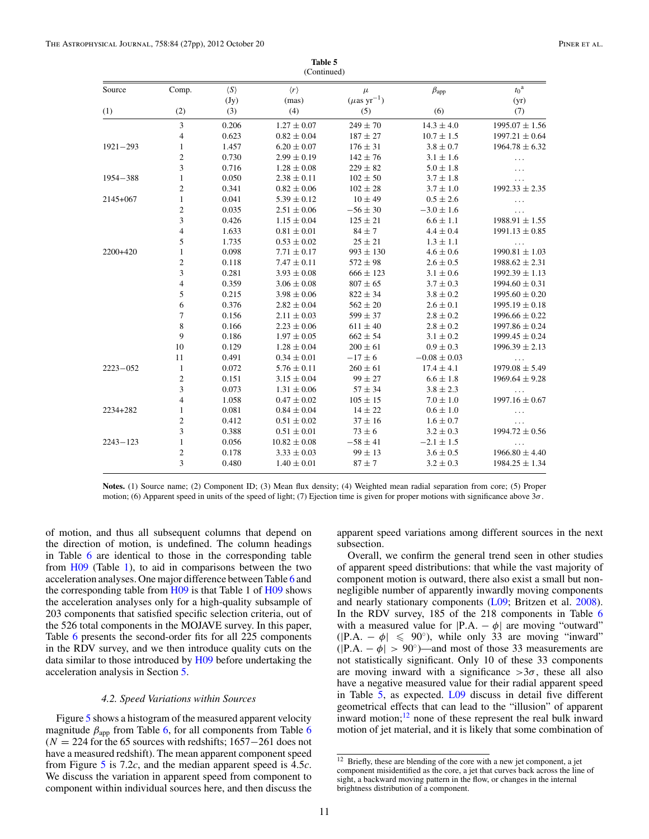<span id="page-12-0"></span>

|              |                          |                             | (Continued)                  |                                       |                  |                       |
|--------------|--------------------------|-----------------------------|------------------------------|---------------------------------------|------------------|-----------------------|
| Source       | Comp.                    | $\langle S \rangle$<br>(Jy) | $\langle r \rangle$<br>(mas) | $\mu$<br>$(\mu$ as yr <sup>-1</sup> ) | $\beta_{app}$    | $t_0^{\rm a}$<br>(yr) |
| (1)          | (2)                      | (3)                         | (4)                          | (5)                                   | (6)              | (7)                   |
|              | 3                        | 0.206                       | $1.27 \pm 0.07$              | $249 \pm 70$                          | $14.3 \pm 4.0$   | $1995.07 \pm 1.56$    |
|              | $\overline{\mathcal{L}}$ | 0.623                       | $0.82 \pm 0.04$              | $187 \pm 27$                          | $10.7 \pm 1.5$   | $1997.21 \pm 0.64$    |
| $1921 - 293$ | $\mathbf{1}$             | 1.457                       | $6.20 \pm 0.07$              | $176 \pm 31$                          | $3.8 \pm 0.7$    | $1964.78 \pm 6.32$    |
|              | $\overline{c}$           | 0.730                       | $2.99 \pm 0.19$              | $142 \pm 76$                          | $3.1 \pm 1.6$    | .                     |
|              | 3                        | 0.716                       | $1.28 \pm 0.08$              | $229 \pm 82$                          | $5.0 \pm 1.8$    |                       |
| $1954 - 388$ | $\mathbf{1}$             | 0.050                       | $2.38 \pm 0.11$              | $102 \pm 50$                          | $3.7 \pm 1.8$    | $\cdots$              |
|              | $\overline{c}$           | 0.341                       | $0.82 \pm 0.06$              | $102 \pm 28$                          | $3.7 \pm 1.0$    | $1992.33 \pm 2.35$    |
| $2145 + 067$ | $\mathbf{1}$             | 0.041                       | $5.39 \pm 0.12$              | $10 \pm 49$                           | $0.5 \pm 2.6$    | .                     |
|              | $\overline{\mathbf{c}}$  | 0.035                       | $2.51 \pm 0.06$              | $-56 \pm 30$                          | $-3.0 \pm 1.6$   | .                     |
|              | 3                        | 0.426                       | $1.15 \pm 0.04$              | $125\pm21$                            | $6.6 \pm 1.1$    | $1988.91 \pm 1.55$    |
|              | 4                        | 1.633                       | $0.81 \pm 0.01$              | $84 \pm 7$                            | $4.4 \pm 0.4$    | $1991.13 \pm 0.85$    |
|              | 5                        | 1.735                       | $0.53 \pm 0.02$              | $25 \pm 21$                           | $1.3 \pm 1.1$    | $\ldots$              |
| 2200+420     | 1                        | 0.098                       | $7.71 \pm 0.17$              | $993 \pm 130$                         | $4.6 \pm 0.6$    | $1990.81 \pm 1.03$    |
|              | $\overline{c}$           | 0.118                       | $7.47 \pm 0.11$              | $572 \pm 98$                          | $2.6 \pm 0.5$    | $1988.62 \pm 2.31$    |
|              | 3                        | 0.281                       | $3.93 \pm 0.08$              | $666 \pm 123$                         | $3.1 \pm 0.6$    | $1992.39 \pm 1.13$    |
|              | $\overline{\mathcal{L}}$ | 0.359                       | $3.06 \pm 0.08$              | $807 \pm 65$                          | $3.7 \pm 0.3$    | $1994.60 \pm 0.31$    |
|              | 5                        | 0.215                       | $3.98 \pm 0.06$              | $822 \pm 34$                          | $3.8 \pm 0.2$    | $1995.60 \pm 0.20$    |
|              | 6                        | 0.376                       | $2.82 \pm 0.04$              | $562 \pm 20$                          | $2.6 \pm 0.1$    | $1995.19 \pm 0.18$    |
|              | 7                        | 0.156                       | $2.11 \pm 0.03$              | $599 \pm 37$                          | $2.8 \pm 0.2$    | $1996.66 \pm 0.22$    |
|              | 8                        | 0.166                       | $2.23 \pm 0.06$              | $611 \pm 40$                          | $2.8 \pm 0.2$    | $1997.86 \pm 0.24$    |
|              | 9                        | 0.186                       | $1.97 \pm 0.05$              | $662 \pm 54$                          | $3.1 \pm 0.2$    | $1999.45 \pm 0.24$    |
|              | 10                       | 0.129                       | $1.28 \pm 0.04$              | $200 \pm 61$                          | $0.9 \pm 0.3$    | $1996.39 \pm 2.13$    |
|              | 11                       | 0.491                       | $0.34 \pm 0.01$              | $-17 \pm 6$                           | $-0.08 \pm 0.03$ |                       |
| $2223 - 052$ | $\mathbf{1}$             | 0.072                       | $5.76 \pm 0.11$              | $260\pm61$                            | $17.4 \pm 4.1$   | $1979.08 \pm 5.49$    |
|              | $\mathfrak{2}$           | 0.151                       | $3.15 \pm 0.04$              | $99 \pm 27$                           | $6.6 \pm 1.8$    | $1969.64 \pm 9.28$    |
|              | 3                        | 0.073                       | $1.31 \pm 0.06$              | $57 \pm 34$                           | $3.8 \pm 2.3$    |                       |
|              | $\overline{\mathcal{L}}$ | 1.058                       | $0.47 \pm 0.02$              | $105 \pm 15$                          | $7.0 \pm 1.0$    | $1997.16 \pm 0.67$    |
| 2234+282     | $\mathbf{1}$             | 0.081                       | $0.84 \pm 0.04$              | $14 \pm 22$                           | $0.6 \pm 1.0$    |                       |
|              | $\overline{c}$           | 0.412                       | $0.51 \pm 0.02$              | $37 \pm 16$                           | $1.6 \pm 0.7$    |                       |
|              | 3                        | 0.388                       | $0.51 \pm 0.01$              | $73 \pm 6$                            | $3.2 \pm 0.3$    | $1994.72 \pm 0.56$    |
| $2243 - 123$ | $\mathbf{1}$             | 0.056                       | $10.82 \pm 0.08$             | $-58 \pm 41$                          | $-2.1 \pm 1.5$   |                       |
|              | $\overline{c}$           | 0.178                       | $3.33\pm0.03$                | $99 \pm 13$                           | $3.6 \pm 0.5$    | $1966.80 \pm 4.40$    |
|              | 3                        | 0.480                       | $1.40 \pm 0.01$              | $87 + 7$                              | $3.2 \pm 0.3$    | $1984.25 \pm 1.34$    |

**Table 5** (Continued)

**Notes.** (1) Source name; (2) Component ID; (3) Mean flux density; (4) Weighted mean radial separation from core; (5) Proper motion; (6) Apparent speed in units of the speed of light; (7) Ejection time is given for proper motions with significance above 3*σ*.

of motion, and thus all subsequent columns that depend on the direction of motion, is undefined. The column headings in Table [6](#page-13-0) are identical to those in the corresponding table from [H09](#page-28-0) (Table [1\)](#page-4-0), to aid in comparisons between the two acceleration analyses. One major difference between Table [6](#page-13-0) and the corresponding table from [H09](#page-28-0) is that Table 1 of [H09](#page-28-0) shows the acceleration analyses only for a high-quality subsample of 203 components that satisfied specific selection criteria, out of the 526 total components in the MOJAVE survey. In this paper, Table [6](#page-13-0) presents the second-order fits for all 225 components in the RDV survey, and we then introduce quality cuts on the data similar to those introduced by [H09](#page-28-0) before undertaking the acceleration analysis in Section [5.](#page-22-0)

#### *4.2. Speed Variations within Sources*

Figure [5](#page-19-0) shows a histogram of the measured apparent velocity magnitude  $\beta_{app}$  from Table [6,](#page-13-0) for all components from Table [6](#page-13-0) (*N* = 224 for the 65 sources with redshifts; 1657−261 does not have a measured redshift). The mean apparent component speed from Figure [5](#page-19-0) is 7.2*c*, and the median apparent speed is 4.5*c*. We discuss the variation in apparent speed from component to component within individual sources here, and then discuss the apparent speed variations among different sources in the next subsection.

Overall, we confirm the general trend seen in other studies of apparent speed distributions: that while the vast majority of component motion is outward, there also exist a small but nonnegligible number of apparently inwardly moving components and nearly stationary components [\(L09;](#page-28-0) Britzen et al. [2008\)](#page-28-0). In the RDV survey, 185 of the 218 components in Table [6](#page-13-0) with a measured value for  $|P.A. - \phi|$  are moving "outward"  $(|P.A. - \phi| \le 90^\circ)$ , while only 33 are moving "inward"  $(|P.A. - \phi| > 90^\circ)$ —and most of those 33 measurements are not statistically significant. Only 10 of these 33 components are moving inward with a significance  $>3\sigma$ , these all also have a negative measured value for their radial apparent speed in Table [5,](#page-9-0) as expected. [L09](#page-28-0) discuss in detail five different geometrical effects that can lead to the "illusion" of apparent inward motion; $^{12}$  none of these represent the real bulk inward motion of jet material, and it is likely that some combination of

<sup>&</sup>lt;sup>12</sup> Briefly, these are blending of the core with a new jet component, a jet component misidentified as the core, a jet that curves back across the line of sight, a backward moving pattern in the flow, or changes in the internal brightness distribution of a component.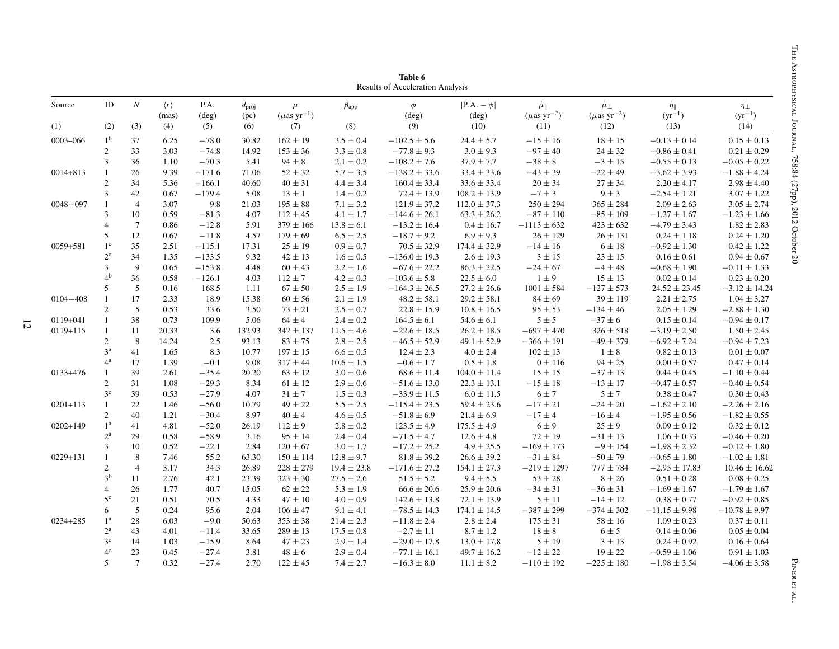<span id="page-13-0"></span>

| Source       | ID             | $\cal N$       | $\langle r \rangle$<br>(mas) | P.A.<br>$(\text{deg})$ | $d_{\text{proj}}$<br>(pc) | $\mu$<br>$(\mu\mathrm{as\ yr}^{-1})$ | $\beta_{\rm app}$ | $\phi$<br>$(\text{deg})$ | $ P.A. - \phi $<br>$(\text{deg})$ | $\mu_{\parallel}$<br>$(\mu$ as yr <sup>-2</sup> ) | $\mu_{\perp}$<br>$(\mu\mathrm{as\ yr}^{-2})$ | $\dot{\eta}_{\parallel}$<br>$(yr^{-1})$ | $\dot{\eta}_{\perp}$<br>$(yr^{-1})$ |
|--------------|----------------|----------------|------------------------------|------------------------|---------------------------|--------------------------------------|-------------------|--------------------------|-----------------------------------|---------------------------------------------------|----------------------------------------------|-----------------------------------------|-------------------------------------|
| (1)          | (2)            | (3)            | (4)                          | (5)                    | (6)                       | (7)                                  | (8)               | (9)                      | (10)                              | (11)                                              | (12)                                         | (13)                                    | (14)                                |
| 0003-066     | 1 <sup>b</sup> | 37             | 6.25                         | $-78.0$                | 30.82                     | $162 \pm 19$                         | $3.5 \pm 0.4$     | $-102.5 \pm 5.6$         | $24.4 \pm 5.7$                    | $-15 \pm 16$                                      | $18\pm15$                                    | $-0.13 \pm 0.14$                        | $0.15 \pm 0.13$                     |
|              | $\overline{2}$ | 33             | 3.03                         | $-74.8$                | 14.92                     | $153 \pm 36$                         | $3.3 \pm 0.8$     | $-77.8 \pm 9.3$          | $3.0 \pm 9.3$                     | $-97 \pm 40$                                      | $24 \pm 32$                                  | $-0.86 \pm 0.41$                        | $0.21 \pm 0.29$                     |
|              | $\overline{3}$ | 36             | 1.10                         | $-70.3$                | 5.41                      | $94 \pm 8$                           | $2.1 \pm 0.2$     | $-108.2 \pm 7.6$         | $37.9 \pm 7.7$                    | $-38 \pm 8$                                       | $-3 \pm 15$                                  | $-0.55 \pm 0.13$                        | $-0.05 \pm 0.22$                    |
| $0014 + 813$ | $\mathbf{1}$   | 26             | 9.39                         | $-171.6$               | 71.06                     | $52 \pm 32$                          | $5.7 \pm 3.5$     | $-138.2\pm33.6$          | $33.4 \pm 33.6$                   | $-43\pm39$                                        | $-22\pm49$                                   | $-3.62 \pm 3.93$                        | $-1.88 \pm 4.24$                    |
|              | $\overline{c}$ | 34             | 5.36                         | $-166.1$               | 40.60                     | $40 \pm 31$                          | $4.4 \pm 3.4$     | $160.4 \pm 33.4$         | $33.6 \pm 33.4$                   | $20 \pm 34$                                       | $27\pm34$                                    | $2.20 \pm 4.17$                         | $2.98 \pm 4.40$                     |
|              | $\mathfrak{Z}$ | 42             | 0.67                         | $-179.4$               | 5.08                      | $13 \pm 1$                           | $1.4 \pm 0.2$     | $72.4 \pm 13.9$          | $108.2 \pm 13.9$                  | $-7\pm3$                                          | $9 \pm 3$                                    | $-2.54 \pm 1.21$                        | $3.07 \pm 1.22$                     |
| $0048 - 097$ | $\mathbf{1}$   | $\overline{4}$ | 3.07                         | 9.8                    | 21.03                     | $195 \pm 88$                         | $7.1 \pm 3.2$     | $121.9 \pm 37.2$         | $112.0 \pm 37.3$                  | $250\pm294$                                       | $365 \pm 284$                                | $2.09 \pm 2.63$                         | $3.05 \pm 2.74$                     |
|              | $\mathfrak{Z}$ | 10             | 0.59                         | $-81.3$                | 4.07                      | $112 \pm 45$                         | $4.1 \pm 1.7$     | $-144.6 \pm 26.1$        | $63.3 \pm 26.2$                   | $-87\pm110$                                       | $-85 \pm 109$                                | $-1.27 \pm 1.67$                        | $-1.23 \pm 1.66$                    |
|              | $\overline{4}$ | $\overline{7}$ | 0.86                         | $-12.8$                | 5.91                      | $379 \pm 166$                        | $13.8 \pm 6.1$    | $-13.2 \pm 16.4$         | $0.4 \pm 16.7$                    | $-1113 \pm 632$                                   | $423 \pm 632$                                | $-4.79 \pm 3.43$                        | $1.82 \pm 2.83$                     |
|              | 5              | 12             | 0.67                         | $-11.8$                | 4.57                      | $179 \pm 69$                         | $6.5 \pm 2.5$     | $-18.7 \pm 9.2$          | $6.9 \pm 9.3$                     | $26 \pm 129$                                      | $26 \pm 131$                                 | $0.24 \pm 1.18$                         | $0.24 \pm 1.20$                     |
| $0059 + 581$ | $1^{\circ}$    | 35             | 2.51                         | $-115.1$               | 17.31                     | $25 \pm 19$                          | $0.9 \pm 0.7$     | $70.5 \pm 32.9$          | $174.4 \pm 32.9$                  | $-14 \pm 16$                                      | $6 \pm 18$                                   | $-0.92 \pm 1.30$                        | $0.42 \pm 1.22$                     |
|              | $2^{\circ}$    | 34             | 1.35                         | $-133.5$               | 9.32                      | $42 \pm 13$                          | $1.6 \pm 0.5$     | $-136.0 \pm 19.3$        | $2.6 \pm 19.3$                    | $3\pm15$                                          | $23 \pm 15$                                  | $0.16 \pm 0.61$                         | $0.94 \pm 0.67$                     |
|              | $\mathfrak{Z}$ | 9              | 0.65                         | $-153.8$               | 4.48                      | $60 \pm 43$                          | $2.2 \pm 1.6$     | $-67.6 \pm 22.2$         | $86.3 \pm 22.5$                   | $-24\pm67$                                        | $-4 \pm 48$                                  | $-0.68 \pm 1.90$                        | $-0.11 \pm 1.33$                    |
|              | 4 <sup>b</sup> | 36             | 0.58                         | $-126.1$               | 4.03                      | $112 \pm 7$                          | $4.2 \pm 0.3$     | $-103.6 \pm 5.8$         | $22.5 \pm 6.0$                    | $1\pm9$                                           | $15\pm13$                                    | $0.02 \pm 0.14$                         | $0.23 \pm 0.20$                     |
|              | 5              | 5              | 0.16                         | 168.5                  | 1.11                      | $67 \pm 50$                          | $2.5 \pm 1.9$     | $-164.3 \pm 26.5$        | $27.2 \pm 26.6$                   | $1001 \pm 584$                                    | $-127 \pm 573$                               | $24.52 \pm 23.45$                       | $-3.12 \pm 14.24$                   |
| $0104 - 408$ | $\mathbf{1}$   | 17             | 2.33                         | 18.9                   | 15.38                     | $60 \pm 56$                          | $2.1 \pm 1.9$     | $48.2 \pm 58.1$          | $29.2 \pm 58.1$                   | $84 \pm 69$                                       | $39 \pm 119$                                 | $2.21 \pm 2.75$                         | $1.04 \pm 3.27$                     |
|              | $\mathfrak{2}$ | 5              | 0.53                         | 33.6                   | 3.50                      | $73 \pm 21$                          | $2.5 \pm 0.7$     | $22.8 \pm 15.9$          | $10.8 \pm 16.5$                   | $95 \pm 53$                                       | $-134 \pm 46$                                | $2.05 \pm 1.29$                         | $-2.88 \pm 1.30$                    |
| 0119+041     | $\mathbf{1}$   | 38             | 0.73                         | 109.9                  | 5.06                      | $64 \pm 4$                           | $2.4\pm0.2$       | $164.5 \pm 6.1$          | $54.6 \pm 6.1$                    | $5 \pm 5$                                         | $-37 \pm 6$                                  | $0.15 \pm 0.14$                         | $-0.94 \pm 0.17$                    |
| $0119 + 115$ | $\mathbf{1}$   | 11             | 20.33                        | 3.6                    | 132.93                    | $342 \pm 137$                        | $11.5 \pm 4.6$    | $-22.6 \pm 18.5$         | $26.2 \pm 18.5$                   | $-697 \pm 470$                                    | $326 \pm 518$                                | $-3.19 \pm 2.50$                        | $1.50 \pm 2.45$                     |
|              | $\overline{c}$ | 8              | 14.24                        | 2.5                    | 93.13                     | $83\pm75$                            | $2.8\pm2.5$       | $-46.5 \pm 52.9$         | $49.1 \pm 52.9$                   | $-366 \pm 191$                                    | $-49 \pm 379$                                | $-6.92 \pm 7.24$                        | $-0.94 \pm 7.23$                    |
|              | 3 <sup>a</sup> | 41             | 1.65                         | 8.3                    | 10.77                     | $197 \pm 15$                         | $6.6 \pm 0.5$     | $12.4 \pm 2.3$           | $4.0\pm2.4$                       | $102 \pm 13$                                      | $1 \pm 8$                                    | $0.82 \pm 0.13$                         | $0.01 \pm 0.07$                     |
|              | $4^{\rm a}$    | 17             | 1.39                         | $-0.1$                 | 9.08                      | $317 \pm 44$                         | $10.6 \pm 1.5$    | $-0.6 \pm 1.7$           | $0.5\pm1.8$                       | $0 \pm 116$                                       | $94 \pm 25$                                  | $0.00\pm0.57$                           | $0.47 \pm 0.14$                     |
| 0133+476     | $\mathbf{1}$   | 39             | 2.61                         | $-35.4$                | 20.20                     | $63 \pm 12$                          | $3.0\pm0.6$       | $68.6 \pm 11.4$          | $104.0 \pm 11.4$                  | $15\pm15$                                         | $-37 \pm 13$                                 | $0.44 \pm 0.45$                         | $-1.10 \pm 0.44$                    |
|              | $\overline{c}$ | 31             | 1.08                         | $-29.3$                | 8.34                      | $61 \pm 12$                          | $2.9\pm0.6$       | $-51.6 \pm 13.0$         | $22.3 \pm 13.1$                   | $-15 \pm 18$                                      | $-13 \pm 17$                                 | $-0.47 \pm 0.57$                        | $-0.40 \pm 0.54$                    |
|              | $3^{\rm c}$    | 39             | 0.53                         | $-27.9$                | 4.07                      | $31\pm7$                             | $1.5 \pm 0.3$     | $-33.9 \pm 11.5$         | $6.0 \pm 11.5$                    | $6\pm7$                                           | $5\pm7$                                      | $0.38\pm0.47$                           | $0.30 \pm 0.43$                     |
| $0201 + 113$ | $\mathbf{1}$   | 22             | 1.46                         | $-56.0$                | 10.79                     | $49 \pm 22$                          | $5.5 \pm 2.5$     | $-115.4 \pm 23.5$        | $59.4 \pm 23.6$                   | $-17 \pm 21$                                      | $-24 \pm 20$                                 | $-1.62 \pm 2.10$                        | $-2.26 \pm 2.16$                    |
|              | $\overline{c}$ | 40             | 1.21                         | $-30.4$                | 8.97                      | $40\pm4$                             | $4.6\pm0.5$       | $-51.8 \pm 6.9$          | $21.4 \pm 6.9$                    | $-17\pm4$                                         | $-16\pm4$                                    | $-1.95\pm0.56$                          | $-1.82 \pm 0.55$                    |
| $0202 + 149$ | 1 <sup>a</sup> | 41             | 4.81                         | $-52.0$                | 26.19                     | $112\pm9$                            | $2.8 \pm 0.2$     | $123.5 \pm 4.9$          | $175.5 \pm 4.9$                   | $6\pm9$                                           | $25\pm9$                                     | $0.09 \pm 0.12$                         | $0.32 \pm 0.12$                     |
|              | $2^{\rm a}$    | 29             | 0.58                         | $-58.9$                | 3.16                      | $95 \pm 14$                          | $2.4\pm0.4$       | $-71.5 \pm 4.7$          | $12.6 \pm 4.8$                    | $72\pm19$                                         | $-31\pm13$                                   | $1.06 \pm 0.33$                         | $-0.46 \pm 0.20$                    |
|              | $\mathfrak{Z}$ | 10             | 0.52                         | $-22.1$                | 2.84                      | $120 \pm 67$                         | $3.0 \pm 1.7$     | $-17.2 \pm 25.2$         | $4.9 \pm 25.5$                    | $-169 \pm 173$                                    | $-9 \pm 154$                                 | $-1.98 \pm 2.32$                        | $-0.12 \pm 1.80$                    |
| $0229 + 131$ | $\mathbf{1}$   | 8              | 7.46                         | 55.2                   | 63.30                     | $150 \pm 114$                        | $12.8 \pm 9.7$    | $81.8 \pm 39.2$          | $26.6 \pm 39.2$                   | $-31 \pm 84$                                      | $-50 \pm 79$                                 | $-0.65 \pm 1.80$                        | $-1.02 \pm 1.81$                    |
|              | $\mathfrak{2}$ | $\overline{4}$ | 3.17                         | 34.3                   | 26.89                     | $228 \pm 279$                        | $19.4 \pm 23.8$   | $-171.6 \pm 27.2$        | $154.1 \pm 27.3$                  | $-219 \pm 1297$                                   | $777 \pm 784$                                | $-2.95 \pm 17.83$                       | $10.46 \pm 16.62$                   |
|              | 3 <sup>b</sup> | 11             | 2.76                         | 42.1                   | 23.39                     | $323 \pm 30$                         | $27.5 \pm 2.6$    | $51.5 \pm 5.2$           | $9.4 \pm 5.5$                     | $53\pm28$                                         | $8\pm26$                                     | $0.51\pm0.28$                           | $0.08 \pm 0.25$                     |
|              | $\overline{4}$ | 26             | 1.77                         | 40.7                   | 15.05                     | $62\pm22$                            | $5.3 \pm 1.9$     | $66.6 \pm 20.6$          | $25.9 \pm 20.6$                   | $-34 \pm 31$                                      | $-36 \pm 31$                                 | $-1.69 \pm 1.67$                        | $-1.79 \pm 1.67$                    |
|              | $5^{\rm c}$    | 21             | 0.51                         | 70.5                   | 4.33                      | $47\pm10$                            | $4.0 \pm 0.9$     | $142.6 \pm 13.8$         | $72.1 \pm 13.9$                   | $5\pm11$                                          | $-14 \pm 12$                                 | $0.38 \pm 0.77$                         | $-0.92 \pm 0.85$                    |
|              | 6              | 5              | 0.24                         | 95.6                   | 2.04                      | $106 \pm 47$                         | $9.1 \pm 4.1$     | $-78.5 \pm 14.3$         | $174.1 \pm 14.5$                  | $-387 \pm 299$                                    | $-374 \pm 302$                               | $-11.15 \pm 9.98$                       | $-10.78 \pm 9.97$                   |
| 0234+285     | 1 <sup>a</sup> | 28             | 6.03                         | $-9.0$                 | 50.63                     | $353 \pm 38$                         | $21.4 \pm 2.3$    | $-11.8 \pm 2.4$          | $2.8 \pm 2.4$                     | $175\pm31$                                        | $58 \pm 16$                                  | $1.09 \pm 0.23$                         | $0.37 \pm 0.11$                     |
|              | $2^{\rm a}$    | 43             | 4.01                         | $-11.4$                | 33.65                     | $289 \pm 13$                         | $17.5 \pm 0.8$    | $-2.7\pm1.1$             | $8.7 \pm 1.2$                     | $18\pm8$                                          | $6\pm5$                                      | $0.14 \pm 0.06$                         | $0.05 \pm 0.04$                     |
|              | $3^{\circ}$    | 14             | 1.03                         | $-15.9$                | 8.64                      | $47 \pm 23$                          | $2.9 \pm 1.4$     | $-29.0 \pm 17.8$         | $13.0 \pm 17.8$                   | $5 \pm 19$                                        | $3\pm13$                                     | $0.24 \pm 0.92$                         | $0.16 \pm 0.64$                     |
|              | $4^\mathrm{c}$ | 23             | 0.45                         | $-27.4$                | 3.81                      | $48\pm6$                             | $2.9\pm0.4$       | $-77.1 \pm 16.1$         | $49.7 \pm 16.2$                   | $-12\pm22$                                        | $19\pm22$                                    | $-0.59 \pm 1.06$                        | $0.91 \pm 1.03$                     |
|              | 5              | $\overline{7}$ | 0.32                         | $-27.4$                | 2.70                      | $122 \pm 45$                         | $7.4 \pm 2.7$     | $-16.3 \pm 8.0$          | $11.1\pm8.2$                      | $-110 \pm 192$                                    | $-225 \pm 180$                               | $-1.98 \pm 3.54$                        | $-4.06 \pm 3.58$                    |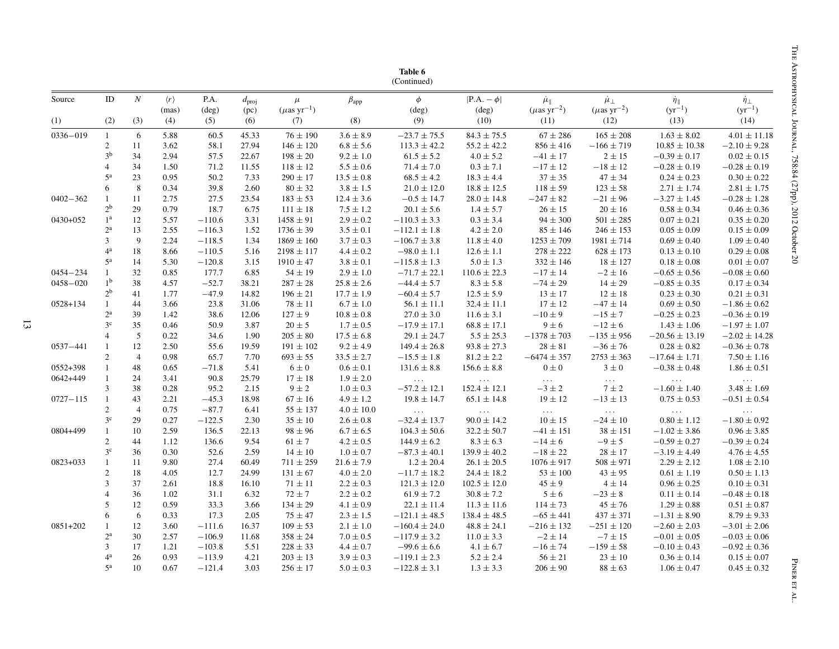|              |                  |                  |                              |                        |                           |                                       |                | Table 6<br>(Continued)   |                                   |                                                   |                                               |                                            |                                     |
|--------------|------------------|------------------|------------------------------|------------------------|---------------------------|---------------------------------------|----------------|--------------------------|-----------------------------------|---------------------------------------------------|-----------------------------------------------|--------------------------------------------|-------------------------------------|
| Source       | ID               | $\boldsymbol{N}$ | $\langle r \rangle$<br>(mas) | P.A.<br>$(\text{deg})$ | $d_{\text{proj}}$<br>(pc) | $\mu$<br>$(\mu$ as yr <sup>-1</sup> ) | $\beta_{app}$  | $\phi$<br>$(\text{deg})$ | $ P.A. - \phi $<br>$(\text{deg})$ | $\mu_{\parallel}$<br>$(\mu$ as yr <sup>-2</sup> ) | $\mu_{\perp}$<br>$(\mu$ as yr <sup>-2</sup> ) | $\frac{\dot{\eta}_{\parallel}}{(yr^{-1})}$ | $\dot{\eta}_{\perp}$<br>$(yr^{-1})$ |
| (1)          | (2)              | (3)              | (4)                          | (5)                    | (6)                       | (7)                                   | (8)            | (9)                      | (10)                              | (11)                                              | (12)                                          | (13)                                       | (14)                                |
| 0336-019     | $\mathbf{1}$     | 6                | 5.88                         | 60.5                   | 45.33                     | $76 \pm 190$                          | $3.6 \pm 8.9$  | $-23.7 \pm 75.5$         | $84.3 \pm 75.5$                   | $67 \pm 286$                                      | $165 \pm 208$                                 | $1.63 \pm 8.02$                            | $4.01 \pm 11.18$                    |
|              | 2                | 11               | 3.62                         | 58.1                   | 27.94                     | $146 \pm 120$                         | $6.8 \pm 5.6$  | $113.3 \pm 42.2$         | $55.2 \pm 42.2$                   | $856 \pm 416$                                     | $-166 \pm 719$                                | $10.85 \pm 10.38$                          | $-2.10 \pm 9.28$                    |
|              | 3 <sup>b</sup>   | 34               | 2.94                         | 57.5                   | 22.67                     | $198 \pm 20$                          | $9.2 \pm 1.0$  | $61.5 \pm 5.2$           | $4.0 \pm 5.2$                     | $-41 \pm 17$                                      | $2 \pm 15$                                    | $-0.39 \pm 0.17$                           | $0.02 \pm 0.15$                     |
|              | 4                | 34               | 1.50                         | 71.2                   | 11.55                     | $118 \pm 12$                          | $5.5 \pm 0.6$  | $71.4 \pm 7.0$           | $0.3 \pm 7.1$                     | $-17 \pm 12$                                      | $-18 \pm 12$                                  | $-0.28 \pm 0.19$                           | $-0.28 \pm 0.19$                    |
|              | $5^{\rm a}$      | 23               | 0.95                         | 50.2                   | 7.33                      | $290 \pm 17$                          | $13.5 \pm 0.8$ | $68.5 \pm 4.2$           | $18.3 \pm 4.4$                    | $37 \pm 35$                                       | $47\pm34$                                     | $0.24 \pm 0.23$                            | $0.30 \pm 0.22$                     |
|              | 6                | 8                | 0.34                         | 39.8                   | 2.60                      | $80 \pm 32$                           | $3.8 \pm 1.5$  | $21.0 \pm 12.0$          | $18.8 \pm 12.5$                   | $118 \pm 59$                                      | $123 \pm 58$                                  | $2.71 \pm 1.74$                            | $2.81 \pm 1.75$                     |
| 0402-362     | 1                | 11               | 2.75                         | 27.5                   | 23.54                     | $183 \pm 53$                          | $12.4\pm3.6$   | $-0.5 \pm 14.7$          | $28.0 \pm 14.8$                   | $-247\pm82$                                       | $-21\pm96$                                    | $-3.27 \pm 1.45$                           | $-0.28\pm1.28$                      |
|              | $2^{\rm b}$      | 29               | 0.79                         | 18.7                   | 6.75                      | $111 \pm 18$                          | $7.5 \pm 1.2$  | $20.1 \pm 5.6$           | $1.4 \pm 5.7$                     | $26 \pm 15$                                       | $20 \pm 16$                                   | $0.58 \pm 0.34$                            | $0.46 \pm 0.36$                     |
| 0430+052     | 1 <sup>a</sup>   | 12               | 5.57                         | $-110.6$               | 3.31                      | $1458 \pm 91$                         | $2.9 \pm 0.2$  | $-110.3 \pm 3.3$         | $0.3 \pm 3.4$                     | $94 \pm 300$                                      | $501 \pm 285$                                 | $0.07 \pm 0.21$                            | $0.35 \pm 0.20$                     |
|              | $2^{\rm a}$      | 13               | 2.55                         | $-116.3$               | 1.52                      | $1736 \pm 39$                         | $3.5 \pm 0.1$  | $-112.1 \pm 1.8$         | $4.2 \pm 2.0$                     | $85 \pm 146$                                      | $246 \pm 153$                                 | $0.05 \pm 0.09$                            | $0.15 \pm 0.09$                     |
|              | 3                | 9                | 2.24                         | $-118.5$               | 1.34                      | $1869 \pm 160$                        | $3.7 \pm 0.3$  | $-106.7 \pm 3.8$         | $11.8 \pm 4.0$                    | $1253 \pm 709$                                    | $1981 \pm 714$                                | $0.69 \pm 0.40$                            | $1.09 \pm 0.40$                     |
|              | 4 <sup>a</sup>   | 18               | 8.66                         | $-110.5$               | 5.16                      | $2198 \pm 117$                        | $4.4 \pm 0.2$  | $-98.0 \pm 1.1$          | $12.6 \pm 1.1$                    | $278 \pm 222$                                     | $628 \pm 173$                                 | $0.13 \pm 0.10$                            | $0.29 \pm 0.08$                     |
|              | $5^{\rm a}$      | 14               | 5.30                         | $-120.8$               | 3.15                      | $1910 \pm 47$                         | $3.8 \pm 0.1$  | $-115.8 \pm 1.3$         | $5.0 \pm 1.3$                     | $332 \pm 146$                                     | $18 \pm 127$                                  | $0.18 \pm 0.08$                            | $0.01 \pm 0.07$                     |
| $0454 - 234$ | $\mathbf{1}$     | 32               | 0.85                         | 177.7                  | 6.85                      | $54 \pm 19$                           | $2.9 \pm 1.0$  | $-71.7 \pm 22.1$         | $110.6 \pm 22.3$                  | $-17 \pm 14$                                      | $-2 \pm 16$                                   | $-0.65 \pm 0.56$                           | $-0.08 \pm 0.60$                    |
| $0458 - 020$ | 1 <sup>b</sup>   | 38               | 4.57                         | $-52.7$                | 38.21                     | $287 \pm 28$                          | $25.8\pm2.6$   | $-44.4 \pm 5.7$          | $8.3 \pm 5.8$                     | $-74\pm29$                                        | $14\pm29$                                     | $-0.85 \pm 0.35$                           | $0.17 \pm 0.34$                     |
|              | 2 <sup>b</sup>   | 41               | 1.77                         | $-47.9$                | 14.82                     | $196 \pm 21$                          | $17.7\pm1.9$   | $-60.4 \pm 5.7$          | $12.5 \pm 5.9$                    | $13 \pm 17$                                       | $12\pm18$                                     | $0.23 \pm 0.30$                            | $0.21 \pm 0.31$                     |
| $0528 + 134$ | $\mathbf{1}$     | 44               | 3.66                         | 23.8                   | 31.06                     | $78 \pm 11$                           | $6.7 \pm 1.0$  | $56.1 \pm 11.1$          | $32.4 \pm 11.1$                   | $17 \pm 12$                                       | $-47\pm14$                                    | $0.69 \pm 0.50$                            | $-1.86 \pm 0.62$                    |
|              | $2^{\rm a}$      | 39               | 1.42                         | 38.6                   | 12.06                     | $127 \pm 9$                           | $10.8\pm0.8$   | $27.0 \pm 3.0$           | $11.6 \pm 3.1$                    | $-10 \pm 9$                                       | $-15 \pm 7$                                   | $-0.25 \pm 0.23$                           | $-0.36 \pm 0.19$                    |
|              | $3^{\rm c}$      | 35               | 0.46                         | 50.9                   | 3.87                      | $20 \pm 5$                            | $1.7 \pm 0.5$  | $-17.9 \pm 17.1$         | $68.8 \pm 17.1$                   | $9 \pm 6$                                         | $-12 \pm 6$                                   | $1.43 \pm 1.06$                            | $-1.97 \pm 1.07$                    |
|              | $\overline{4}$   | 5                | 0.22                         | 34.6                   | 1.90                      | $205 \pm 80$                          | $17.5 \pm 6.8$ | $29.1 \pm 24.7$          | $5.5 \pm 25.3$                    | $-1378 \pm 703$                                   | $-135 \pm 956$                                | $-20.56 \pm 13.19$                         | $-2.02 \pm 14.28$                   |
| 0537-441     | 1                | 12               | 2.50                         | 55.6                   | 19.59                     | $191 \pm 102$                         | $9.2 \pm 4.9$  | $149.4 \pm 26.8$         | $93.8 \pm 27.3$                   | $28 \pm 81$                                       | $-36 \pm 76$                                  | $0.28 \pm 0.82$                            | $-0.36 \pm 0.78$                    |
|              | 2                | $\overline{4}$   | 0.98                         | 65.7                   | 7.70                      | $693 \pm 55$                          | $33.5 \pm 2.7$ | $-15.5 \pm 1.8$          | $81.2 \pm 2.2$                    | $-6474 \pm 357$                                   | $2753 \pm 363$                                | $-17.64 \pm 1.71$                          | $7.50 \pm 1.16$                     |
| 0552+398     | 1                | 48               | 0.65                         | $-71.8$                | 5.41                      | $6 \pm 0$                             | $0.6 \pm 0.1$  | $131.6 \pm 8.8$          | $156.6 \pm 8.8$                   | $0\pm 0$                                          | $3\pm0$                                       | $-0.38 \pm 0.48$                           | $1.86 \pm 0.51$                     |
| 0642+449     | 1                | 24               | 3.41                         | 90.8                   | 25.79                     | $17 \pm 18$                           | $1.9 \pm 2.0$  | $\sim 1.1\, \mathrm{m}$  | $\sim 100$                        | $\sim 100$                                        | $\sim 10^{-1}$                                | $\sim 100$                                 | $\sim 100$ km $^{-1}$               |
|              | 3                | 38               | 0.28                         | 95.2                   | 2.15                      | $9 \pm 2$                             | $1.0 \pm 0.3$  | $-57.2 \pm 12.1$         | $152.4 \pm 12.1$                  | $-3 \pm 2$                                        | $7 \pm 2$                                     | $-1.60 \pm 1.40$                           | $3.48 \pm 1.69$                     |
| $0727 - 115$ | $\mathbf{1}$     | 43               | 2.21                         | $-45.3$                | 18.98                     | $67 \pm 16$                           | $4.9 \pm 1.2$  | $19.8 \pm 14.7$          | $65.1 \pm 14.8$                   | $19 \pm 12$                                       | $-13 \pm 13$                                  | $0.75 \pm 0.53$                            | $-0.51 \pm 0.54$                    |
|              | $\overline{2}$   | $\overline{4}$   | 0.75                         | $-87.7$                | 6.41                      | $55 \pm 137$                          | $4.0 \pm 10.0$ | $\sim 100$ km $^{-1}$    | $\sim 100$ .                      | $\mathcal{L}(\mathcal{L}(\mathcal{L}))$ .         | $\sim 100$ km s $^{-1}$                       | $\sim$ 100 $\sim$ 100 $\sim$               | $\sim 100$                          |
|              | 3 <sup>c</sup>   | 29               | 0.27                         | $-122.5$               | 2.30                      | $35 \pm 10$                           | $2.6 \pm 0.8$  | $-32.4 \pm 13.7$         | $90.0 \pm 14.2$                   | $10 \pm 15$                                       | $-24 \pm 10$                                  | $0.80 \pm 1.12$                            | $-1.80 \pm 0.92$                    |
| 0804+499     | $\mathbf{1}$     | 10               | 2.59                         | 136.5                  | 22.13                     | $98 \pm 96$                           | $6.7 \pm 6.5$  | $104.3 \pm 50.6$         | $32.2 \pm 50.7$                   | $-41 \pm 151$                                     | $38 \pm 151$                                  | $-1.02 \pm 3.86$                           | $0.96 \pm 3.85$                     |
|              | $\overline{2}$   | 44               | 1.12                         | 136.6                  | 9.54                      | $61\pm7$                              | $4.2\pm0.5$    | $144.9 \pm 6.2$          | $8.3 \pm 6.3$                     | $-14\pm6$                                         | $-9 \pm 5$                                    | $-0.59\pm0.27$                             | $-0.39 \pm 0.24$                    |
|              | 3 <sup>c</sup>   | 36               | 0.30                         | 52.6                   | 2.59                      | $14\pm10$                             | $1.0\pm0.7$    | $-87.3 \pm 40.1$         | $139.9 \pm 40.2$                  | $-18\pm22$                                        | $28 \pm 17$                                   | $-3.19 \pm 4.49$                           | $4.76 \pm 4.55$                     |
| 0823+033     | 1                | 11               | 9.80                         | 27.4                   | 60.49                     | $711 \pm 259$                         | $21.6 \pm 7.9$ | $1.2 \pm 20.4$           | $26.1 \pm 20.5$                   | $1076 \pm 917$                                    | $508 \pm 971$                                 | $2.29 \pm 2.12$                            | $1.08 \pm 2.10$                     |
|              | 2                | 18               | 4.05                         | 12.7                   | 24.99                     | $131 \pm 67$                          | $4.0\pm2.0$    | $-11.7 \pm 18.2$         | $24.4 \pm 18.2$                   | $53 \pm 100$                                      | $43 \pm 95$                                   | $0.61 \pm 1.19$                            | $0.50 \pm 1.13$                     |
|              | 3                | 37               | 2.61                         | 18.8                   | 16.10                     | $71 \pm 11$                           | $2.2 \pm 0.3$  | $121.3 \pm 12.0$         | $102.5 \pm 12.0$                  | $45 \pm 9$                                        | $4 \pm 14$                                    | $0.96 \pm 0.25$                            | $0.10 \pm 0.31$                     |
|              | $\overline{4}$   | 36               | 1.02                         | 31.1                   | 6.32                      | $72 \pm 7$                            | $2.2 \pm 0.2$  | $61.9 \pm 7.2$           | $30.8 \pm 7.2$                    | $5\pm 6$                                          | $-23 \pm 8$                                   | $0.11 \pm 0.14$                            | $-0.48 \pm 0.18$                    |
|              | 5                | 12               | 0.59                         | 33.3                   | 3.66                      | $134 \pm 29$                          | $4.1 \pm 0.9$  | $22.1 \pm 11.4$          | $11.3 \pm 11.6$                   | $114 \pm 73$                                      | $45 \pm 76$                                   | $1.29 \pm 0.88$                            | $0.51 \pm 0.87$                     |
|              | 6                | 6                | 0.33                         | 17.3                   | 2.05                      | $75 \pm 47$                           | $2.3 \pm 1.5$  | $-121.1 \pm 48.5$        | $138.4 \pm 48.5$                  | $-65 \pm 441$                                     | $437 \pm 371$                                 | $-1.31 \pm 8.90$                           | $8.79 \pm 9.33$                     |
| 0851+202     | 1                | 12               | 3.60                         | $-111.6$               | 16.37                     | $109 \pm 53$                          | $2.1 \pm 1.0$  | $-160.4 \pm 24.0$        | $48.8 \pm 24.1$                   | $-216 \pm 132$                                    | $-251 \pm 120$                                | $-2.60 \pm 2.03$                           | $-3.01 \pm 2.06$                    |
|              | $2^{\mathrm{a}}$ | 30               | 2.57                         | $-106.9$               | 11.68                     | $358 \pm 24$                          | $7.0\pm0.5$    | $-117.9 \pm 3.2$         | $11.0 \pm 3.3$                    | $-2 \pm 14$                                       | $-7 \pm 15$                                   | $-0.01 \pm 0.05$                           | $-0.03 \pm 0.06$                    |
|              | 3                | 17               | 1.21                         | $-103.8$               | 5.51                      | $228 \pm 33$                          | $4.4 \pm 0.7$  | $-99.6 \pm 6.6$          | $4.1 \pm 6.7$                     | $-16 \pm 74$                                      | $-159 \pm 58$                                 | $-0.10 \pm 0.43$                           | $-0.92 \pm 0.36$                    |
|              | $4^{\mathrm{a}}$ | 26               | 0.93                         | $-113.9$               | 4.21                      | $203 \pm 13$                          | $3.9 \pm 0.3$  | $-119.1 \pm 2.3$         | $5.2 \pm 2.4$                     | $56 \pm 21$                                       | $23 \pm 10$                                   | $0.36 \pm 0.14$                            | $0.15 \pm 0.07$                     |
|              | $5^{\rm a}$      | 10               | 0.67                         | $-121.4$               | 3.03                      | $256 \pm 17$                          | $5.0 \pm 0.3$  | $-122.8 \pm 3.1$         | $1.3 \pm 3.3$                     | $206 \pm 90$                                      | $88 \pm 63$                                   | $1.06 \pm 0.47$                            | $0.45 \pm 0.32$                     |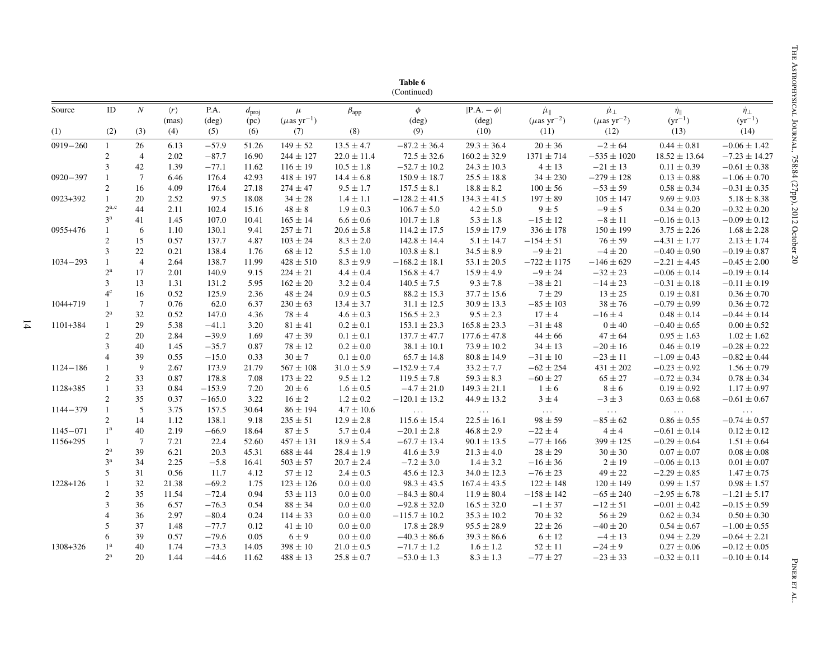| Source<br>(1) | $\rm ID$<br>(2)             | $\mathcal N$<br>(3) | $\langle r \rangle$<br>(mas)<br>(4) | P.A.<br>$(\text{deg})$<br>(5) | $d_{\text{proj}}$<br>(pc)<br>(6) | $\mu$<br>$(\mu$ as yr <sup>-1</sup> )<br>(7) | $\beta_{\rm app}$<br>(8) | $\phi$<br>$(\text{deg})$<br>(9) | $ P.A. - \phi $<br>$(\text{deg})$<br>(10) | $\mu_{\parallel}$<br>$(\mu$ as yr <sup>-2</sup> )<br>(11) | $\mu_{\perp}$<br>$(\mu\mathrm{as\ yr}^{-2})$<br>(12) | $\dot{\eta}_{\parallel}$<br>$(yr^{-1})$<br>(13) | $\dot{\eta}_{\perp}$<br>$(yr^{-1})$<br>(14) |
|---------------|-----------------------------|---------------------|-------------------------------------|-------------------------------|----------------------------------|----------------------------------------------|--------------------------|---------------------------------|-------------------------------------------|-----------------------------------------------------------|------------------------------------------------------|-------------------------------------------------|---------------------------------------------|
|               |                             |                     |                                     |                               |                                  |                                              |                          |                                 |                                           |                                                           |                                                      |                                                 |                                             |
| $0919 - 260$  | $\mathbf{1}$                | 26                  | 6.13                                | $-57.9$                       | 51.26                            | $149 \pm 52$                                 | $13.5 \pm 4.7$           | $-87.2 \pm 36.4$                | $29.3 \pm 36.4$                           | $20 \pm 36$                                               | $-2 \pm 64$                                          | $0.44 \pm 0.81$                                 | $-0.06 \pm 1.42$                            |
|               | $\sqrt{2}$                  | $\overline{4}$      | 2.02                                | $-87.7$                       | 16.90                            | $244 \pm 127$                                | $22.0 \pm 11.4$          | $72.5 \pm 32.6$                 | $160.2 \pm 32.9$                          | $1371 \pm 714$                                            | $-535 \pm 1020$                                      | $18.52 \pm 13.64$                               | $-7.23 \pm 14.27$                           |
|               | $\boldsymbol{\mathfrak{Z}}$ | 42                  | 1.39                                | $-77.1$                       | 11.62                            | $116 \pm 19$                                 | $10.5 \pm 1.8$           | $-52.7 \pm 10.2$                | $24.3 \pm 10.3$                           | $4 \pm 13$                                                | $-21 \pm 13$                                         | $0.11 \pm 0.39$                                 | $-0.61 \pm 0.38$                            |
| $0920 - 397$  | $\mathbf{1}$                | $\overline{7}$      | 6.46                                | 176.4                         | 42.93                            | $418 \pm 197$                                | $14.4 \pm 6.8$           | $150.9 \pm 18.7$                | $25.5 \pm 18.8$                           | $34 \pm 230$                                              | $-279 \pm 128$                                       | $0.13 \pm 0.88$                                 | $-1.06 \pm 0.70$                            |
|               | $\overline{2}$              | 16                  | 4.09                                | 176.4                         | 27.18                            | $274 \pm 47$                                 | $9.5 \pm 1.7$            | $157.5 \pm 8.1$                 | $18.8 \pm 8.2$                            | $100 \pm 56$                                              | $-53 \pm 59$                                         | $0.58 \pm 0.34$                                 | $-0.31 \pm 0.35$                            |
| 0923+392      | $\mathbf{1}$                | 20                  | 2.52                                | 97.5                          | 18.08                            | $34 \pm 28$                                  | $1.4 \pm 1.1$            | $-128.2 \pm 41.5$               | $134.3 \pm 41.5$                          | $197 \pm 89$                                              | $105 \pm 147$                                        | $9.69 \pm 9.03$                                 | $5.18 \pm 8.38$                             |
|               | $2^{a,c}$                   | 44                  | 2.11                                | 102.4                         | 15.16                            | $48 \pm 8$                                   | $1.9 \pm 0.3$            | $106.7 \pm 5.0$                 | $4.2 \pm 5.0$                             | $9 \pm 5$                                                 | $-9 \pm 5$                                           | $0.34 \pm 0.20$                                 | $-0.32 \pm 0.20$                            |
|               | 3 <sup>a</sup>              | 41                  | 1.45                                | 107.0                         | 10.41                            | $165 \pm 14$                                 | $6.6 \pm 0.6$            | $101.7 \pm 1.8$                 | $5.3 \pm 1.8$                             | $-15 \pm 12$                                              | $-8 \pm 11$                                          | $-0.16 \pm 0.13$                                | $-0.09 \pm 0.12$                            |
| 0955+476      | $\mathbf{1}$                | 6                   | 1.10                                | 130.1                         | 9.41                             | $257 \pm 71$                                 | $20.6 \pm 5.8$           | $114.2 \pm 17.5$                | $15.9 \pm 17.9$                           | $336 \pm 178$                                             | $150 \pm 199$                                        | $3.75 \pm 2.26$                                 | $1.68 \pm 2.28$                             |
|               | $\sqrt{2}$                  | 15                  | 0.57                                | 137.7                         | 4.87                             | $103 \pm 24$                                 | $8.3 \pm 2.0$            | $142.8 \pm 14.4$                | $5.1 \pm 14.7$                            | $-154 \pm 51$                                             | $76 \pm 59$                                          | $-4.31 \pm 1.77$                                | $2.13 \pm 1.74$                             |
|               | $\overline{3}$              | 22                  | 0.21                                | 138.4                         | 1.76                             | $68 \pm 12$                                  | $5.5 \pm 1.0$            | $103.8 \pm 8.1$                 | $34.5 \pm 8.9$                            | $-9 \pm 21$                                               | $-4 \pm 20$                                          | $-0.40 \pm 0.90$                                | $-0.19 \pm 0.87$                            |
| $1034 - 293$  | $\mathbf{1}$                | $\overline{4}$      | 2.64                                | 138.7                         | 11.99                            | $428 \pm 510$                                | $8.3 \pm 9.9$            | $-168.2 \pm 18.1$               | $53.1 \pm 20.5$                           | $-722 \pm 1175$                                           | $-146 \pm 629$                                       | $-2.21 \pm 4.45$                                | $-0.45 \pm 2.00$                            |
|               | $2^{\mathrm{a}}$            | 17                  | 2.01                                | 140.9                         | 9.15                             | $224 \pm 21$                                 | $4.4 \pm 0.4$            | $156.8 \pm 4.7$                 | $15.9 \pm 4.9$                            | $-9 \pm 24$                                               | $-32\pm23$                                           | $-0.06 \pm 0.14$                                | $-0.19 \pm 0.14$                            |
|               | $\mathfrak{Z}$              | 13                  | 1.31                                | 131.2                         | 5.95                             | $162 \pm 20$                                 | $3.2 \pm 0.4$            | $140.5 \pm 7.5$                 | $9.3 \pm 7.8$                             | $-38 \pm 21$                                              | $-14 \pm 23$                                         | $-0.31 \pm 0.18$                                | $-0.11 \pm 0.19$                            |
|               | 4 <sup>c</sup>              | 16                  | 0.52                                | 125.9                         | 2.36                             | $48 \pm 24$                                  | $0.9\pm0.5$              | $88.2 \pm 15.3$                 | $37.7 \pm 15.6$                           | $7\pm29$                                                  | $13\pm25$                                            | $0.19 \pm 0.81$                                 | $0.36 \pm 0.70$                             |
| $1044 + 719$  | $\mathbf{1}$                | $7\overline{ }$     | 0.76                                | 62.0                          | 6.37                             | $230 \pm 63$                                 | $13.4 \pm 3.7$           | $31.1 \pm 12.5$                 | $30.9 \pm 13.3$                           | $-85 \pm 103$                                             | $38 \pm 76$                                          | $-0.79 \pm 0.99$                                | $0.36 \pm 0.72$                             |
|               | $2^{\mathrm{a}}$            | 32                  | 0.52                                | 147.0                         | 4.36                             | $78 \pm 4$                                   | $4.6 \pm 0.3$            | $156.5 \pm 2.3$                 | $9.5 \pm 2.3$                             | $17 \pm 4$                                                | $-16 \pm 4$                                          | $0.48 \pm 0.14$                                 | $-0.44 \pm 0.14$                            |
| $1101 + 384$  | $\mathbf{1}$                | 29                  | 5.38                                | $-41.1$                       | 3.20                             | $81 \pm 41$                                  | $0.2 \pm 0.1$            | $153.1 \pm 23.3$                | $165.8 \pm 23.3$                          | $-31 \pm 48$                                              | $0 \pm 40$                                           | $-0.40 \pm 0.65$                                | $0.00 \pm 0.52$                             |
|               | $\sqrt{2}$                  | 20                  | 2.84                                | $-39.9$                       | 1.69                             | $47 \pm 39$                                  | $0.1 \pm 0.1$            | $137.7 \pm 47.7$                | $177.6 \pm 47.8$                          | $44\pm66$                                                 | $47 \pm 64$                                          | $0.95 \pm 1.63$                                 | $1.02 \pm 1.62$                             |
|               | $\overline{3}$              | 40                  | 1.45                                | $-35.7$                       | 0.87                             | $78 \pm 12$                                  | $0.2 \pm 0.0$            | $38.1 \pm 10.1$                 | $73.9 \pm 10.2$                           | $34 \pm 13$                                               | $-20\pm16$                                           | $0.46 \pm 0.19$                                 | $-0.28 \pm 0.22$                            |
|               | $\overline{4}$              | 39                  | 0.55                                | $-15.0$                       | 0.33                             | $30 \pm 7$                                   | $0.1 \pm 0.0$            | $65.7 \pm 14.8$                 | $80.8 \pm 14.9$                           | $-31\pm10$                                                | $-23 \pm 11$                                         | $-1.09 \pm 0.43$                                | $-0.82 \pm 0.44$                            |
| $1124 - 186$  | $\overline{1}$              | 9                   | 2.67                                | 173.9                         | 21.79                            | $567 \pm 108$                                | $31.0 \pm 5.9$           | $-152.9 \pm 7.4$                | $33.2 \pm 7.7$                            | $-62 \pm 254$                                             | $431 \pm 202$                                        | $-0.23 \pm 0.92$                                | $1.56 \pm 0.79$                             |
|               | $\overline{c}$              | 33                  | 0.87                                | 178.8                         | 7.08                             | $173 \pm 22$                                 | $9.5 \pm 1.2$            | $119.5 \pm 7.8$                 | $59.3 \pm 8.3$                            | $-60 \pm 27$                                              | $65 \pm 27$                                          | $-0.72 \pm 0.34$                                | $0.78 \pm 0.34$                             |
| 1128+385      | $\mathbf{1}$                | 33                  | 0.84                                | $-153.9$                      | 7.20                             | $20 \pm 6$                                   | $1.6 \pm 0.5$            | $-4.7 \pm 21.0$                 | $149.3 \pm 21.1$                          | $1 \pm 6$                                                 | $8 \pm 6$                                            | $0.19 \pm 0.92$                                 | $1.17 \pm 0.97$                             |
|               | $\overline{c}$              | 35                  | 0.37                                | $-165.0$                      | 3.22                             | $16 \pm 2$                                   | $1.2 \pm 0.2$            | $-120.1 \pm 13.2$               | $44.9 \pm 13.2$                           | $3 \pm 4$                                                 | $-3\pm3$                                             | $0.63 \pm 0.68$                                 | $-0.61\pm0.67$                              |
| $1144 - 379$  | $\mathbf{1}$                | 5                   | 3.75                                | 157.5                         | 30.64                            | $86 \pm 194$                                 | $4.7 \pm 10.6$           | $\ldots$                        | $\sim$ . $\sim$                           | $\sim 10$                                                 | $\sim 10$                                            | $\sim$ .                                        | $\sim$ .                                    |
|               | $\overline{2}$              | 14                  | 1.12                                | 138.1                         | 9.18                             | $235 \pm 51$                                 | $12.9 \pm 2.8$           | $115.6 \pm 15.4$                | $22.5 \pm 16.1$                           | $98 \pm 59$                                               | $-85 \pm 62$                                         | $0.86 \pm 0.55$                                 | $-0.74 \pm 0.57$                            |
| $1145 - 071$  | 1 <sup>a</sup>              | 40                  | 2.19                                | $-66.9$                       | 18.64                            | $87 \pm 5$                                   | $5.7 \pm 0.4$            | $-20.1 \pm 2.8$                 | $46.8 \pm 2.9$                            | $-22 \pm 4$                                               | $4 \pm 4$                                            | $-0.61 \pm 0.14$                                | $0.12 \pm 0.12$                             |
| 1156+295      | $\mathbf{1}$                | $7\phantom{.0}$     | 7.21                                | 22.4                          | 52.60                            | $457 \pm 131$                                | $18.9 \pm 5.4$           | $-67.7 \pm 13.4$                | $90.1 \pm 13.5$                           | $-77 \pm 166$                                             | $399 \pm 125$                                        | $-0.29 \pm 0.64$                                | $1.51 \pm 0.64$                             |
|               | $2^{\rm a}$                 | 39                  | 6.21                                | 20.3                          | 45.31                            | $688 \pm 44$                                 | $28.4 \pm 1.9$           | $41.6 \pm 3.9$                  | $21.3 \pm 4.0$                            | $28\pm29$                                                 | $30 \pm 30$                                          | $0.07 \pm 0.07$                                 | $0.08 \pm 0.08$                             |
|               | 3 <sup>a</sup>              | 34                  | 2.25                                | $-5.8$                        | 16.41                            | $503 \pm 57$                                 | $20.7 \pm 2.4$           | $-7.2 \pm 3.0$                  | $1.4 \pm 3.2$                             | $-16 \pm 36$                                              | $2 \pm 19$                                           | $-0.06 \pm 0.13$                                | $0.01 \pm 0.07$                             |
|               | $\sqrt{5}$                  | 31                  | 0.56                                | 11.7                          | 4.12                             | $57 \pm 12$                                  | $2.4 \pm 0.5$            | $45.6 \pm 12.3$                 | $34.0 \pm 12.3$                           | $-76\pm23$                                                | $49 \pm 22$                                          | $-2.29 \pm 0.85$                                | $1.47 \pm 0.75$                             |
| $1228 + 126$  | $\mathbf{1}$                | 32                  | 21.38                               | $-69.2$                       | 1.75                             | $123 \pm 126$                                | $0.0 \pm 0.0$            | $98.3 \pm 43.5$                 | $167.4\pm43.5$                            | $122 \pm 148$                                             | $120 \pm 149$                                        | $0.99 \pm 1.57$                                 | $0.98 \pm 1.57$                             |
|               | $\overline{2}$              | 35                  | 11.54                               | $-72.4$                       | 0.94                             | $53 \pm 113$                                 | $0.0 \pm 0.0$            | $-84.3 \pm 80.4$                | $11.9 \pm 80.4$                           | $-158 \pm 142$                                            | $-65 \pm 240$                                        | $-2.95 \pm 6.78$                                | $-1.21 \pm 5.17$                            |
|               | $\mathfrak{Z}$              | 36                  | 6.57                                | $-76.3$                       | 0.54                             | $88 \pm 34$                                  | $0.0 \pm 0.0$            | $-92.8 \pm 32.0$                | $16.5 \pm 32.0$                           | $-1 \pm 37$                                               | $-12 \pm 51$                                         | $-0.01 \pm 0.42$                                | $-0.15 \pm 0.59$                            |
|               | $\overline{4}$              | 36                  | 2.97                                | $-80.4$                       | 0.24                             | $114 \pm 33$                                 | $0.0 \pm 0.0$            | $-115.7 \pm 10.2$               | $35.3 \pm 10.2$                           | $70\pm32$                                                 | $56\pm29$                                            | $0.62 \pm 0.34$                                 | $0.50 \pm 0.30$                             |
|               | 5                           | 37                  | 1.48                                | $-77.7$                       | 0.12                             | $41 \pm 10$                                  | $0.0 \pm 0.0$            | $17.8 \pm 28.9$                 | $95.5 \pm 28.9$                           | $22 \pm 26$                                               | $-40 \pm 20$                                         | $0.54 \pm 0.67$                                 | $-1.00 \pm 0.55$                            |
|               | 6                           | 39                  | 0.57                                | $-79.6$                       | 0.05                             | $6\pm9$                                      | $0.0 \pm 0.0$            | $-40.3 \pm 86.6$                | $39.3 \pm 86.6$                           | $6 \pm 12$                                                | $-4 \pm 13$                                          | $0.94 \pm 2.29$                                 | $-0.64 \pm 2.21$                            |
| 1308+326      | 1 <sup>a</sup>              | 40                  | 1.74                                | $-73.3$                       | 14.05                            | $398 \pm 10$                                 | $21.0\pm0.5$             | $-71.7 \pm 1.2$                 | $1.6\pm1.2$                               | $52\pm11$                                                 | $-24\pm9$                                            | $0.27 \pm 0.06$                                 | $-0.12 \pm 0.05$                            |
|               | $2^{\mathrm{a}}$            | 20                  | 1.44                                | $-44.6$                       | 11.62                            | $488 \pm 13$                                 | $25.8 \pm 0.7$           | $-53.0 \pm 1.3$                 | $8.3 \pm 1.3$                             | $-77 \pm 27$                                              | $-23 \pm 33$                                         | $-0.32 \pm 0.11$                                | $-0.10 \pm 0.14$                            |
|               |                             |                     |                                     |                               |                                  |                                              |                          |                                 |                                           |                                                           |                                                      |                                                 |                                             |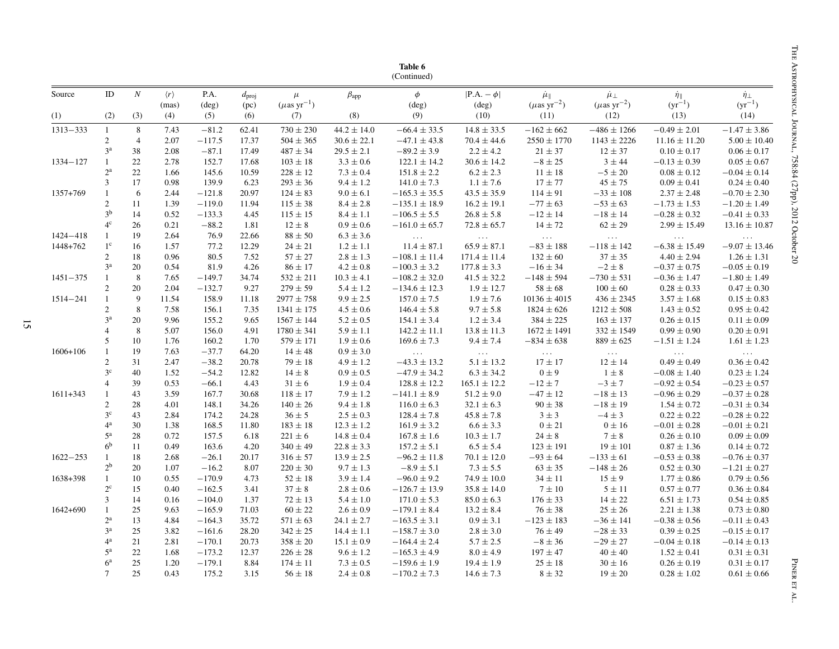| Source       | ID               | $\boldsymbol{N}$ | $\langle r \rangle$ | P.A.           |                           |                                       |                 | $\phi$                  | $ P.A. - \phi $  |                                                   |                                              |                                         | $\dot{\eta}_{\perp}$    |
|--------------|------------------|------------------|---------------------|----------------|---------------------------|---------------------------------------|-----------------|-------------------------|------------------|---------------------------------------------------|----------------------------------------------|-----------------------------------------|-------------------------|
|              |                  |                  | (mas)               | $(\text{deg})$ | $d_{\text{proj}}$<br>(pc) | $\mu$<br>$(\mu$ as yr <sup>-1</sup> ) | $\beta_{app}$   | $(\text{deg})$          | $(\text{deg})$   | $\mu_{\parallel}$<br>$(\mu$ as yr <sup>-2</sup> ) | $\mu_{\perp}$<br>$(\mu\mathrm{as\ yr}^{-2})$ | $\dot{\eta}_{\parallel}$<br>$(yr^{-1})$ | $(yr^{-1})$             |
| (1)          | (2)              | (3)              | (4)                 | (5)            | (6)                       | (7)                                   | (8)             | (9)                     | (10)             | (11)                                              | (12)                                         | (13)                                    | (14)                    |
| $1313 - 333$ | $\mathbf{1}$     | $\,8\,$          | 7.43                | $-81.2$        | 62.41                     | $730 \pm 230$                         | $44.2 \pm 14.0$ | $-66.4 \pm 33.5$        | $14.8 \pm 33.5$  | $-162 \pm 662$                                    | $-486 \pm 1266$                              | $-0.49 \pm 2.01$                        | $-1.47 \pm 3.86$        |
|              | $\overline{2}$   | $\overline{4}$   | 2.07                | $-117.5$       | 17.37                     | $504 \pm 365$                         | $30.6 \pm 22.1$ | $-47.1 \pm 43.8$        | $70.4 \pm 44.6$  | $2550 \pm 1770$                                   | $1143 \pm 2226$                              | $11.16 \pm 11.20$                       | $5.00 \pm 10.40$        |
|              | 3 <sup>a</sup>   | 38               | 2.08                | $-87.1$        | 17.49                     | $487 \pm 34$                          | $29.5 \pm 2.1$  | $-89.2 \pm 3.9$         | $2.2 \pm 4.2$    | $21 \pm 37$                                       | $12 \pm 37$                                  | $0.10 \pm 0.17$                         | $0.06 \pm 0.17$         |
| $1334 - 127$ | $\mathbf{1}$     | 22               | 2.78                | 152.7          | 17.68                     | $103 \pm 18$                          | $3.3 \pm 0.6$   | $122.1 \pm 14.2$        | $30.6 \pm 14.2$  | $-8 \pm 25$                                       | 3 ± 44                                       | $-0.13 \pm 0.39$                        | $0.05 \pm 0.67$         |
|              | $2^{\mathrm{a}}$ | 22               | 1.66                | 145.6          | 10.59                     | $228 \pm 12$                          | $7.3 \pm 0.4$   | $151.8 \pm 2.2$         | $6.2 \pm 2.3$    | $11 \pm 18$                                       | $-5\pm20$                                    | $0.08 \pm 0.12$                         | $-0.04 \pm 0.14$        |
|              | 3                | 17               | 0.98                | 139.9          | 6.23                      | $293 \pm 36$                          | $9.4 \pm 1.2$   | $141.0 \pm 7.3$         | $1.1 \pm 7.6$    | $17 \pm 77$                                       | $45\pm75$                                    | $0.09 \pm 0.41$                         | $0.24 \pm 0.40$         |
| 1357+769     |                  | 6                | 2.44                | $-121.8$       | 20.97                     | $124 \pm 83$                          | $9.0 \pm 6.1$   | $-165.3 \pm 35.5$       | $43.5 \pm 35.9$  | $114 \pm 91$                                      | $-33 \pm 108$                                | $2.37 \pm 2.48$                         | $-0.70 \pm 2.30$        |
|              | $\overline{2}$   | 11               | 1.39                | $-119.0$       | 11.94                     | $115 \pm 38$                          | $8.4 \pm 2.8$   | $-135.1 \pm 18.9$       | $16.2 \pm 19.1$  | $-77 \pm 63$                                      | $-53 \pm 63$                                 | $-1.73 \pm 1.53$                        | $-1.20 \pm 1.49$        |
|              | 3 <sup>b</sup>   | 14               | 0.52                | $-133.3$       | 4.45                      | $115 \pm 15$                          | $8.4 \pm 1.1$   | $-106.5 \pm 5.5$        | $26.8 \pm 5.8$   | $-12 \pm 14$                                      | $-18 \pm 14$                                 | $-0.28 \pm 0.32$                        | $-0.41 \pm 0.33$        |
|              | 4 <sup>c</sup>   | 26               | 0.21                | $-88.2$        | 1.81                      | $12 \pm 8$                            | $0.9\pm0.6$     | $-161.0 \pm 65.7$       | $72.8 \pm 65.7$  | $14 \pm 72$                                       | $62\pm29$                                    | $2.99 \pm 15.49$                        | $13.16 \pm 10.87$       |
| 1424-418     | 1                | 19               | 2.64                | 76.9           | 22.66                     | $88 \pm 50$                           | $6.3 \pm 3.6$   | $\sim 100$ km s $^{-1}$ | $\sim 100$       | $\sim 100$ km s $^{-1}$                           | $\sim 100$                                   | $\sim 100$                              | $\sim 100$              |
| 1448+762     | $1^{\rm c}$      | 16               | 1.57                | 77.2           | 12.29                     | $24 \pm 21$                           | $1.2 \pm 1.1$   | $11.4 \pm 87.1$         | $65.9 \pm 87.1$  | $-83 \pm 188$                                     | $-118 \pm 142$                               | $-6.38 \pm 15.49$                       | $-9.07 \pm 13.46$       |
|              | $\overline{2}$   | 18               | 0.96                | 80.5           | 7.52                      | $57 \pm 27$                           | $2.8 \pm 1.3$   | $-108.1 \pm 11.4$       | $171.4 \pm 11.4$ | $132 \pm 60$                                      | $37 \pm 35$                                  | $4.40 \pm 2.94$                         | $1.26 \pm 1.31$         |
|              | 3 <sup>a</sup>   | 20               | 0.54                | 81.9           | 4.26                      | $86\pm17$                             | $4.2 \pm 0.8$   | $-100.3 \pm 3.2$        | $177.8 \pm 3.3$  | $-16 \pm 34$                                      | $-2 \pm 8$                                   | $-0.37 \pm 0.75$                        | $-0.05 \pm 0.19$        |
| $1451 - 375$ | 1                | $\,8\,$          | 7.65                | $-149.7$       | 34.74                     | $532 \pm 211$                         | $10.3 \pm 4.1$  | $-108.2 \pm 32.0$       | $41.5 \pm 32.2$  | $-148 \pm 594$                                    | $-730 \pm 531$                               | $-0.36 \pm 1.47$                        | $-1.80 \pm 1.49$        |
|              | $\overline{c}$   | 20               | 2.04                | $-132.7$       | 9.27                      | $279 \pm 59$                          | $5.4 \pm 1.2$   | $-134.6 \pm 12.3$       | $1.9 \pm 12.7$   | $58 \pm 68$                                       | $100 \pm 60$                                 | $0.28 \pm 0.33$                         | $0.47 \pm 0.30$         |
| $1514 - 241$ | $\mathbf{1}$     | 9                | 11.54               | 158.9          | 11.18                     | $2977 \pm 758$                        | $9.9 \pm 2.5$   | $157.0 \pm 7.5$         | $1.9 \pm 7.6$    | $10136 \pm 4015$                                  | $436 \pm 2345$                               | $3.57 \pm 1.68$                         | $0.15 \pm 0.83$         |
|              | $\overline{2}$   | 8                | 7.58                | 156.1          | 7.35                      | $1341 \pm 175$                        | $4.5 \pm 0.6$   | $146.4 \pm 5.8$         | $9.7 \pm 5.8$    | $1824 \pm 626$                                    | $1212 \pm 508$                               | $1.43 \pm 0.52$                         | $0.95 \pm 0.42$         |
|              | 3 <sup>a</sup>   | 20               | 9.96                | 155.2          | 9.65                      | $1567 \pm 144$                        | $5.2 \pm 0.5$   | $154.1 \pm 3.4$         | $1.2 \pm 3.4$    | $384 \pm 225$                                     | $163 \pm 137$                                | $0.26 \pm 0.15$                         | $0.11 \pm 0.09$         |
|              | $\overline{4}$   | $\,8\,$          | 5.07                | 156.0          | 4.91                      | $1780 \pm 341$                        | $5.9 \pm 1.1$   | $142.2 \pm 11.1$        | $13.8 \pm 11.3$  | $1672 \pm 1491$                                   | $332 \pm 1549$                               | $0.99 \pm 0.90$                         | $0.20 \pm 0.91$         |
|              | 5                | 10               | 1.76                | 160.2          | 1.70                      | $579 \pm 171$                         | $1.9 \pm 0.6$   | $169.6 \pm 7.3$         | $9.4 \pm 7.4$    | $-834 \pm 638$                                    | $889 \pm 625$                                | $-1.51 \pm 1.24$                        | $1.61 \pm 1.23$         |
| $1606 + 106$ | 1                | 19               | 7.63                | $-37.7$        | 64.20                     | $14 \pm 48$                           | $0.9 \pm 3.0$   | $\sim 100$ km s $^{-1}$ | $\sim 100$ $\mu$ | $\sim 100$                                        | $\sim 100$ km $^{-1}$                        | $\sim 1.1\, \rm{M}_{\odot}$             | $\sim 100$ km s $^{-1}$ |
|              | 2                | 31               | 2.47                | $-38.2$        | 20.78                     | $79 \pm 18$                           | $4.9 \pm 1.2$   | $-43.3 \pm 13.2$        | $5.1 \pm 13.2$   | $17 \pm 17$                                       | $12 \pm 14$                                  | $0.49 \pm 0.49$                         | $0.36 \pm 0.42$         |
|              | 3 <sup>c</sup>   | 40               | 1.52                | $-54.2$        | 12.82                     | $14 \pm 8$                            | $0.9\pm0.5$     | $-47.9 \pm 34.2$        | $6.3 \pm 34.2$   | $0\pm9$                                           | $1 \pm 8$                                    | $-0.08 \pm 1.40$                        | $0.23 \pm 1.24$         |
|              | $\overline{4}$   | 39               | 0.53                | $-66.1$        | 4.43                      | $31 \pm 6$                            | $1.9 \pm 0.4$   | $128.8 \pm 12.2$        | $165.1 \pm 12.2$ | $-12 \pm 7$                                       | $-3 \pm 7$                                   | $-0.92 \pm 0.54$                        | $-0.23 \pm 0.57$        |
| $1611 + 343$ | 1                | 43               | 3.59                | 167.7          | 30.68                     | $118 \pm 17$                          | $7.9 \pm 1.2$   | $-141.1 \pm 8.9$        | $51.2 \pm 9.0$   | $-47 \pm 12$                                      | $-18 \pm 13$                                 | $-0.96 \pm 0.29$                        | $-0.37 \pm 0.28$        |
|              | $\overline{c}$   | 28               | 4.01                | 148.1          | 34.26                     | $140 \pm 26$                          | $9.4 \pm 1.8$   | $116.0 \pm 6.3$         | $32.1 \pm 6.3$   | $90 \pm 38$                                       | $-18 \pm 19$                                 | $1.54 \pm 0.72$                         | $-0.31 \pm 0.34$        |
|              | $3^{\rm c}$      | 43               | 2.84                | 174.2          | 24.28                     | $36 \pm 5$                            | $2.5 \pm 0.3$   | $128.4 \pm 7.8$         | $45.8 \pm 7.8$   | $3 \pm 3$                                         | $-4\pm3$                                     | $0.22 \pm 0.22$                         | $-0.28 \pm 0.22$        |
|              | 4 <sup>a</sup>   | 30               | 1.38                | 168.5          | 11.80                     | $183 \pm 18$                          | $12.3 \pm 1.2$  | $161.9 \pm 3.2$         | $6.6 \pm 3.3$    | $0 \pm 21$                                        | $0\pm16$                                     | $-0.01 \pm 0.28$                        | $-0.01 \pm 0.21$        |
|              | $5^{\rm a}$      | 28               | 0.72                | 157.5          | 6.18                      | $221 \pm 6$                           | $14.8 \pm 0.4$  | $167.8 \pm 1.6$         | $10.3 \pm 1.7$   | $24 \pm 8$                                        | $7 \pm 8$                                    | $0.26 \pm 0.10$                         | $0.09 \pm 0.09$         |
|              | 6 <sup>b</sup>   | 11               | 0.49                | 163.6          | 4.20                      | $340 \pm 49$                          | $22.8 \pm 3.3$  | $157.2 \pm 5.1$         | $6.5 \pm 5.4$    | $123 \pm 191$                                     | $19 \pm 101$                                 | $0.87 \pm 1.36$                         | $0.14 \pm 0.72$         |
| $1622 - 253$ | 1                | 18               | 2.68                | $-26.1$        | 20.17                     | $316 \pm 57$                          | $13.9 \pm 2.5$  | $-96.2 \pm 11.8$        | $70.1 \pm 12.0$  | $-93 \pm 64$                                      | $-133 \pm 61$                                | $-0.53 \pm 0.38$                        | $-0.76 \pm 0.37$        |
|              | 2 <sup>b</sup>   | 20               | 1.07                | $-16.2$        | 8.07                      | $220 \pm 30$                          | $9.7 \pm 1.3$   | $-8.9 \pm 5.1$          | $7.3 \pm 5.5$    | $63 \pm 35$                                       | $-148 \pm 26$                                | $0.52 \pm 0.30$                         | $-1.21 \pm 0.27$        |
| 1638+398     | $\mathbf{1}$     | 10               | 0.55                | $-170.9$       | 4.73                      | $52 \pm 18$                           | $3.9 \pm 1.4$   | $-96.0 \pm 9.2$         | $74.9 \pm 10.0$  | $34 \pm 11$                                       | $15 \pm 9$                                   | $1.77 \pm 0.86$                         | $0.79 \pm 0.56$         |
|              | $2^{\rm c}$      | 15               | 0.40                | $-162.5$       | 3.41                      | $37 \pm 8$                            | $2.8 \pm 0.6$   | $-126.7 \pm 13.9$       | $35.8 \pm 14.0$  | $7 \pm 10$                                        | $5 \pm 11$                                   | $0.57 \pm 0.77$                         | $0.36 \pm 0.84$         |
|              | 3                | 14               | 0.16                | $-104.0$       | 1.37                      | $72 \pm 13$                           | $5.4 \pm 1.0$   | $171.0 \pm 5.3$         | $85.0 \pm 6.3$   | $176 \pm 33$                                      | $14 \pm 22$                                  | $6.51 \pm 1.73$                         | $0.54 \pm 0.85$         |
| $1642 + 690$ | $\mathbf{1}$     | 25               | 9.63                | $-165.9$       | 71.03                     | $60 \pm 22$                           | $2.6 \pm 0.9$   | $-179.1 \pm 8.4$        | $13.2 \pm 8.4$   | $76 \pm 38$                                       | $25 \pm 26$                                  | $2.21 \pm 1.38$                         | $0.73 \pm 0.80$         |
|              | $2^{\mathrm{a}}$ | 13               | 4.84                | $-164.3$       | 35.72                     | $571 \pm 63$                          | $24.1 \pm 2.7$  | $-163.5 \pm 3.1$        | $0.9 \pm 3.1$    | $-123 \pm 183$                                    | $-36 \pm 141$                                | $-0.38 \pm 0.56$                        | $-0.11 \pm 0.43$        |
|              | $3^{\rm a}$      | 25               | 3.82                | $-161.6$       | 28.20                     | $342 \pm 25$                          | $14.4 \pm 1.1$  | $-158.7 \pm 3.0$        | $2.8 \pm 3.0$    | $76 \pm 49$                                       | $-28 \pm 33$                                 | $0.39 \pm 0.25$                         | $-0.15 \pm 0.17$        |
|              | $4^{\rm a}$      | 21               | 2.81                | $-170.1$       | 20.73                     | $358 \pm 20$                          | $15.1 \pm 0.9$  | $-164.4 \pm 2.4$        | $5.7 \pm 2.5$    | $-8 \pm 36$                                       | $-29 \pm 27$                                 | $-0.04 \pm 0.18$                        | $-0.14 \pm 0.13$        |
|              | $5^{\rm a}$      | 22               | 1.68                | $-173.2$       | 12.37                     | $226 \pm 28$                          | $9.6 \pm 1.2$   | $-165.3 \pm 4.9$        | $8.0 \pm 4.9$    | $197 \pm 47$                                      | $40 \pm 40$                                  | $1.52 \pm 0.41$                         | $0.31 \pm 0.31$         |
|              | 6 <sup>a</sup>   | 25               | 1.20                | $-179.1$       | 8.84                      | $174 \pm 11$                          | $7.3 \pm 0.5$   | $-159.6 \pm 1.9$        | $19.4 \pm 1.9$   | $25\pm18$                                         | $30\pm16$                                    | $0.26 \pm 0.19$                         | $0.31 \pm 0.17$         |
|              | $\tau$           | 25               | 0.43                | 175.2          | 3.15                      | $56 \pm 18$                           | $2.4\pm0.8$     | $-170.2 \pm 7.3$        | $14.6 \pm 7.3$   | $8 \pm 32$                                        | $19\pm20$                                    | $0.28 \pm 1.02$                         | $0.61 \pm 0.66$         |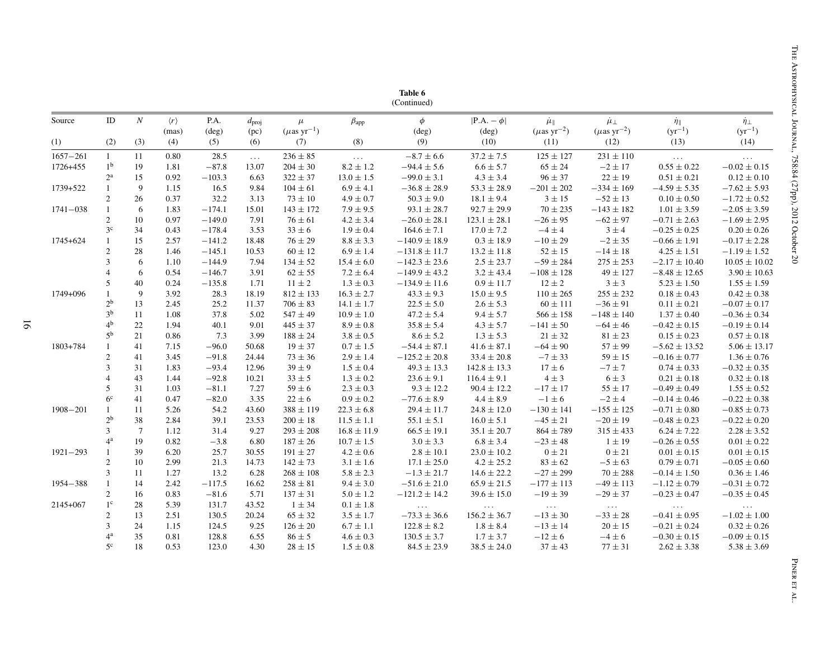| Source       | $\rm ID$        | $\cal N$        | $\langle r \rangle$ | P.A.                | $d_{\text{proj}}$ | $\mu$                               | $\beta_{app}$                | $\phi$                       | $ P.A. - \phi $                | $\mu_{\parallel}$                     | $\mu_{\perp}$                         | $\dot{\eta}_{\parallel}$             | $\dot{\eta}_{\perp}$                 |
|--------------|-----------------|-----------------|---------------------|---------------------|-------------------|-------------------------------------|------------------------------|------------------------------|--------------------------------|---------------------------------------|---------------------------------------|--------------------------------------|--------------------------------------|
|              |                 |                 | (mas)               | $(\text{deg})$      | (pc)              | $(\mu \text{as} \; \text{yr}^{-1})$ |                              | (deg)                        | $(\text{deg})$                 | $(\mu$ as yr <sup>-2</sup> )          | $(\mu\text{as yr}^{-2})$              | $(yr^{-1})$                          | $(yr^{-1})$                          |
| (1)          | (2)             | (3)             | (4)                 | (5)                 | (6)               | (7)                                 | (8)                          | (9)                          | (10)                           | (11)                                  | (12)                                  | (13)                                 | (14)                                 |
| $1657 - 261$ | $\mathbf{1}$    | 11              | 0.80                | 28.5                | $\ldots$          | $236 \pm 85$                        | $\sim$ $\sim$ $\sim$         | $-8.7 \pm 6.6$               | $37.2 \pm 7.5$                 | $125 \pm 127$                         | $231 \pm 110$                         | $\sim 10$                            | $\sim$ $\sim$ $\sim$                 |
| 1726+455     | 1 <sup>b</sup>  | 19              | 1.81                | $-87.8$             | 13.07             | $204 \pm 30$                        | $8.2 \pm 1.2$                | $-94.4 \pm 5.6$              | $6.6 \pm 5.7$                  | $65\pm24$                             | $-2 \pm 17$                           | $0.55 \pm 0.22$                      | $-0.02 \pm 0.15$                     |
|              | $2^{\rm a}$     | 15              | 0.92                | $-103.3$            | 6.63              | $322 \pm 37$                        | $13.0\pm1.5$                 | $-99.0 \pm 3.1$              | $4.3 \pm 3.4$                  | $96\pm37$                             | $22 \pm 19$                           | $0.51 \pm 0.21$                      | $0.12 \pm 0.10$                      |
| 1739+522     | $\mathbf{1}$    | $\overline{9}$  | 1.15                | 16.5                | 9.84              | $104 \pm 61$                        | $6.9 \pm 4.1$                | $-36.8 \pm 28.9$             | $53.3 \pm 28.9$                | $-201 \pm 202$                        | $-334 \pm 169$                        | $-4.59 \pm 5.35$                     | $-7.62 \pm 5.93$                     |
| $1741 - 038$ | $\overline{2}$  | 26              | 0.37                | 32.2                | 3.13              | $73 \pm 10$                         | $4.9 \pm 0.7$                | $50.3 \pm 9.0$               | $18.1 \pm 9.4$                 | $3 \pm 15$                            | $-52 \pm 13$                          | $0.10 \pm 0.50$                      | $-1.72 \pm 0.52$                     |
|              | $\mathbf{1}$    | 6               | 1.83                | $-174.1$            | 15.01             | $143 \pm 172$                       | $7.9 \pm 9.5$                | $93.1 \pm 28.7$              | $92.7 \pm 29.9$                | $70 \pm 235$                          | $-143 \pm 182$                        | $1.01 \pm 3.59$                      | $-2.05 \pm 3.59$                     |
|              | $\mathbf{2}$    | 10              | 0.97                | $-149.0$            | 7.91              | $76 \pm 61$                         | $4.2 \pm 3.4$                | $-26.0 \pm 28.1$             | $123.1 \pm 28.1$               | $-26 \pm 95$                          | $-62 \pm 97$                          | $-0.71 \pm 2.63$                     | $-1.69 \pm 2.95$                     |
|              | 3 <sup>c</sup>  | 34              | 0.43                | $-178.4$            | 3.53              | $33 \pm 6$                          | $1.9 \pm 0.4$                | $164.6 \pm 7.1$              | $17.0 \pm 7.2$                 | $-4 \pm 4$                            | $3 \pm 4$                             | $-0.25 \pm 0.25$                     | $0.20 \pm 0.26$                      |
| 1745+624     | $\mathbf{1}$    | 15              | 2.57                | $-141.2$            | 18.48             | $76 \pm 29$                         | $8.8 \pm 3.3$                | $-140.9 \pm 18.9$            | $0.3 \pm 18.9$                 | $-10\pm29$                            | $-2 \pm 35$                           | $-0.66 \pm 1.91$                     | $-0.17 \pm 2.28$                     |
|              | $\overline{c}$  | 28              | 1.46                | $-145.1$            | 10.53             | $60 \pm 12$                         | $6.9 \pm 1.4$                | $-131.8 \pm 11.7$            | $13.2 \pm 11.8$                | $52 \pm 15$                           | $-14\pm18$                            | $4.25 \pm 1.51$                      | $-1.19 \pm 1.52$                     |
|              | $\mathfrak{Z}$  | 6               | 1.10                | $-144.9$            | 7.94              | $134 \pm 52$                        | $15.4 \pm 6.0$               | $-142.3 \pm 23.6$            | $2.5 \pm 23.7$                 | $-59 \pm 284$                         | $275 \pm 253$                         | $-2.17 \pm 10.40$                    | $10.05 \pm 10.02$                    |
|              | $\overline{4}$  | 6               | 0.54                | $-146.7$            | 3.91              | $62 \pm 55$                         | $7.2 \pm 6.4$                | $-149.9 \pm 43.2$            | $3.2 \pm 43.4$                 | $-108 \pm 128$                        | $49 \pm 127$                          | $-8.48 \pm 12.65$                    | $3.90 \pm 10.63$                     |
|              | 5               | 40              | 0.24                | $-135.8$            | 1.71              | $11 \pm 2$                          | $1.3 \pm 0.3$                | $-134.9 \pm 11.6$            | $0.9 \pm 11.7$                 | $12 \pm 2$                            | $3 \pm 3$                             | $5.23 \pm 1.50$                      | $1.55 \pm 1.59$                      |
| 1749+096     |                 | $\overline{9}$  | 3.92                | 28.3                | 18.19             | $812 \pm 133$                       | $16.3 \pm 2.7$               | $43.3 \pm 9.3$               | $15.0 \pm 9.5$                 | $110 \pm 265$                         | $255\pm232$                           | $0.18 \pm 0.43$                      | $0.42 \pm 0.38$                      |
|              | $2^{\rm b}$     | 13              | 2.45                | 25.2                | 11.37             | $706 \pm 83$                        | $14.1 \pm 1.7$               | $22.5 \pm 5.0$               | $2.6 \pm 5.3$                  | $60 \pm 111$                          | $-36 \pm 91$                          | $0.11 \pm 0.21$                      | $-0.07 \pm 0.17$                     |
|              | $3^{\rm b}$     | 11              | 1.08                | 37.8                | 5.02              | $547 \pm 49$                        | $10.9 \pm 1.0$               | $47.2 \pm 5.4$               | $9.4 \pm 5.7$                  | $566 \pm 158$                         | $-148 \pm 140$                        | $1.37 \pm 0.40$                      | $-0.36 \pm 0.34$                     |
|              | 4 <sup>b</sup>  | 22              | 1.94                | 40.1                | 9.01              | $445 \pm 37$                        | $8.9 \pm 0.8$                | $35.8 \pm 5.4$               | $4.3 \pm 5.7$                  | $-141 \pm 50$                         | $-64 \pm 46$                          | $-0.42 \pm 0.15$                     | $-0.19 \pm 0.14$                     |
|              | $5^{\rm b}$     | 21              | 0.86                | 7.3                 | 3.99              | $188 \pm 24$                        | $3.8\pm0.5$                  | $8.6 \pm 5.2$                | $1.3 \pm 5.3$                  | $21\pm32$                             | $81 \pm 23$                           | $0.15 \pm 0.23$                      | $0.57 \pm 0.18$                      |
| 1803+784     |                 | 41              | 7.15                | $-96.0$             | 50.68             | $19 \pm 37$                         | $0.7\pm1.5$                  | $-54.4 \pm 87.1$             | $41.6 \pm 87.1$                | $-64\pm90$                            | $57 \pm 99$                           | $-5.62 \pm 13.52$                    | $5.06 \pm 13.17$                     |
|              | $\overline{c}$  | 41              | 3.45                | $-91.8$             | 24.44             | $73 \pm 36$                         | $2.9 \pm 1.4$                | $-125.2 \pm 20.8$            | $33.4 \pm 20.8$                | $-7 \pm 33$                           | $59 \pm 15$                           | $-0.16 \pm 0.77$                     | $1.36 \pm 0.76$                      |
|              | 3               | 31              | 1.83                | $-93.4$             | 12.96             | $39 \pm 9$                          | $1.5 \pm 0.4$                | $49.3 \pm 13.3$              | $142.8 \pm 13.3$               | $17 \pm 6$                            | $-7 \pm 7$                            | $0.74 \pm 0.33$                      | $-0.32 \pm 0.35$                     |
|              | $\overline{4}$  | 43              | 1.44                | $-92.8$             | 10.21             | $33 \pm 5$                          | $1.3 \pm 0.2$                | $23.6 \pm 9.1$               | $116.4 \pm 9.1$                | $4 \pm 3$                             | $6 \pm 3$                             | $0.21 \pm 0.18$                      | $0.32 \pm 0.18$                      |
|              | 5               | 31              | 1.03                | $-81.1$             | 7.27              | $59 \pm 6$                          | $2.3 \pm 0.3$                | $9.3 \pm 12.2$               | $90.4 \pm 12.2$                | $-17 \pm 17$                          | $55 \pm 17$                           | $-0.49 \pm 0.49$                     | $1.55 \pm 0.52$                      |
|              | 6 <sup>c</sup>  | 41              | 0.47                | $-82.0$             | 3.35              | $22 \pm 6$                          | $0.9\pm0.2$                  | $-77.6 \pm 8.9$              | $4.4 \pm 8.9$                  | $-1 \pm 6$                            | $-2 \pm 4$                            | $-0.14 \pm 0.46$                     | $-0.22 \pm 0.38$                     |
| 1908-201     | $\mathbf{1}$    | 11              | 5.26                | 54.2                | 43.60             | $388 \pm 119$                       | $22.3 \pm 6.8$               | $29.4 \pm 11.7$              | $24.8 \pm 12.0$                | $-130 \pm 141$                        | $-155 \pm 125$                        | $-0.71 \pm 0.80$                     | $-0.85 \pm 0.73$                     |
|              | $2^{\rm b}$     | 38              | 2.84                | 39.1                | 23.53             | $200 \pm 18$                        | $11.5 \pm 1.1$               | $55.1 \pm 5.1$               | $16.0 \pm 5.1$                 | $-45 \pm 21$                          | $-20 \pm 19$                          | $-0.48 \pm 0.23$                     | $-0.22 \pm 0.20$                     |
|              | $\mathfrak{Z}$  | $7\phantom{.0}$ | 1.12                | 31.4                | 9.27              | $293 \pm 208$                       | $16.8 \pm 11.9$              | $66.5 \pm 19.1$              | $35.1 \pm 20.7$                | $864 \pm 789$                         | $315 \pm 433$                         | $6.24 \pm 7.22$                      | $2.28 \pm 3.52$                      |
|              | 4 <sup>a</sup>  | 19              | 0.82                | $-3.8$              | 6.80              | $187\pm26$                          | $10.7\pm1.5$                 | $3.0\pm3.3$                  | $6.8 \pm 3.4$                  | $-23 \pm 48$                          | $1 \pm 19$                            | $-0.26\pm0.55$                       | $0.01\pm0.22$                        |
| $1921 - 293$ | $\mathbf{1}$    | 39              | 6.20                | 25.7                | 30.55             | $191 \pm 27$                        | $4.2 \pm 0.6$                | $2.8 \pm 10.1$               | $23.0 \pm 10.2$                | $0 \pm 21$                            | $0 \pm 21$                            | $0.01 \pm 0.15$                      | $0.01 \pm 0.15$                      |
|              | $\overline{2}$  | 10<br>11        | 2.99                | 21.3                | 14.73             | $142 \pm 73$                        | $3.1 \pm 1.6$                | $17.1 \pm 25.0$              | $4.2 \pm 25.2$                 | $83 \pm 62$                           | $-5 \pm 63$                           | $0.79 \pm 0.71$                      | $-0.05 \pm 0.60$                     |
|              | 3               | 14              | 1.27                | 13.2                | 6.28              | $268\pm108$                         | $5.8 \pm 2.3$                | $-1.3 \pm 21.7$              | $14.6 \pm 22.2$                | $-27 \pm 299$                         | $70 \pm 288$                          | $-0.14 \pm 1.50$                     | $0.36 \pm 1.46$                      |
| 1954-388     | 1<br>$\sqrt{2}$ | 16              | 2.42<br>0.83        | $-117.5$<br>$-81.6$ | 16.62             | $258 \pm 81$                        | $9.4 \pm 3.0$                | $-51.6 \pm 21.0$             | $65.9 \pm 21.5$                | $-177 \pm 113$<br>$-19 \pm 39$        | $-49 \pm 113$<br>$-29 \pm 37$         | $-1.12 \pm 0.79$<br>$-0.23 \pm 0.47$ | $-0.31 \pm 0.72$<br>$-0.35 \pm 0.45$ |
| 2145+067     | $1^{\circ}$     | 28              | 5.39                | 131.7               | 5.71<br>43.52     | $137 \pm 31$<br>$1 \pm 34$          | $5.0 \pm 1.2$<br>$0.1\pm1.8$ | $-121.2 \pm 14.2$            | $39.6 \pm 15.0$                |                                       |                                       |                                      |                                      |
|              | $\overline{c}$  | 13              | 2.51                | 130.5               | 20.24             | $65 \pm 32$                         | $3.5 \pm 1.7$                | $\ldots$<br>$-73.3 \pm 36.6$ | $\sim 100$<br>$156.2 \pm 36.7$ | $\sim 100$ km s $^{-1}$<br>$-13\pm30$ | $\sim 100$ km $^{-1}$<br>$-33 \pm 28$ | $\sim 100$<br>$-0.41 \pm 0.95$       | $\ldots$<br>$-1.02 \pm 1.00$         |
|              | 3               | 24              | 1.15                | 124.5               | 9.25              | $126 \pm 20$                        | $6.7 \pm 1.1$                | $122.8 \pm 8.2$              | $1.8 \pm 8.4$                  | $-13\pm14$                            | $20 \pm 15$                           | $-0.21 \pm 0.24$                     | $0.32 \pm 0.26$                      |
|              | 4 <sup>a</sup>  | 35              | 0.81                | 128.8               | 6.55              | $86 \pm 5$                          | $4.6 \pm 0.3$                | $130.5 \pm 3.7$              | $1.7 \pm 3.7$                  | $-12 \pm 6$                           | $-4 \pm 6$                            | $-0.30 \pm 0.15$                     | $-0.09 \pm 0.15$                     |
|              | 5 <sup>c</sup>  | 18              | 0.53                | 123.0               | 4.30              | $28 \pm 15$                         | $1.5 \pm 0.8$                | $84.5 \pm 23.9$              | $38.5 \pm 24.0$                | $37 \pm 43$                           | $77 \pm 31$                           | $2.62 \pm 3.38$                      | $5.38 \pm 3.69$                      |
|              |                 |                 |                     |                     |                   |                                     |                              |                              |                                |                                       |                                       |                                      |                                      |
|              |                 |                 |                     |                     |                   |                                     |                              |                              |                                |                                       |                                       |                                      |                                      |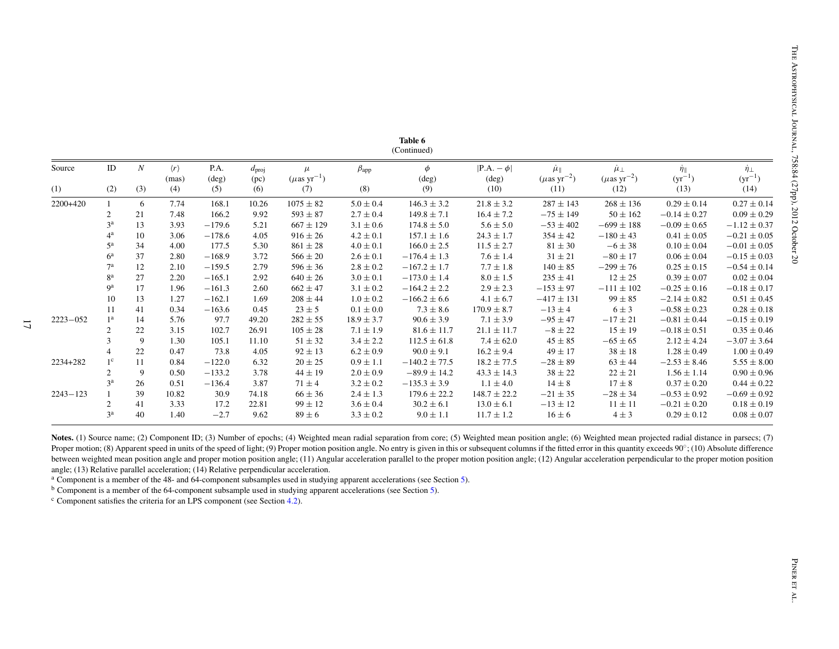|                                                                                                                                                          | $\langle r \rangle$<br>(mas)                                         | P.A.<br>$(\text{deg})$               | $d_{\text{proj}}$<br>(pc)                          | $\mu$<br>$(\mu$ as yr <sup>-1</sup> )          | $\beta_{app}$                                                                                              | $\phi$<br>(deg)                                                                                                              | $ P.A. - \phi $<br>$(\text{deg})$                                                                                                                                        | $\dot{\mu}_{\parallel}$<br>$(\mu$ as yr <sup>-2</sup> )                                                                                 | $\mu_{\perp}$<br>$(\mu$ as yr <sup>-2</sup> )                                                                         | $\frac{\dot{\eta}_{\parallel}}{(\text{yr}^{-1})}$                                                                                                                                                                                                                                                                                                       | $\dot{\eta}_{\perp}$<br>$(yr^{-1})$                                                                                                                                                                                                                                                                                                                              |
|----------------------------------------------------------------------------------------------------------------------------------------------------------|----------------------------------------------------------------------|--------------------------------------|----------------------------------------------------|------------------------------------------------|------------------------------------------------------------------------------------------------------------|------------------------------------------------------------------------------------------------------------------------------|--------------------------------------------------------------------------------------------------------------------------------------------------------------------------|-----------------------------------------------------------------------------------------------------------------------------------------|-----------------------------------------------------------------------------------------------------------------------|---------------------------------------------------------------------------------------------------------------------------------------------------------------------------------------------------------------------------------------------------------------------------------------------------------------------------------------------------------|------------------------------------------------------------------------------------------------------------------------------------------------------------------------------------------------------------------------------------------------------------------------------------------------------------------------------------------------------------------|
| (3)<br>(2)                                                                                                                                               | (4)                                                                  | (5)                                  | (6)                                                | (7)                                            | (8)                                                                                                        | (9)                                                                                                                          | (10)                                                                                                                                                                     | (11)                                                                                                                                    | (12)                                                                                                                  | (13)                                                                                                                                                                                                                                                                                                                                                    | (14)                                                                                                                                                                                                                                                                                                                                                             |
| $\mathbf{1}$<br>6                                                                                                                                        | 7.74                                                                 | 168.1                                | 10.26                                              | $1075 \pm 82$                                  | $5.0 \pm 0.4$                                                                                              | $146.3 \pm 3.2$                                                                                                              | $21.8 \pm 3.2$                                                                                                                                                           | $287 \pm 143$                                                                                                                           | $268 \pm 136$                                                                                                         | $0.29 \pm 0.14$                                                                                                                                                                                                                                                                                                                                         | $0.27 \pm 0.14$                                                                                                                                                                                                                                                                                                                                                  |
| $\overline{c}$<br>$21\,$                                                                                                                                 | 7.48                                                                 | 166.2                                | 9.92                                               | $593 \pm 87$                                   | $2.7 \pm 0.4$                                                                                              | $149.8 \pm 7.1$                                                                                                              | $16.4 \pm 7.2$                                                                                                                                                           | $-75 \pm 149$                                                                                                                           | $50\pm162$                                                                                                            | $-0.14 \pm 0.27$                                                                                                                                                                                                                                                                                                                                        | $0.09 \pm 0.29$                                                                                                                                                                                                                                                                                                                                                  |
| 3 <sup>a</sup><br>13                                                                                                                                     | 3.93                                                                 | $-179.6$                             | 5.21                                               | $667 \pm 129$                                  | $3.1 \pm 0.6$                                                                                              | $174.8 \pm 5.0$                                                                                                              | $5.6 \pm 5.0$                                                                                                                                                            | $-53 \pm 402$                                                                                                                           | $-699 \pm 188$                                                                                                        | $-0.09 \pm 0.65$                                                                                                                                                                                                                                                                                                                                        | $-1.12 \pm 0.37$                                                                                                                                                                                                                                                                                                                                                 |
|                                                                                                                                                          |                                                                      |                                      |                                                    |                                                |                                                                                                            |                                                                                                                              |                                                                                                                                                                          |                                                                                                                                         |                                                                                                                       |                                                                                                                                                                                                                                                                                                                                                         | $-0.21 \pm 0.05$                                                                                                                                                                                                                                                                                                                                                 |
|                                                                                                                                                          |                                                                      |                                      |                                                    |                                                |                                                                                                            |                                                                                                                              |                                                                                                                                                                          |                                                                                                                                         |                                                                                                                       |                                                                                                                                                                                                                                                                                                                                                         | $-0.01\pm0.05$                                                                                                                                                                                                                                                                                                                                                   |
|                                                                                                                                                          |                                                                      |                                      |                                                    |                                                |                                                                                                            |                                                                                                                              |                                                                                                                                                                          |                                                                                                                                         |                                                                                                                       |                                                                                                                                                                                                                                                                                                                                                         | $-0.15 \pm 0.03$                                                                                                                                                                                                                                                                                                                                                 |
|                                                                                                                                                          | 2.10                                                                 | $-159.5$                             | 2.79                                               |                                                |                                                                                                            |                                                                                                                              |                                                                                                                                                                          |                                                                                                                                         |                                                                                                                       |                                                                                                                                                                                                                                                                                                                                                         | $-0.54 \pm 0.14$                                                                                                                                                                                                                                                                                                                                                 |
|                                                                                                                                                          |                                                                      |                                      |                                                    |                                                |                                                                                                            |                                                                                                                              |                                                                                                                                                                          |                                                                                                                                         |                                                                                                                       |                                                                                                                                                                                                                                                                                                                                                         | $0.02\pm0.04$                                                                                                                                                                                                                                                                                                                                                    |
|                                                                                                                                                          | 1.96                                                                 | $-161.3$                             | 2.60                                               | $662 \pm 47$                                   | $3.1 \pm 0.2$                                                                                              | $-164.2 \pm 2.2$                                                                                                             | $2.9 \pm 2.3$                                                                                                                                                            | $-153 \pm 97$                                                                                                                           | $-111 \pm 102$                                                                                                        | $-0.25 \pm 0.16$                                                                                                                                                                                                                                                                                                                                        | $-0.18 \pm 0.17$                                                                                                                                                                                                                                                                                                                                                 |
| 10                                                                                                                                                       | 1.27                                                                 | $-162.1$                             | 1.69                                               |                                                |                                                                                                            |                                                                                                                              |                                                                                                                                                                          |                                                                                                                                         |                                                                                                                       |                                                                                                                                                                                                                                                                                                                                                         | $0.51 \pm 0.45$                                                                                                                                                                                                                                                                                                                                                  |
| 11<br>41                                                                                                                                                 | 0.34                                                                 | $-163.6$                             | 0.45                                               | $23 \pm 5$                                     | $0.1\pm0.0$                                                                                                | $7.3 \pm 8.6$                                                                                                                | $170.9 \pm 8.7$                                                                                                                                                          | $-13 \pm 4$                                                                                                                             | $6 \pm 3$                                                                                                             | $-0.58 \pm 0.23$                                                                                                                                                                                                                                                                                                                                        | $0.28 \pm 0.18$                                                                                                                                                                                                                                                                                                                                                  |
|                                                                                                                                                          | 5.76                                                                 | 97.7                                 |                                                    | $282 \pm 55$                                   | $18.9 \pm 3.7$                                                                                             |                                                                                                                              | $7.1 \pm 3.9$                                                                                                                                                            | $-95 \pm 47$                                                                                                                            | $-17 \pm 21$                                                                                                          | $-0.81 \pm 0.44$                                                                                                                                                                                                                                                                                                                                        | $-0.15 \pm 0.19$                                                                                                                                                                                                                                                                                                                                                 |
|                                                                                                                                                          |                                                                      |                                      |                                                    |                                                |                                                                                                            |                                                                                                                              |                                                                                                                                                                          |                                                                                                                                         |                                                                                                                       |                                                                                                                                                                                                                                                                                                                                                         | $0.35 \pm 0.46$                                                                                                                                                                                                                                                                                                                                                  |
| 3<br>9                                                                                                                                                   | 1.30                                                                 | 105.1                                | 11.10                                              | $51 \pm 32$                                    | $3.4 \pm 2.2$                                                                                              | $112.5 \pm 61.8$                                                                                                             | $7.4 \pm 62.0$                                                                                                                                                           | $45 \pm 85$                                                                                                                             | $-65 \pm 65$                                                                                                          | $2.12 \pm 4.24$                                                                                                                                                                                                                                                                                                                                         | $-3.07 \pm 3.64$                                                                                                                                                                                                                                                                                                                                                 |
| $\overline{4}$<br>22                                                                                                                                     | 0.47                                                                 | 73.8                                 | 4.05                                               | $92 \pm 13$                                    | $6.2 \pm 0.9$                                                                                              | $90.0 \pm 9.1$                                                                                                               | $16.2 \pm 9.4$                                                                                                                                                           | $49 \pm 17$                                                                                                                             | $38 \pm 18$                                                                                                           | $1.28 \pm 0.49$                                                                                                                                                                                                                                                                                                                                         | $1.00 \pm 0.49$                                                                                                                                                                                                                                                                                                                                                  |
|                                                                                                                                                          | 0.84                                                                 | $-122.0$                             | 6.32                                               | $20\pm25$                                      | $0.9\pm1.1$                                                                                                | $-140.2 \pm 77.5$                                                                                                            | $18.2 \pm 77.5$                                                                                                                                                          | $-28 \pm 89$                                                                                                                            | $63 \pm 44$                                                                                                           | $-2.53 \pm 8.46$                                                                                                                                                                                                                                                                                                                                        | $5.55 \pm 8.00$                                                                                                                                                                                                                                                                                                                                                  |
| $\overline{2}$<br>9                                                                                                                                      | 0.50                                                                 | $-133.2$                             | 3.78                                               | $44 \pm 19$                                    | $2.0\pm0.9$                                                                                                | $-89.9 \pm 14.2$                                                                                                             | $43.3 \pm 14.3$                                                                                                                                                          | $38 \pm 22$                                                                                                                             | $22 \pm 21$                                                                                                           | $1.56 \pm 1.14$                                                                                                                                                                                                                                                                                                                                         | $0.90 \pm 0.96$                                                                                                                                                                                                                                                                                                                                                  |
| $3^{\rm a}$<br>26                                                                                                                                        | 0.51                                                                 | $-136.4$                             | 3.87                                               | $71 \pm 4$                                     | $3.2 \pm 0.2$                                                                                              | $-135.3 \pm 3.9$                                                                                                             | $1.1 \pm 4.0$                                                                                                                                                            | $14 \pm 8$                                                                                                                              | $17 \pm 8$                                                                                                            | $0.37 \pm 0.20$                                                                                                                                                                                                                                                                                                                                         | $0.44 \pm 0.22$                                                                                                                                                                                                                                                                                                                                                  |
| 39<br>$\mathbf{1}$                                                                                                                                       | 10.82                                                                | 30.9                                 | 74.18                                              | $66 \pm 36$                                    | $2.4\pm1.3$                                                                                                | $179.6 \pm 22.2$                                                                                                             | $148.7\pm22.2$                                                                                                                                                           | $-21 \pm 35$                                                                                                                            | $-28 \pm 34$                                                                                                          | $-0.53\pm0.92$                                                                                                                                                                                                                                                                                                                                          | $-0.69\pm0.92$                                                                                                                                                                                                                                                                                                                                                   |
| $\overline{c}$<br>41                                                                                                                                     | 3.33                                                                 | 17.2                                 | 22.81                                              | $99 \pm 12$                                    | $3.6 \pm 0.4$                                                                                              | $30.2 \pm 6.1$                                                                                                               | $13.0 \pm 6.1$                                                                                                                                                           | $-13\pm12$                                                                                                                              | $11\pm11$                                                                                                             | $-0.21 \pm 0.20$                                                                                                                                                                                                                                                                                                                                        | $0.18 \pm 0.19$                                                                                                                                                                                                                                                                                                                                                  |
| 3 <sup>a</sup><br>40                                                                                                                                     | 1.40                                                                 | $-2.7$                               | 9.62                                               | $89 \pm 6$                                     |                                                                                                            |                                                                                                                              |                                                                                                                                                                          |                                                                                                                                         |                                                                                                                       |                                                                                                                                                                                                                                                                                                                                                         | $0.08\pm0.07$                                                                                                                                                                                                                                                                                                                                                    |
| 4 <sup>a</sup><br>$5^{\rm a}$<br>$6^{\rm a}$<br>7 <sup>a</sup><br>8 <sup>a</sup><br>9 <sup>a</sup><br>1 <sup>a</sup><br>$\overline{c}$<br>$1^\mathrm{c}$ | 10<br>34<br>37<br>12<br>$27\,$<br>17<br>13<br>14<br>$22\,$<br>$11\,$ | 3.06<br>4.00<br>2.80<br>2.20<br>3.15 | $-178.6$<br>177.5<br>$-168.9$<br>$-165.1$<br>102.7 | 4.05<br>5.30<br>3.72<br>2.92<br>49.20<br>26.91 | $916 \pm 26$<br>$861 \pm 28$<br>$566\pm20$<br>$596 \pm 36$<br>$640 \pm 26$<br>$208 \pm 44$<br>$105 \pm 28$ | $4.2 \pm 0.1$<br>$4.0\pm0.1$<br>$2.6\pm0.1$<br>$2.8 \pm 0.2$<br>$3.0\pm0.1$<br>$1.0\pm0.2$<br>$7.1 \pm 1.9$<br>$3.3 \pm 0.2$ | $157.1 \pm 1.6$<br>$166.0 \pm 2.5$<br>$-176.4 \pm 1.3$<br>$-167.2 \pm 1.7$<br>$-173.0 \pm 1.4$<br>$-166.2 \pm 6.6$<br>$90.6 \pm 3.9$<br>$81.6 \pm 11.7$<br>$9.0 \pm 1.1$ | $24.3 \pm 1.7$<br>$11.5 \pm 2.7$<br>$7.6 \pm 1.4$<br>$7.7 \pm 1.8$<br>$8.0\pm1.5$<br>$4.1 \pm 6.7$<br>$21.1 \pm 11.7$<br>$11.7 \pm 1.2$ | $354 \pm 42$<br>$81\pm30$<br>$31 \pm 21$<br>$140 \pm 85$<br>$235 \pm 41$<br>$-417 \pm 131$<br>$-8\pm22$<br>$16 \pm 6$ | $-180 \pm 43$<br>$-6 \pm 38$<br>$-80\pm17$<br>$-299 \pm 76$<br>$12 \pm 25$<br>$99 \pm 85$<br>$15 \pm 19$<br>$4 \pm 3$<br>Proper motion; (8) Apparent speed in units of the speed of light; (9) Proper motion position angle. No entry is given in this or subsequent columns if the fitted error in this quantity exceeds 90°; (10) Absolute difference | $0.41 \pm 0.05$<br>$0.10\pm0.04$<br>$0.06 \pm 0.04$<br>$0.25 \pm 0.15$<br>$0.39 \pm 0.07$<br>$-2.14\pm0.82$<br>$-0.18 \pm 0.51$<br>$0.29\pm0.12$<br>Notes. (1) Source name; (2) Component ID; (3) Number of epochs; (4) Weighted mean radial separation from core; (5) Weighted mean position angle; (6) Weighted mean projected radial distance in parsecs; (7) |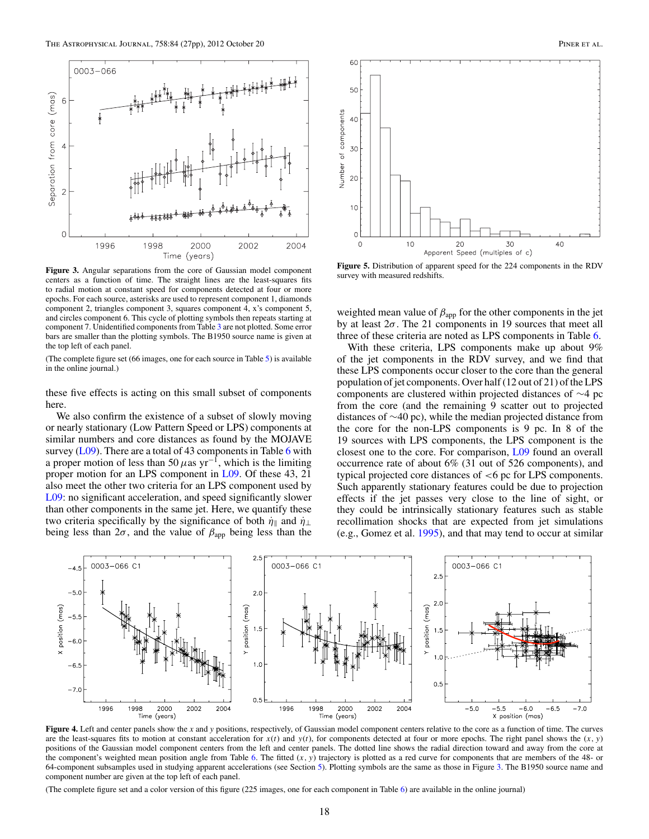<span id="page-19-0"></span>

**Figure 3.** Angular separations from the core of Gaussian model component centers as a function of time. The straight lines are the least-squares fits to radial motion at constant speed for components detected at four or more epochs. For each source, asterisks are used to represent component 1, diamonds component 2, triangles component 3, squares component 4, x's component 5, and circles component 6. This cycle of plotting symbols then repeats starting at component 7. Unidentified components from Table [3](#page-7-0) are not plotted. Some error bars are smaller than the plotting symbols. The B1950 source name is given at the top left of each panel.

(The complete figure set (66 images, one for each source in Table [5\)](#page-9-0) is available in the online journal.)

these five effects is acting on this small subset of components here.

We also confirm the existence of a subset of slowly moving or nearly stationary (Low Pattern Speed or LPS) components at similar numbers and core distances as found by the MOJAVE survey  $(L09)$ . There are a total of 43 components in Table [6](#page-13-0) with a proper motion of less than 50  $\mu$ as yr<sup>-1</sup>, which is the limiting proper motion for an LPS component in [L09.](#page-28-0) Of these 43, 21 also meet the other two criteria for an LPS component used by [L09:](#page-28-0) no significant acceleration, and speed significantly slower than other components in the same jet. Here, we quantify these two criteria specifically by the significance of both  $\dot{\eta}_{\parallel}$  and  $\dot{\eta}_{\perp}$ being less than  $2\sigma$ , and the value of  $\beta_{\rm app}$  being less than the



**Figure 5.** Distribution of apparent speed for the 224 components in the RDV survey with measured redshifts.

weighted mean value of  $\beta_{app}$  for the other components in the jet by at least  $2\sigma$ . The 21 components in 19 sources that meet all three of these criteria are noted as LPS components in Table [6.](#page-13-0)

With these criteria, LPS components make up about 9% of the jet components in the RDV survey, and we find that these LPS components occur closer to the core than the general population of jet components. Over half (12 out of 21) of the LPS components are clustered within projected distances of ∼4 pc from the core (and the remaining 9 scatter out to projected distances of ∼40 pc), while the median projected distance from the core for the non-LPS components is 9 pc. In 8 of the 19 sources with LPS components, the LPS component is the closest one to the core. For comparison, [L09](#page-28-0) found an overall occurrence rate of about 6% (31 out of 526 components), and typical projected core distances of *<*6 pc for LPS components. Such apparently stationary features could be due to projection effects if the jet passes very close to the line of sight, or they could be intrinsically stationary features such as stable recollimation shocks that are expected from jet simulations (e.g., Gomez et al. [1995\)](#page-28-0), and that may tend to occur at similar



**Figure 4.** Left and center panels show the *x* and *y* positions, respectively, of Gaussian model component centers relative to the core as a function of time. The curves are the least-squares fits to motion at constant acceleration for  $x(t)$  and  $y(t)$ , for components detected at four or more epochs. The right panel shows the  $(x, y)$ positions of the Gaussian model component centers from the left and center panels. The dotted line shows the radial direction toward and away from the core at the component's weighted mean position angle from Table [6.](#page-13-0) The fitted  $(x, y)$  trajectory is plotted as a red curve for components that are members of the 48- or 64-component subsamples used in studying apparent accelerations (see Section [5\)](#page-22-0). Plotting symbols are the same as those in Figure 3. The B1950 source name and component number are given at the top left of each panel.

(The complete figure set and a color version of this figure (225 images, one for each component in Table [6\)](#page-13-0) are available in the online journal)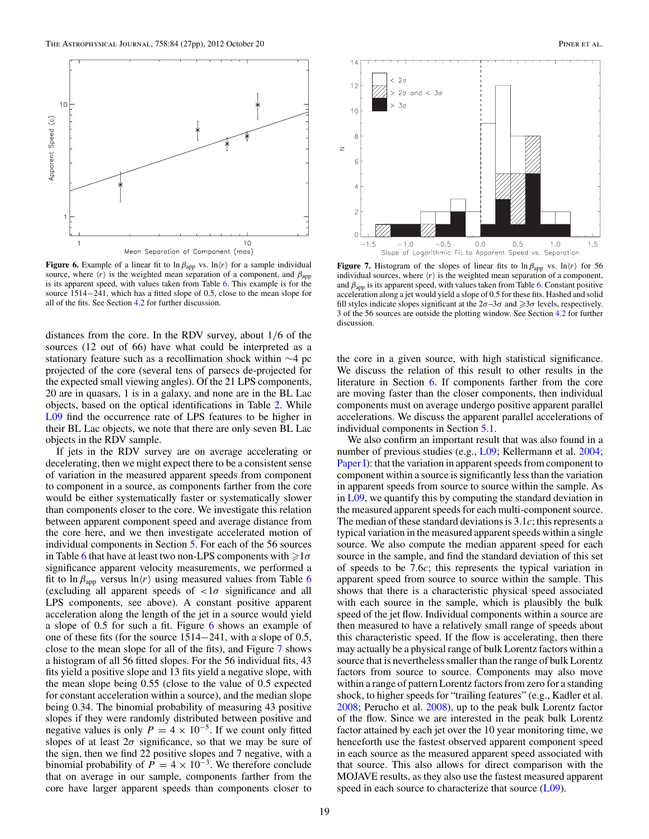

**Figure 6.** Example of a linear fit to  $\ln \beta_{app}$  vs.  $\ln \langle r \rangle$  for a sample individual source, where  $\langle r \rangle$  is the weighted mean separation of a component, and  $\beta_{app}$ is its apparent speed, with values taken from Table [6.](#page-13-0) This example is for the source 1514−241, which has a fitted slope of 0.5, close to the mean slope for all of the fits. See Section [4.2](#page-12-0) for further discussion.

distances from the core. In the RDV survey, about 1*/*6 of the sources (12 out of 66) have what could be interpreted as a stationary feature such as a recollimation shock within ∼4 pc projected of the core (several tens of parsecs de-projected for the expected small viewing angles). Of the 21 LPS components, 20 are in quasars, 1 is in a galaxy, and none are in the BL Lac objects, based on the optical identifications in Table [2.](#page-5-0) While [L09](#page-28-0) find the occurrence rate of LPS features to be higher in their BL Lac objects, we note that there are only seven BL Lac objects in the RDV sample.

If jets in the RDV survey are on average accelerating or decelerating, then we might expect there to be a consistent sense of variation in the measured apparent speeds from component to component in a source, as components farther from the core would be either systematically faster or systematically slower than components closer to the core. We investigate this relation between apparent component speed and average distance from the core here, and we then investigate accelerated motion of individual components in Section [5.](#page-22-0) For each of the 56 sources in Table [6](#page-13-0) that have at least two non-LPS components with  $\geq 1\sigma$ significance apparent velocity measurements, we performed a fit to ln  $\beta_{\rm app}$  versus ln $\langle r \rangle$  using measured values from Table [6](#page-13-0) (excluding all apparent speeds of *<*1*σ* significance and all LPS components, see above). A constant positive apparent acceleration along the length of the jet in a source would yield a slope of 0.5 for such a fit. Figure 6 shows an example of one of these fits (for the source 1514−241, with a slope of 0.5, close to the mean slope for all of the fits), and Figure 7 shows a histogram of all 56 fitted slopes. For the 56 individual fits, 43 fits yield a positive slope and 13 fits yield a negative slope, with the mean slope being 0.55 (close to the value of 0.5 expected for constant acceleration within a source), and the median slope being 0.34. The binomial probability of measuring 43 positive slopes if they were randomly distributed between positive and negative values is only  $P = 4 \times 10^{-5}$ . If we count only fitted slopes of at least  $2\sigma$  significance, so that we may be sure of the sign, then we find 22 positive slopes and 7 negative, with a binomial probability of  $P = 4 \times 10^{-3}$ . We therefore conclude that on average in our sample, components farther from the core have larger apparent speeds than components closer to



**Figure 7.** Histogram of the slopes of linear fits to  $\ln \beta_{app}$  vs.  $\ln \langle r \rangle$  for 56 individual sources, where  $\langle r \rangle$  is the weighted mean separation of a component, and  $\beta_{app}$  is its apparent speed, with values taken from Table [6.](#page-13-0) Constant positive acceleration along a jet would yield a slope of 0.5 for these fits. Hashed and solid fill styles indicate slopes significant at the  $2\sigma - 3\sigma$  and  $\geq 3\sigma$  levels, respectively. 3 of the 56 sources are outside the plotting window. See Section [4.2](#page-12-0) for further discussion.

the core in a given source, with high statistical significance. We discuss the relation of this result to other results in the literature in Section [6.](#page-26-0) If components farther from the core are moving faster than the closer components, then individual components must on average undergo positive apparent parallel accelerations. We discuss the apparent parallel accelerations of individual components in Section [5.1.](#page-22-0)

We also confirm an important result that was also found in a number of previous studies (e.g., [L09;](#page-28-0) Kellermann et al. [2004;](#page-28-0) [Paper I\)](#page-28-0): that the variation in apparent speeds from component to component within a source is significantly less than the variation in apparent speeds from source to source within the sample. As in [L09,](#page-28-0) we quantify this by computing the standard deviation in the measured apparent speeds for each multi-component source. The median of these standard deviations is 3.1*c*; this represents a typical variation in the measured apparent speeds within a single source. We also compute the median apparent speed for each source in the sample, and find the standard deviation of this set of speeds to be 7.6*c*; this represents the typical variation in apparent speed from source to source within the sample. This shows that there is a characteristic physical speed associated with each source in the sample, which is plausibly the bulk speed of the jet flow. Individual components within a source are then measured to have a relatively small range of speeds about this characteristic speed. If the flow is accelerating, then there may actually be a physical range of bulk Lorentz factors within a source that is nevertheless smaller than the range of bulk Lorentz factors from source to source. Components may also move within a range of pattern Lorentz factors from zero for a standing shock, to higher speeds for "trailing features" (e.g., Kadler et al. [2008;](#page-28-0) Perucho et al. [2008\)](#page-28-0), up to the peak bulk Lorentz factor of the flow. Since we are interested in the peak bulk Lorentz factor attained by each jet over the 10 year monitoring time, we henceforth use the fastest observed apparent component speed in each source as the measured apparent speed associated with that source. This also allows for direct comparison with the MOJAVE results, as they also use the fastest measured apparent speed in each source to characterize that source [\(L09\)](#page-28-0).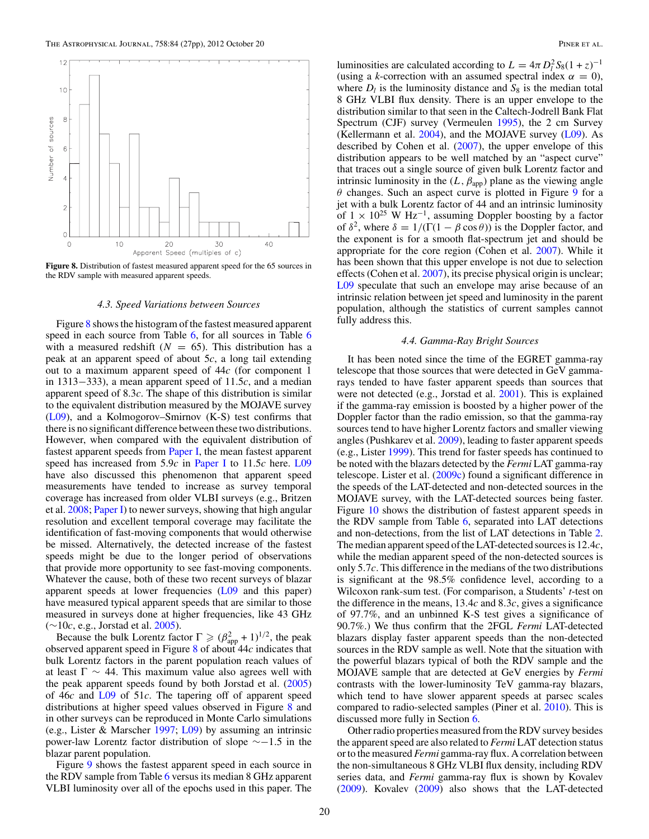<span id="page-21-0"></span>

**Figure 8.** Distribution of fastest measured apparent speed for the 65 sources in the RDV sample with measured apparent speeds.

#### *4.3. Speed Variations between Sources*

Figure 8 shows the histogram of the fastest measured apparent speed in each source from Table [6,](#page-13-0) for all sources in Table [6](#page-13-0) with a measured redshift  $(N = 65)$ . This distribution has a peak at an apparent speed of about 5*c*, a long tail extending out to a maximum apparent speed of 44*c* (for component 1 in 1313−333), a mean apparent speed of 11.5*c*, and a median apparent speed of 8.3*c*. The shape of this distribution is similar to the equivalent distribution measured by the MOJAVE survey [\(L09\)](#page-28-0), and a Kolmogorov–Smirnov (K-S) test confirms that there is no significant difference between these two distributions. However, when compared with the equivalent distribution of fastest apparent speeds from [Paper I,](#page-28-0) the mean fastest apparent speed has increased from 5.9*c* in [Paper I](#page-28-0) to 11.5*c* here. [L09](#page-28-0) have also discussed this phenomenon that apparent speed measurements have tended to increase as survey temporal coverage has increased from older VLBI surveys (e.g., Britzen et al. [2008;](#page-28-0) [Paper I\)](#page-28-0) to newer surveys, showing that high angular resolution and excellent temporal coverage may facilitate the identification of fast-moving components that would otherwise be missed. Alternatively, the detected increase of the fastest speeds might be due to the longer period of observations that provide more opportunity to see fast-moving components. Whatever the cause, both of these two recent surveys of blazar apparent speeds at lower frequencies [\(L09](#page-28-0) and this paper) have measured typical apparent speeds that are similar to those measured in surveys done at higher frequencies, like 43 GHz (∼10*c*, e.g., Jorstad et al. [2005\)](#page-28-0).

Because the bulk Lorentz factor  $\Gamma \ge (\beta_{app}^2 + 1)^{1/2}$ , the peak observed apparent speed in Figure 8 of about 44*c* indicates that bulk Lorentz factors in the parent population reach values of at least  $\Gamma \sim 44$ . This maximum value also agrees well with the peak apparent speeds found by both Jorstad et al. [\(2005\)](#page-28-0) of 46*c* and [L09](#page-28-0) of 51*c*. The tapering off of apparent speed distributions at higher speed values observed in Figure 8 and in other surveys can be reproduced in Monte Carlo simulations (e.g., Lister & Marscher [1997;](#page-28-0) [L09\)](#page-28-0) by assuming an intrinsic power-law Lorentz factor distribution of slope ∼−1*.*5 in the blazar parent population.

Figure [9](#page-22-0) shows the fastest apparent speed in each source in the RDV sample from Table [6](#page-13-0) versus its median 8 GHz apparent VLBI luminosity over all of the epochs used in this paper. The

luminosities are calculated according to  $L = 4\pi D_l^2 S_8 (1 + z)^{-1}$ (using a *k*-correction with an assumed spectral index  $\alpha = 0$ ), where  $D_l$  is the luminosity distance and  $S_8$  is the median total 8 GHz VLBI flux density. There is an upper envelope to the distribution similar to that seen in the Caltech-Jodrell Bank Flat Spectrum (CJF) survey (Vermeulen [1995\)](#page-28-0), the 2 cm Survey (Kellermann et al. [2004\)](#page-28-0), and the MOJAVE survey [\(L09\)](#page-28-0). As described by Cohen et al. [\(2007\)](#page-28-0), the upper envelope of this distribution appears to be well matched by an "aspect curve" that traces out a single source of given bulk Lorentz factor and intrinsic luminosity in the  $(L, \beta_{app})$  plane as the viewing angle *θ* changes. Such an aspect curve is plotted in Figure [9](#page-22-0) for a jet with a bulk Lorentz factor of 44 and an intrinsic luminosity of  $1 \times 10^{25}$  W Hz<sup>-1</sup>, assuming Doppler boosting by a factor of  $\delta^2$ , where  $\delta = 1/(\Gamma(1 - \beta \cos \theta))$  is the Doppler factor, and the exponent is for a smooth flat-spectrum jet and should be appropriate for the core region (Cohen et al. [2007\)](#page-28-0). While it has been shown that this upper envelope is not due to selection effects (Cohen et al. [2007\)](#page-28-0), its precise physical origin is unclear; [L09](#page-28-0) speculate that such an envelope may arise because of an intrinsic relation between jet speed and luminosity in the parent population, although the statistics of current samples cannot fully address this.

#### *4.4. Gamma-Ray Bright Sources*

It has been noted since the time of the EGRET gamma-ray telescope that those sources that were detected in GeV gammarays tended to have faster apparent speeds than sources that were not detected (e.g., Jorstad et al. [2001\)](#page-28-0). This is explained if the gamma-ray emission is boosted by a higher power of the Doppler factor than the radio emission, so that the gamma-ray sources tend to have higher Lorentz factors and smaller viewing angles (Pushkarev et al. [2009\)](#page-28-0), leading to faster apparent speeds (e.g., Lister [1999\)](#page-28-0). This trend for faster speeds has continued to be noted with the blazars detected by the *Fermi* LAT gamma-ray telescope. Lister et al. [\(2009c\)](#page-28-0) found a significant difference in the speeds of the LAT-detected and non-detected sources in the MOJAVE survey, with the LAT-detected sources being faster. Figure [10](#page-22-0) shows the distribution of fastest apparent speeds in the RDV sample from Table [6,](#page-13-0) separated into LAT detections and non-detections, from the list of LAT detections in Table [2.](#page-5-0) The median apparent speed of the LAT-detected sources is 12*.*4*c*, while the median apparent speed of the non-detected sources is only 5*.*7*c*. This difference in the medians of the two distributions is significant at the 98.5% confidence level, according to a Wilcoxon rank-sum test. (For comparison, a Students' *t*-test on the difference in the means, 13*.*4*c* and 8*.*3*c*, gives a significance of 97.7%, and an unbinned K-S test gives a significance of 90.7%.) We thus confirm that the 2FGL *Fermi* LAT-detected blazars display faster apparent speeds than the non-detected sources in the RDV sample as well. Note that the situation with the powerful blazars typical of both the RDV sample and the MOJAVE sample that are detected at GeV energies by *Fermi* contrasts with the lower-luminosity TeV gamma-ray blazars, which tend to have slower apparent speeds at parsec scales compared to radio-selected samples (Piner et al. [2010\)](#page-28-0). This is discussed more fully in Section [6.](#page-26-0)

Other radio properties measured from the RDV survey besides the apparent speed are also related to *Fermi* LAT detection status or to the measured *Fermi* gamma-ray flux. A correlation between the non-simultaneous 8 GHz VLBI flux density, including RDV series data, and *Fermi* gamma-ray flux is shown by Kovalev [\(2009\)](#page-28-0). Kovalev [\(2009\)](#page-28-0) also shows that the LAT-detected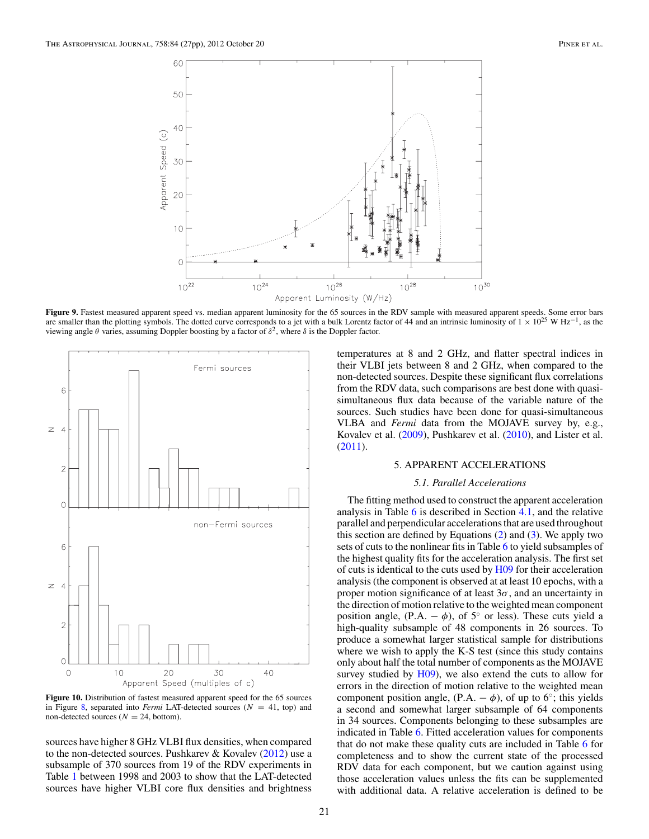<span id="page-22-0"></span>

Figure 9. Fastest measured apparent speed vs. median apparent luminosity for the 65 sources in the RDV sample with measured apparent speeds. Some error bars are smaller than the plotting symbols. The dotted curve corresponds to a jet with a bulk Lorentz factor of 44 and an intrinsic luminosity of  $1 \times 10^{25}$  W Hz<sup>-1</sup>, as the viewing angle *θ* varies, assuming Doppler boosting by a factor of *δ*2, where *δ* is the Doppler factor.



Figure 10. Distribution of fastest measured apparent speed for the 65 sources in Figure [8,](#page-21-0) separated into *Fermi* LAT-detected sources  $(N = 41, \text{ top})$  and non-detected sources ( $N = 24$ , bottom).

sources have higher 8 GHz VLBI flux densities, when compared to the non-detected sources. Pushkarev & Kovalev [\(2012\)](#page-28-0) use a subsample of 370 sources from 19 of the RDV experiments in Table [1](#page-4-0) between 1998 and 2003 to show that the LAT-detected sources have higher VLBI core flux densities and brightness temperatures at 8 and 2 GHz, and flatter spectral indices in their VLBI jets between 8 and 2 GHz, when compared to the non-detected sources. Despite these significant flux correlations from the RDV data, such comparisons are best done with quasisimultaneous flux data because of the variable nature of the sources. Such studies have been done for quasi-simultaneous VLBA and *Fermi* data from the MOJAVE survey by, e.g., Kovalev et al. [\(2009\)](#page-28-0), Pushkarev et al. [\(2010\)](#page-28-0), and Lister et al. [\(2011\)](#page-28-0).

#### 5. APPARENT ACCELERATIONS

#### *5.1. Parallel Accelerations*

The fitting method used to construct the apparent acceleration analysis in Table [6](#page-13-0) is described in Section [4.1,](#page-8-0) and the relative parallel and perpendicular accelerations that are used throughout this section are defined by Equations  $(2)$  and  $(3)$ . We apply two sets of cuts to the nonlinear fits in Table [6](#page-13-0) to yield subsamples of the highest quality fits for the acceleration analysis. The first set of cuts is identical to the cuts used by [H09](#page-28-0) for their acceleration analysis (the component is observed at at least 10 epochs, with a proper motion significance of at least  $3\sigma$ , and an uncertainty in the direction of motion relative to the weighted mean component position angle,  $(P.A. - \phi)$ , of 5<sup>°</sup> or less). These cuts yield a high-quality subsample of 48 components in 26 sources. To produce a somewhat larger statistical sample for distributions where we wish to apply the K-S test (since this study contains only about half the total number of components as the MOJAVE survey studied by  $H(09)$ , we also extend the cuts to allow for errors in the direction of motion relative to the weighted mean component position angle,  $(P.A. - \phi)$ , of up to 6°; this yields a second and somewhat larger subsample of 64 components in 34 sources. Components belonging to these subsamples are indicated in Table [6.](#page-13-0) Fitted acceleration values for components that do not make these quality cuts are included in Table [6](#page-13-0) for completeness and to show the current state of the processed RDV data for each component, but we caution against using those acceleration values unless the fits can be supplemented with additional data. A relative acceleration is defined to be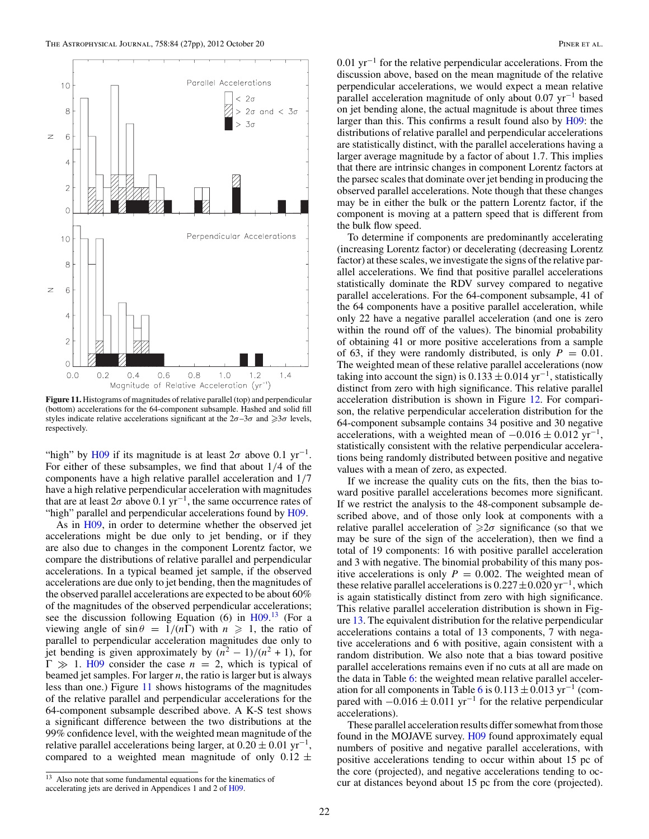

**Figure 11.** Histograms of magnitudes of relative parallel (top) and perpendicular (bottom) accelerations for the 64-component subsample. Hashed and solid fill styles indicate relative accelerations significant at the  $2\sigma - 3\sigma$  and  $\geq 3\sigma$  levels, respectively.

"high" by [H09](#page-28-0) if its magnitude is at least  $2\sigma$  above 0.1 yr<sup>-1</sup>. For either of these subsamples, we find that about 1*/*4 of the components have a high relative parallel acceleration and 1*/*7 have a high relative perpendicular acceleration with magnitudes that are at least  $2\sigma$  above 0.1 yr<sup>-1</sup>, the same occurrence rates of "high" parallel and perpendicular accelerations found by [H09.](#page-28-0)

As in [H09,](#page-28-0) in order to determine whether the observed jet accelerations might be due only to jet bending, or if they are also due to changes in the component Lorentz factor, we compare the distributions of relative parallel and perpendicular accelerations. In a typical beamed jet sample, if the observed accelerations are due only to jet bending, then the magnitudes of the observed parallel accelerations are expected to be about 60% of the magnitudes of the observed perpendicular accelerations; see the discussion following Equation (6) in [H09.](#page-28-0)<sup>13</sup> (For a viewing angle of  $\sin \theta = 1/(n\Gamma)$  with  $n \ge 1$ , the ratio of parallel to perpendicular acceleration magnitudes due only to jet bending is given approximately by  $(n^2 - 1)/(n^2 + 1)$ , for  $\Gamma \gg 1$ . [H09](#page-28-0) consider the case  $n = 2$ , which is typical of beamed jet samples. For larger *n*, the ratio is larger but is always less than one.) Figure 11 shows histograms of the magnitudes of the relative parallel and perpendicular accelerations for the 64-component subsample described above. A K-S test shows a significant difference between the two distributions at the 99% confidence level, with the weighted mean magnitude of the relative parallel accelerations being larger, at  $0.20 \pm 0.01 \text{ yr}^{-1}$ , compared to a weighted mean magnitude of only  $0.12 \pm$ 

<sup>13</sup> Also note that some fundamental equations for the kinematics of accelerating jets are derived in Appendices 1 and 2 of [H09.](#page-28-0)

0*.*01 yr−<sup>1</sup> for the relative perpendicular accelerations. From the discussion above, based on the mean magnitude of the relative perpendicular accelerations, we would expect a mean relative parallel acceleration magnitude of only about 0.07 yr<sup>-1</sup> based on jet bending alone, the actual magnitude is about three times larger than this. This confirms a result found also by [H09:](#page-28-0) the distributions of relative parallel and perpendicular accelerations are statistically distinct, with the parallel accelerations having a larger average magnitude by a factor of about 1.7. This implies that there are intrinsic changes in component Lorentz factors at the parsec scales that dominate over jet bending in producing the observed parallel accelerations. Note though that these changes may be in either the bulk or the pattern Lorentz factor, if the component is moving at a pattern speed that is different from the bulk flow speed.

To determine if components are predominantly accelerating (increasing Lorentz factor) or decelerating (decreasing Lorentz factor) at these scales, we investigate the signs of the relative parallel accelerations. We find that positive parallel accelerations statistically dominate the RDV survey compared to negative parallel accelerations. For the 64-component subsample, 41 of the 64 components have a positive parallel acceleration, while only 22 have a negative parallel acceleration (and one is zero within the round off of the values). The binomial probability of obtaining 41 or more positive accelerations from a sample of 63, if they were randomly distributed, is only  $P = 0.01$ . The weighted mean of these relative parallel accelerations (now taking into account the sign) is  $0.133 \pm 0.014$  yr<sup>-1</sup>, statistically distinct from zero with high significance. This relative parallel acceleration distribution is shown in Figure [12.](#page-24-0) For comparison, the relative perpendicular acceleration distribution for the 64-component subsample contains 34 positive and 30 negative accelerations, with a weighted mean of  $-0.016 \pm 0.012$  yr<sup>-1</sup>, statistically consistent with the relative perpendicular accelerations being randomly distributed between positive and negative values with a mean of zero, as expected.

If we increase the quality cuts on the fits, then the bias toward positive parallel accelerations becomes more significant. If we restrict the analysis to the 48-component subsample described above, and of those only look at components with a relative parallel acceleration of  $\geq 2\sigma$  significance (so that we may be sure of the sign of the acceleration), then we find a total of 19 components: 16 with positive parallel acceleration and 3 with negative. The binomial probability of this many positive accelerations is only  $P = 0.002$ . The weighted mean of these relative parallel accelerations is 0*.*227±0*.*020 yr−1, which is again statistically distinct from zero with high significance. This relative parallel acceleration distribution is shown in Figure [13.](#page-24-0) The equivalent distribution for the relative perpendicular accelerations contains a total of 13 components, 7 with negative accelerations and 6 with positive, again consistent with a random distribution. We also note that a bias toward positive parallel accelerations remains even if no cuts at all are made on the data in Table [6:](#page-13-0) the weighted mean relative parallel acceler-ation for all components in Table [6](#page-13-0) is  $0.113 \pm 0.013$  yr<sup>-1</sup> (compared with  $-0.016 \pm 0.011$  yr<sup>-1</sup> for the relative perpendicular accelerations).

These parallel acceleration results differ somewhat from those found in the MOJAVE survey. [H09](#page-28-0) found approximately equal numbers of positive and negative parallel accelerations, with positive accelerations tending to occur within about 15 pc of the core (projected), and negative accelerations tending to occur at distances beyond about 15 pc from the core (projected).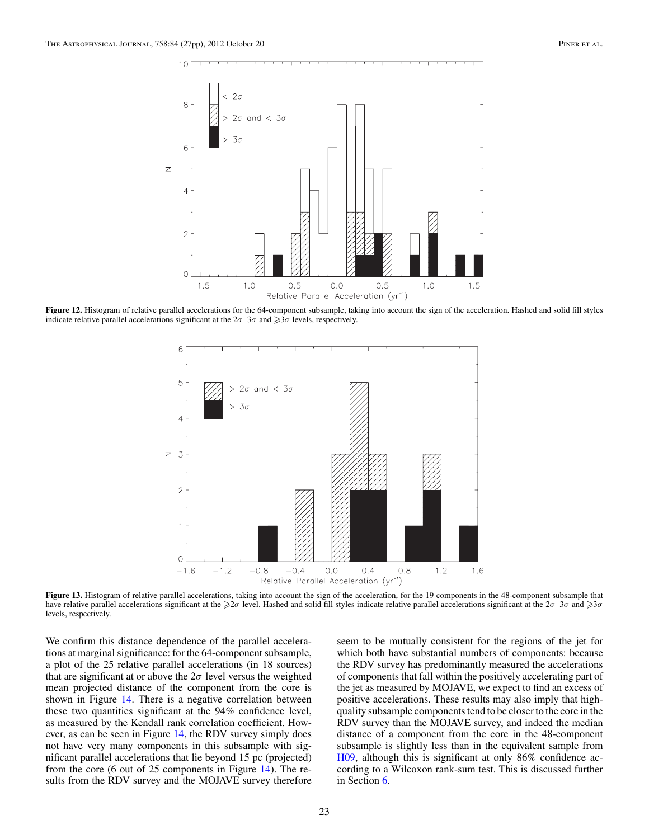<span id="page-24-0"></span>

**Figure 12.** Histogram of relative parallel accelerations for the 64-component subsample, taking into account the sign of the acceleration. Hashed and solid fill styles indicate relative parallel accelerations significant at the  $2\sigma - 3\sigma$  and  $\geq 3\sigma$  levels, respectively.



Figure 13. Histogram of relative parallel accelerations, taking into account the sign of the acceleration, for the 19 components in the 48-component subsample that have relative parallel accelerations significant at the ≥2*σ* level. Hashed and solid fill styles indicate relative parallel accelerations significant at the 2*σ*–3*σ* and ≥3*σ* levels, respectively.

We confirm this distance dependence of the parallel accelerations at marginal significance: for the 64-component subsample, a plot of the 25 relative parallel accelerations (in 18 sources) that are significant at or above the  $2\sigma$  level versus the weighted mean projected distance of the component from the core is shown in Figure [14.](#page-25-0) There is a negative correlation between these two quantities significant at the 94% confidence level, as measured by the Kendall rank correlation coefficient. However, as can be seen in Figure [14,](#page-25-0) the RDV survey simply does not have very many components in this subsample with significant parallel accelerations that lie beyond 15 pc (projected) from the core (6 out of 25 components in Figure [14\)](#page-25-0). The results from the RDV survey and the MOJAVE survey therefore

seem to be mutually consistent for the regions of the jet for which both have substantial numbers of components: because the RDV survey has predominantly measured the accelerations of components that fall within the positively accelerating part of the jet as measured by MOJAVE, we expect to find an excess of positive accelerations. These results may also imply that highquality subsample components tend to be closer to the core in the RDV survey than the MOJAVE survey, and indeed the median distance of a component from the core in the 48-component subsample is slightly less than in the equivalent sample from [H09,](#page-28-0) although this is significant at only 86% confidence according to a Wilcoxon rank-sum test. This is discussed further in Section [6.](#page-26-0)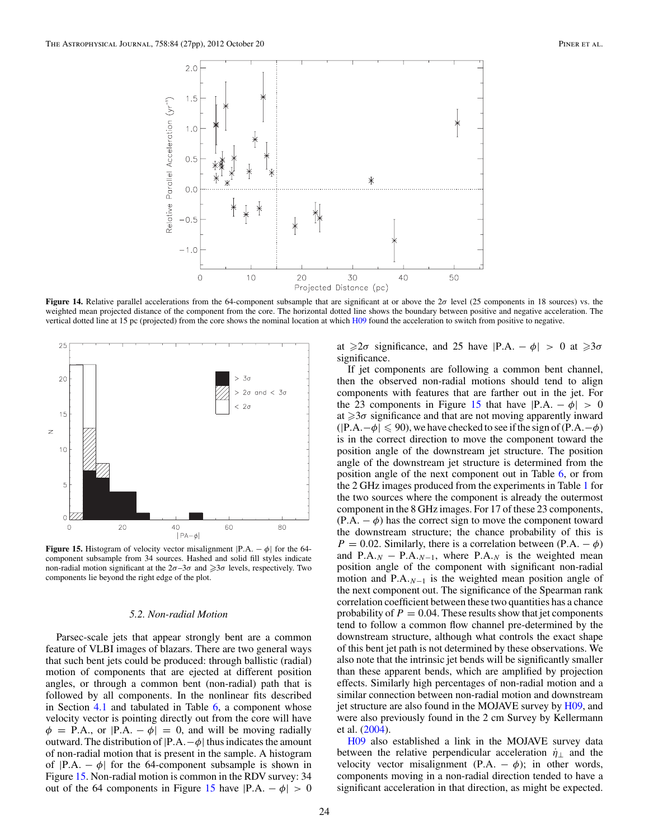<span id="page-25-0"></span>

**Figure 14.** Relative parallel accelerations from the 64-component subsample that are significant at or above the 2*σ* level (25 components in 18 sources) vs. the weighted mean projected distance of the component from the core. The horizontal dotted line shows the boundary between positive and negative acceleration. The vertical dotted line at 15 pc (projected) from the core shows the nominal location at which [H09](#page-28-0) found the acceleration to switch from positive to negative.



**Figure 15.** Histogram of velocity vector misalignment  $|P.A. - \phi|$  for the 64component subsample from 34 sources. Hashed and solid fill styles indicate non-radial motion significant at the  $2\sigma - 3\sigma$  and  $\geq 3\sigma$  levels, respectively. Two components lie beyond the right edge of the plot.

#### *5.2. Non-radial Motion*

Parsec-scale jets that appear strongly bent are a common feature of VLBI images of blazars. There are two general ways that such bent jets could be produced: through ballistic (radial) motion of components that are ejected at different position angles, or through a common bent (non-radial) path that is followed by all components. In the nonlinear fits described in Section [4.1](#page-8-0) and tabulated in Table [6,](#page-13-0) a component whose velocity vector is pointing directly out from the core will have  $\phi$  = P.A., or  $|P.A. - \phi|$  = 0, and will be moving radially outward. The distribution of |P*.*A*.*−*φ*| thus indicates the amount of non-radial motion that is present in the sample. A histogram of  $|P.A. - \phi|$  for the 64-component subsample is shown in Figure 15. Non-radial motion is common in the RDV survey: 34 out of the 64 components in Figure 15 have  $|P.A. - \phi| > 0$  at  $\geq 2\sigma$  significance, and 25 have  $|P.A. - \phi| > 0$  at  $\geq 3\sigma$ significance.

If jet components are following a common bent channel, then the observed non-radial motions should tend to align components with features that are farther out in the jet. For the 23 components in Figure 15 that have  $|P.A. - \phi| > 0$ at  $\geqslant$ 3*σ* significance and that are not moving apparently inward  $(|P.A. – \phi| \le 90)$ , we have checked to see if the sign of  $(P.A. – \phi)$ is in the correct direction to move the component toward the position angle of the downstream jet structure. The position angle of the downstream jet structure is determined from the position angle of the next component out in Table [6,](#page-13-0) or from the 2 GHz images produced from the experiments in Table [1](#page-4-0) for the two sources where the component is already the outermost component in the 8 GHz images. For 17 of these 23 components,  $(P.A. - \phi)$  has the correct sign to move the component toward the downstream structure; the chance probability of this is  $P = 0.02$ . Similarly, there is a correlation between (P.A. –  $\phi$ ) and P.A<sub>*N*</sub> − P.A<sub>*N*<sup>−1</sup></sub>, where P.A<sub>*N*</sub> is the weighted mean position angle of the component with significant non-radial motion and P*.*A*.N*−<sup>1</sup> is the weighted mean position angle of the next component out. The significance of the Spearman rank correlation coefficient between these two quantities has a chance probability of  $P = 0.04$ . These results show that jet components tend to follow a common flow channel pre-determined by the downstream structure, although what controls the exact shape of this bent jet path is not determined by these observations. We also note that the intrinsic jet bends will be significantly smaller than these apparent bends, which are amplified by projection effects. Similarly high percentages of non-radial motion and a similar connection between non-radial motion and downstream jet structure are also found in the MOJAVE survey by [H09,](#page-28-0) and were also previously found in the 2 cm Survey by Kellermann et al. [\(2004\)](#page-28-0).

[H09](#page-28-0) also established a link in the MOJAVE survey data between the relative perpendicular acceleration  $\dot{\eta}_{\perp}$  and the velocity vector misalignment (P.A.  $\phi$ ); in other words, components moving in a non-radial direction tended to have a significant acceleration in that direction, as might be expected.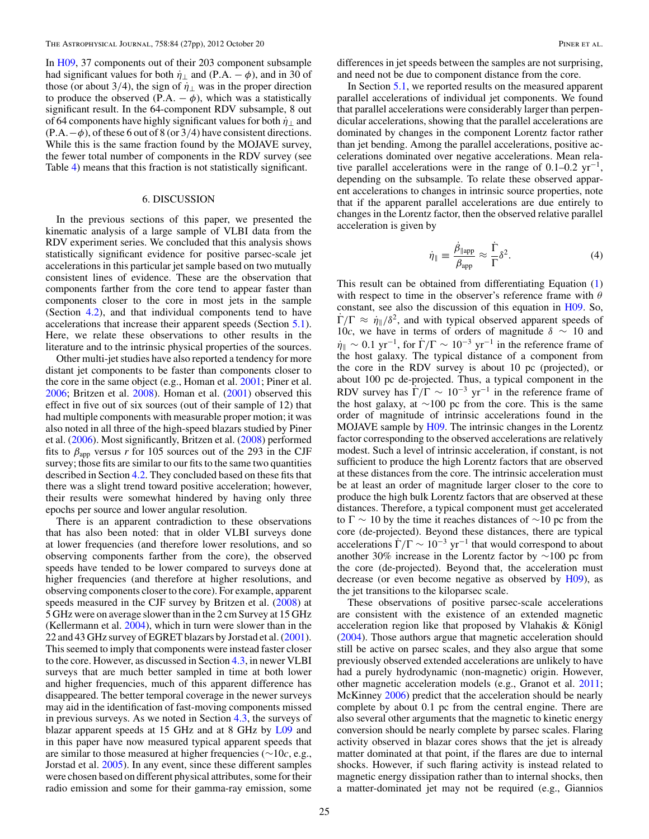<span id="page-26-0"></span>In [H09,](#page-28-0) 37 components out of their 203 component subsample had significant values for both  $\eta_{\perp}$  and (P.A. –  $\phi$ ), and in 30 of those (or about 3/4), the sign of  $\eta_{\perp}$  was in the proper direction to produce the observed  $(P.A. - \phi)$ , which was a statistically significant result. In the 64-component RDV subsample, 8 out of 64 components have highly significant values for both  $\dot{\eta}_{\perp}$  and  $(P.A. – φ)$ , of these 6 out of 8 (or 3/4) have consistent directions. While this is the same fraction found by the MOJAVE survey, the fewer total number of components in the RDV survey (see Table [4\)](#page-8-0) means that this fraction is not statistically significant.

### 6. DISCUSSION

In the previous sections of this paper, we presented the kinematic analysis of a large sample of VLBI data from the RDV experiment series. We concluded that this analysis shows statistically significant evidence for positive parsec-scale jet accelerations in this particular jet sample based on two mutually consistent lines of evidence. These are the observation that components farther from the core tend to appear faster than components closer to the core in most jets in the sample (Section [4.2\)](#page-12-0), and that individual components tend to have accelerations that increase their apparent speeds (Section [5.1\)](#page-22-0). Here, we relate these observations to other results in the literature and to the intrinsic physical properties of the sources.

Other multi-jet studies have also reported a tendency for more distant jet components to be faster than components closer to the core in the same object (e.g., Homan et al. [2001;](#page-28-0) Piner et al.  $2006$ ; Britzen et al.  $2008$ ). Homan et al.  $(2001)$  observed this effect in five out of six sources (out of their sample of 12) that had multiple components with measurable proper motion; it was also noted in all three of the high-speed blazars studied by Piner et al. [\(2006\)](#page-28-0). Most significantly, Britzen et al. [\(2008\)](#page-28-0) performed fits to  $\beta_{app}$  versus *r* for 105 sources out of the 293 in the CJF survey; those fits are similar to our fits to the same two quantities described in Section [4.2.](#page-12-0) They concluded based on these fits that there was a slight trend toward positive acceleration; however, their results were somewhat hindered by having only three epochs per source and lower angular resolution.

There is an apparent contradiction to these observations that has also been noted: that in older VLBI surveys done at lower frequencies (and therefore lower resolutions, and so observing components farther from the core), the observed speeds have tended to be lower compared to surveys done at higher frequencies (and therefore at higher resolutions, and observing components closer to the core). For example, apparent speeds measured in the CJF survey by Britzen et al. [\(2008\)](#page-28-0) at 5 GHz were on average slower than in the 2 cm Survey at 15 GHz (Kellermann et al. [2004\)](#page-28-0), which in turn were slower than in the 22 and 43 GHz survey of EGRET blazars by Jorstad et al. [\(2001\)](#page-28-0). This seemed to imply that components were instead faster closer to the core. However, as discussed in Section [4.3,](#page-21-0) in newer VLBI surveys that are much better sampled in time at both lower and higher frequencies, much of this apparent difference has disappeared. The better temporal coverage in the newer surveys may aid in the identification of fast-moving components missed in previous surveys. As we noted in Section [4.3,](#page-21-0) the surveys of blazar apparent speeds at 15 GHz and at 8 GHz by [L09](#page-28-0) and in this paper have now measured typical apparent speeds that are similar to those measured at higher frequencies (∼10*c*, e.g., Jorstad et al. [2005\)](#page-28-0). In any event, since these different samples were chosen based on different physical attributes, some for their radio emission and some for their gamma-ray emission, some

differences in jet speeds between the samples are not surprising, and need not be due to component distance from the core.

In Section [5.1,](#page-22-0) we reported results on the measured apparent parallel accelerations of individual jet components. We found that parallel accelerations were considerably larger than perpendicular accelerations, showing that the parallel accelerations are dominated by changes in the component Lorentz factor rather than jet bending. Among the parallel accelerations, positive accelerations dominated over negative accelerations. Mean relative parallel accelerations were in the range of  $0.1–0.2$  yr<sup>-1</sup>, depending on the subsample. To relate these observed apparent accelerations to changes in intrinsic source properties, note that if the apparent parallel accelerations are due entirely to changes in the Lorentz factor, then the observed relative parallel acceleration is given by

$$
\dot{\eta}_{\parallel} \equiv \frac{\dot{\beta}_{\parallel \text{app}}}{\beta_{\text{app}}} \approx \frac{\Gamma}{\Gamma} \delta^2. \tag{4}
$$

This result can be obtained from differentiating Equation [\(1\)](#page-3-0) with respect to time in the observer's reference frame with *θ* constant, see also the discussion of this equation in [H09.](#page-28-0) So,  $\dot{\Gamma}/\Gamma \approx \dot{\eta}_{\parallel}/\delta^2$ , and with typical observed apparent speeds of 10*c*, we have in terms of orders of magnitude *δ* ∼ 10 and  $\dot{\eta}_{\parallel} \sim 0.1 \text{ yr}^{-1}$ , for  $\dot{\Gamma}/\Gamma \sim 10^{-3} \text{ yr}^{-1}$  in the reference frame of the host galaxy. The typical distance of a component from the core in the RDV survey is about 10 pc (projected), or about 100 pc de-projected. Thus, a typical component in the RDV survey has  $\dot{\Gamma}/\Gamma \sim 10^{-3}$  yr<sup>-1</sup> in the reference frame of the host galaxy, at ∼100 pc from the core. This is the same order of magnitude of intrinsic accelerations found in the MOJAVE sample by [H09.](#page-28-0) The intrinsic changes in the Lorentz factor corresponding to the observed accelerations are relatively modest. Such a level of intrinsic acceleration, if constant, is not sufficient to produce the high Lorentz factors that are observed at these distances from the core. The intrinsic acceleration must be at least an order of magnitude larger closer to the core to produce the high bulk Lorentz factors that are observed at these distances. Therefore, a typical component must get accelerated to  $\Gamma \sim 10$  by the time it reaches distances of  $\sim 10$  pc from the core (de-projected). Beyond these distances, there are typical accelerations  $\dot{\Gamma}/\Gamma \sim 10^{-3}$  yr<sup>-1</sup> that would correspond to about another 30% increase in the Lorentz factor by ∼100 pc from the core (de-projected). Beyond that, the acceleration must decrease (or even become negative as observed by  $H(09)$ , as the jet transitions to the kiloparsec scale.

These observations of positive parsec-scale accelerations are consistent with the existence of an extended magnetic acceleration region like that proposed by Vlahakis  $& K\ddot{o}$  high [\(2004\)](#page-28-0). Those authors argue that magnetic acceleration should still be active on parsec scales, and they also argue that some previously observed extended accelerations are unlikely to have had a purely hydrodynamic (non-magnetic) origin. However, other magnetic acceleration models (e.g., Granot et al. [2011;](#page-28-0) McKinney [2006\)](#page-28-0) predict that the acceleration should be nearly complete by about 0.1 pc from the central engine. There are also several other arguments that the magnetic to kinetic energy conversion should be nearly complete by parsec scales. Flaring activity observed in blazar cores shows that the jet is already matter dominated at that point, if the flares are due to internal shocks. However, if such flaring activity is instead related to magnetic energy dissipation rather than to internal shocks, then a matter-dominated jet may not be required (e.g., Giannios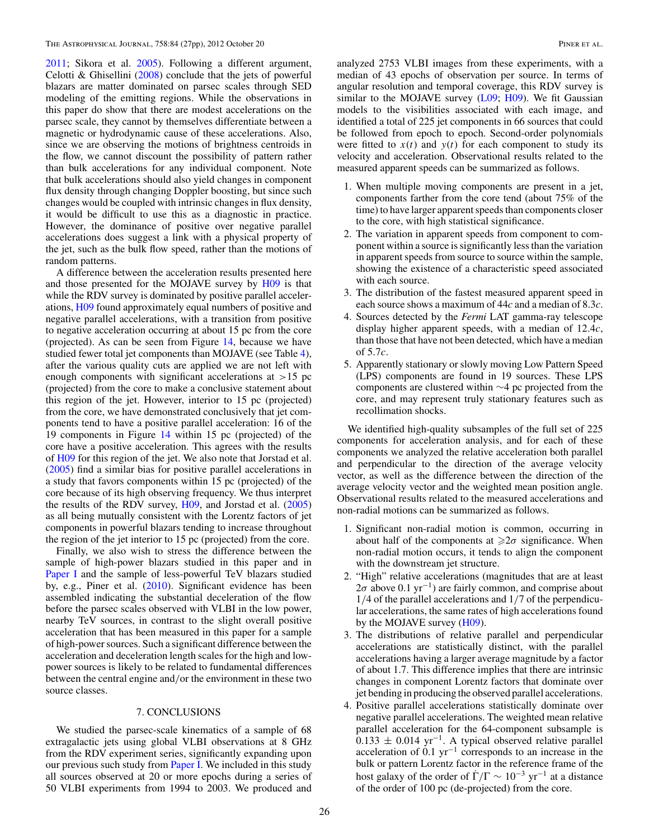<span id="page-27-0"></span>[2011;](#page-28-0) Sikora et al. [2005\)](#page-28-0). Following a different argument, Celotti & Ghisellini [\(2008\)](#page-28-0) conclude that the jets of powerful blazars are matter dominated on parsec scales through SED modeling of the emitting regions. While the observations in this paper do show that there are modest accelerations on the parsec scale, they cannot by themselves differentiate between a magnetic or hydrodynamic cause of these accelerations. Also, since we are observing the motions of brightness centroids in the flow, we cannot discount the possibility of pattern rather than bulk accelerations for any individual component. Note that bulk accelerations should also yield changes in component flux density through changing Doppler boosting, but since such changes would be coupled with intrinsic changes in flux density, it would be difficult to use this as a diagnostic in practice. However, the dominance of positive over negative parallel accelerations does suggest a link with a physical property of the jet, such as the bulk flow speed, rather than the motions of random patterns.

A difference between the acceleration results presented here and those presented for the MOJAVE survey by [H09](#page-28-0) is that while the RDV survey is dominated by positive parallel accelerations, [H09](#page-28-0) found approximately equal numbers of positive and negative parallel accelerations, with a transition from positive to negative acceleration occurring at about 15 pc from the core (projected). As can be seen from Figure [14,](#page-25-0) because we have studied fewer total jet components than MOJAVE (see Table [4\)](#page-8-0), after the various quality cuts are applied we are not left with enough components with significant accelerations at *>*15 pc (projected) from the core to make a conclusive statement about this region of the jet. However, interior to 15 pc (projected) from the core, we have demonstrated conclusively that jet components tend to have a positive parallel acceleration: 16 of the 19 components in Figure [14](#page-25-0) within 15 pc (projected) of the core have a positive acceleration. This agrees with the results of [H09](#page-28-0) for this region of the jet. We also note that Jorstad et al. [\(2005\)](#page-28-0) find a similar bias for positive parallel accelerations in a study that favors components within 15 pc (projected) of the core because of its high observing frequency. We thus interpret the results of the RDV survey, [H09,](#page-28-0) and Jorstad et al. [\(2005\)](#page-28-0) as all being mutually consistent with the Lorentz factors of jet components in powerful blazars tending to increase throughout the region of the jet interior to 15 pc (projected) from the core.

Finally, we also wish to stress the difference between the sample of high-power blazars studied in this paper and in [Paper I](#page-28-0) and the sample of less-powerful TeV blazars studied by, e.g., Piner et al. [\(2010\)](#page-28-0). Significant evidence has been assembled indicating the substantial deceleration of the flow before the parsec scales observed with VLBI in the low power, nearby TeV sources, in contrast to the slight overall positive acceleration that has been measured in this paper for a sample of high-power sources. Such a significant difference between the acceleration and deceleration length scales for the high and lowpower sources is likely to be related to fundamental differences between the central engine and*/*or the environment in these two source classes.

#### 7. CONCLUSIONS

We studied the parsec-scale kinematics of a sample of 68 extragalactic jets using global VLBI observations at 8 GHz from the RDV experiment series, significantly expanding upon our previous such study from **Paper I**. We included in this study all sources observed at 20 or more epochs during a series of 50 VLBI experiments from 1994 to 2003. We produced and

analyzed 2753 VLBI images from these experiments, with a median of 43 epochs of observation per source. In terms of angular resolution and temporal coverage, this RDV survey is similar to the MOJAVE survey [\(L09;](#page-28-0) [H09\)](#page-28-0). We fit Gaussian models to the visibilities associated with each image, and identified a total of 225 jet components in 66 sources that could be followed from epoch to epoch. Second-order polynomials were fitted to  $x(t)$  and  $y(t)$  for each component to study its velocity and acceleration. Observational results related to the measured apparent speeds can be summarized as follows.

- 1. When multiple moving components are present in a jet, components farther from the core tend (about 75% of the time) to have larger apparent speeds than components closer to the core, with high statistical significance.
- 2. The variation in apparent speeds from component to component within a source is significantly less than the variation in apparent speeds from source to source within the sample, showing the existence of a characteristic speed associated with each source.
- 3. The distribution of the fastest measured apparent speed in each source shows a maximum of 44*c* and a median of 8.3*c*.
- 4. Sources detected by the *Fermi* LAT gamma-ray telescope display higher apparent speeds, with a median of 12*.*4*c*, than those that have not been detected, which have a median of 5*.*7*c*.
- 5. Apparently stationary or slowly moving Low Pattern Speed (LPS) components are found in 19 sources. These LPS components are clustered within ∼4 pc projected from the core, and may represent truly stationary features such as recollimation shocks.

We identified high-quality subsamples of the full set of 225 components for acceleration analysis, and for each of these components we analyzed the relative acceleration both parallel and perpendicular to the direction of the average velocity vector, as well as the difference between the direction of the average velocity vector and the weighted mean position angle. Observational results related to the measured accelerations and non-radial motions can be summarized as follows.

- 1. Significant non-radial motion is common, occurring in about half of the components at  $\geq 2\sigma$  significance. When non-radial motion occurs, it tends to align the component with the downstream jet structure.
- 2. "High" relative accelerations (magnitudes that are at least 2*σ* above 0.1 yr−1) are fairly common, and comprise about 1*/*4 of the parallel accelerations and 1*/*7 of the perpendicular accelerations, the same rates of high accelerations found by the MOJAVE survey [\(H09\)](#page-28-0).
- 3. The distributions of relative parallel and perpendicular accelerations are statistically distinct, with the parallel accelerations having a larger average magnitude by a factor of about 1.7. This difference implies that there are intrinsic changes in component Lorentz factors that dominate over jet bending in producing the observed parallel accelerations.
- 4. Positive parallel accelerations statistically dominate over negative parallel accelerations. The weighted mean relative parallel acceleration for the 64-component subsample is  $0.133 \pm 0.014$  yr<sup>-1</sup>. A typical observed relative parallel acceleration of  $0.1 \text{ yr}^{-1}$  corresponds to an increase in the bulk or pattern Lorentz factor in the reference frame of the host galaxy of the order of  $\Gamma/\Gamma \sim 10^{-3}$  yr<sup>-1</sup> at a distance of the order of 100 pc (de-projected) from the core.